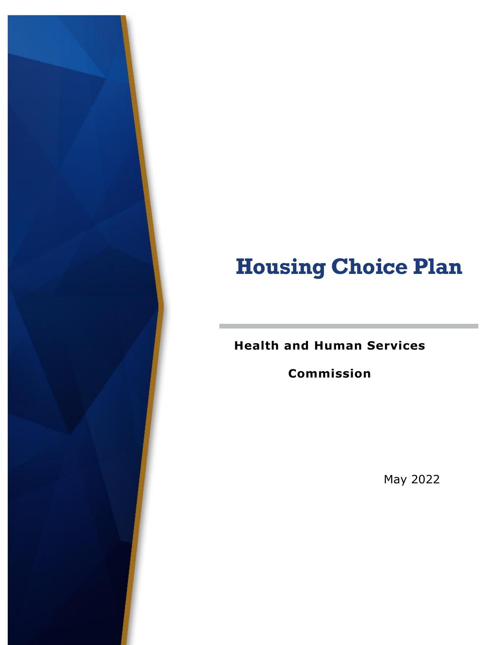# **Housing Choice Plan**

**Health and Human Services** 

**Commission**

May 2022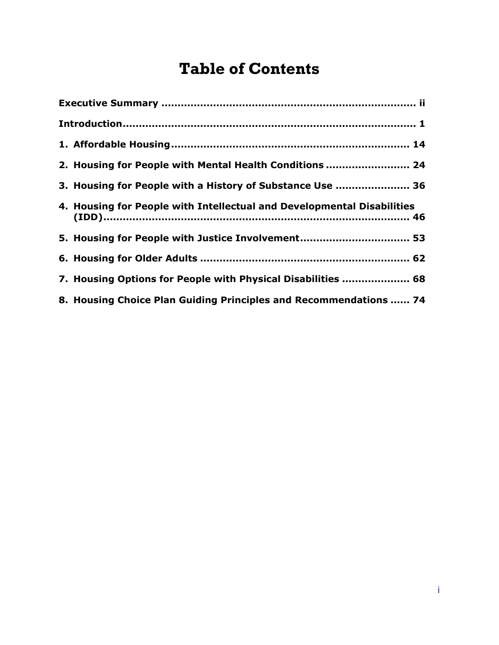# **Table of Contents**

<span id="page-1-0"></span>

|  | 2. Housing for People with Mental Health Conditions  24                |  |  |  |
|--|------------------------------------------------------------------------|--|--|--|
|  | 3. Housing for People with a History of Substance Use  36              |  |  |  |
|  | 4. Housing for People with Intellectual and Developmental Disabilities |  |  |  |
|  | 5. Housing for People with Justice Involvement 53                      |  |  |  |
|  |                                                                        |  |  |  |
|  | 7. Housing Options for People with Physical Disabilities  68           |  |  |  |
|  | 8. Housing Choice Plan Guiding Principles and Recommendations  74      |  |  |  |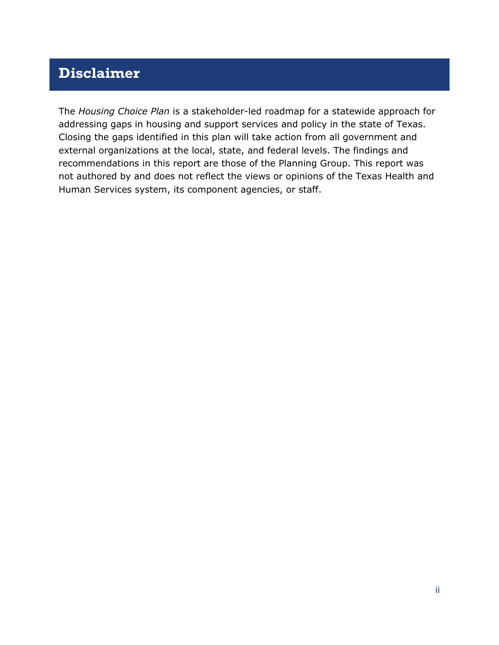# **Disclaimer**

The *Housing Choice Plan* is a stakeholder-led roadmap for a statewide approach for addressing gaps in housing and support services and policy in the state of Texas. Closing the gaps identified in this plan will take action from all government and external organizations at the local, state, and federal levels. The findings and recommendations in this report are those of the Planning Group. This report was not authored by and does not reflect the views or opinions of the Texas Health and Human Services system, its component agencies, or staff.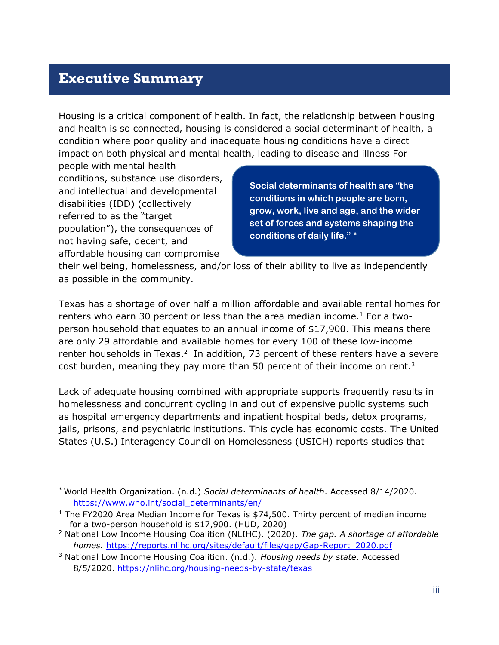## **Executive Summary**

Housing is a critical component of health. In fact, the relationship between housing and health is so connected, housing is considered a social determinant of health, a condition where poor quality and inadequate housing conditions have a direct impact on both physical and mental health, leading to disease and illness For

people with mental health conditions, substance use disorders, and intellectual and developmental disabilities (IDD) (collectively referred to as the "target population"), the consequences of not having safe, decent, and affordable housing can compromise

**Social determinants of health are "the conditions in which people are born, grow, work, live and age, and the wider set of forces and systems shaping the conditions of daily life." \***

their wellbeing, homelessness, and/or loss of their ability to live as independently as possible in the community.

Texas has a shortage of over half a million affordable and available rental homes for renters who earn 30 percent or less than the area median income.<sup>1</sup> For a twoperson household that equates to an annual income of \$17,900. This means there are only 29 affordable and available homes for every 100 of these low-income renter households in Texas.<sup>2</sup> In addition, 73 percent of these renters have a severe cost burden, meaning they pay more than 50 percent of their income on rent.<sup>3</sup>

Lack of adequate housing combined with appropriate supports frequently results in homelessness and concurrent cycling in and out of expensive public systems such as hospital emergency departments and inpatient hospital beds, detox programs, jails, prisons, and psychiatric institutions. This cycle has economic costs. The United States (U.S.) Interagency Council on Homelessness (USICH) reports studies that

<sup>\*</sup> World Health Organization. (n.d.) *Social determinants of health*. Accessed 8/14/2020. [https://www.who.int/social\\_determinants/en/](https://www.who.int/social_determinants/en/)

<sup>&</sup>lt;sup>1</sup> The FY2020 Area Median Income for Texas is  $$74,500$ . Thirty percent of median income for a two-person household is \$17,900. (HUD, 2020)

<sup>2</sup> National Low Income Housing Coalition (NLIHC). (2020). *The gap. A shortage of affordable homes.* [https://reports.nlihc.org/sites/default/files/gap/Gap-Report\\_2020.pdf](https://reports.nlihc.org/sites/default/files/gap/Gap-Report_2020.pdf)

<sup>3</sup> National Low Income Housing Coalition. (n.d.). *Housing needs by state*. Accessed 8/5/2020.<https://nlihc.org/housing-needs-by-state/texas>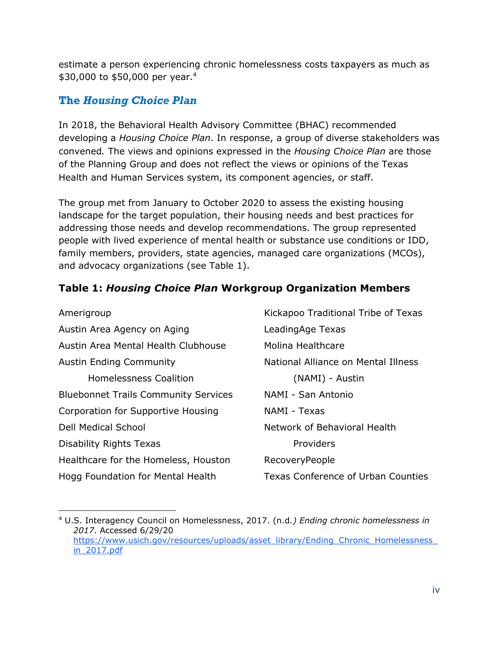estimate a person experiencing chronic homelessness costs taxpayers as much as \$30,000 to \$50,000 per year. 4

#### **The** *Housing Choice Plan*

In 2018, the Behavioral Health Advisory Committee (BHAC) recommended developing a *Housing Choice Plan*. In response, a group of diverse stakeholders was convened*.* The views and opinions expressed in the *Housing Choice Plan* are those of the Planning Group and does not reflect the views or opinions of the Texas Health and Human Services system, its component agencies, or staff.

The group met from January to October 2020 to assess the existing housing landscape for the target population, their housing needs and best practices for addressing those needs and develop recommendations. The group represented people with lived experience of mental health or substance use conditions or IDD, family members, providers, state agencies, managed care organizations (MCOs), and advocacy organizations (see Table 1).

#### **Table 1:** *Housing Choice Plan* **Workgroup Organization Members**

| Amerigroup                                  | Kickapoo Traditional Tribe of Texas       |  |
|---------------------------------------------|-------------------------------------------|--|
| Austin Area Agency on Aging                 | LeadingAge Texas                          |  |
| Austin Area Mental Health Clubhouse         | Molina Healthcare                         |  |
| <b>Austin Ending Community</b>              | National Alliance on Mental Illness       |  |
| <b>Homelessness Coalition</b>               | (NAMI) - Austin                           |  |
| <b>Bluebonnet Trails Community Services</b> | NAMI - San Antonio                        |  |
| Corporation for Supportive Housing          | NAMI - Texas                              |  |
| <b>Dell Medical School</b>                  | Network of Behavioral Health              |  |
| <b>Disability Rights Texas</b>              | Providers                                 |  |
| Healthcare for the Homeless, Houston        | RecoveryPeople                            |  |
| Hogg Foundation for Mental Health           | <b>Texas Conference of Urban Counties</b> |  |

<sup>4</sup> U.S. Interagency Council on Homelessness, 2017. (n.d*.) Ending chronic homelessness in 2017*. Accessed 6/29/20 [https://www.usich.gov/resources/uploads/asset\\_library/Ending\\_Chronic\\_Homelessness\\_](https://www.usich.gov/resources/uploads/asset_library/Ending_Chronic_Homelessness_in_2017.pdf) [in\\_2017.pdf](https://www.usich.gov/resources/uploads/asset_library/Ending_Chronic_Homelessness_in_2017.pdf)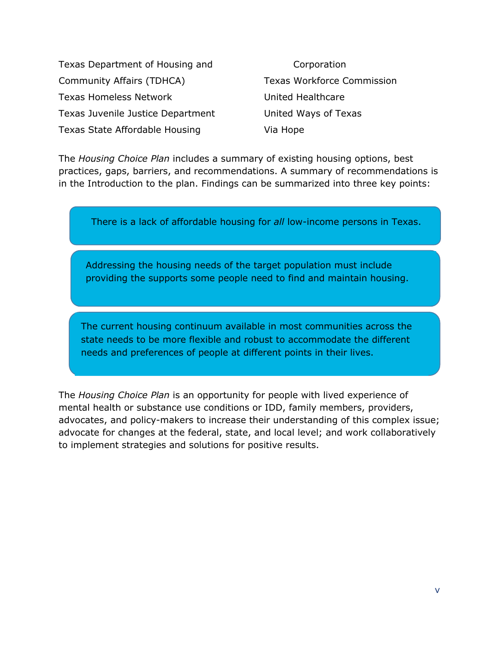Texas Department of Housing and Community Affairs (TDHCA) Texas Homeless Network Texas Juvenile Justice Department Texas State Affordable Housing

Corporation Texas Workforce Commission United Healthcare United Ways of Texas Via Hope

The *Housing Choice Plan* includes a summary of existing housing options, best practices, gaps, barriers, and recommendations. A summary of recommendations is in the Introduction to the plan. Findings can be summarized into three key points:

There is a lack of affordable housing for *all* low-income persons in Texas.

Addressing the housing needs of the target population must include providing the supports some people need to find and maintain housing.

The current housing continuum available in most communities across the state needs to be more flexible and robust to accommodate the different needs and preferences of people at different points in their lives.

The *Housing Choice Plan* is an opportunity for people with lived experience of mental health or substance use conditions or IDD, family members, providers, advocates, and policy-makers to increase their understanding of this complex issue; advocate for changes at the federal, state, and local level; and work collaboratively to implement strategies and solutions for positive results.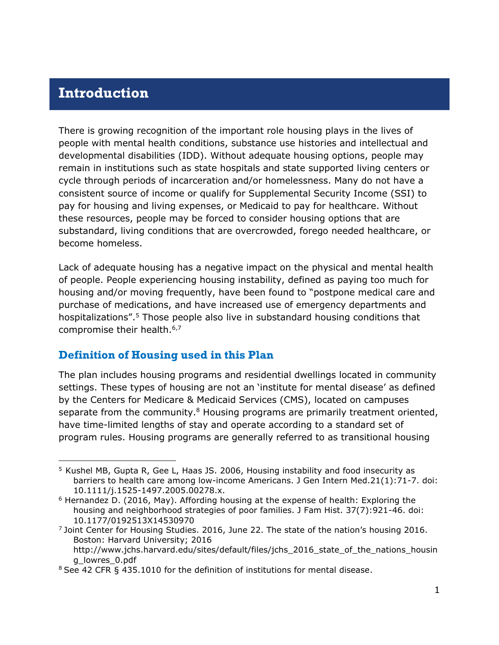## <span id="page-6-0"></span>**Introduction**

There is growing recognition of the important role housing plays in the lives of people with mental health conditions, substance use histories and intellectual and developmental disabilities (IDD). Without adequate housing options, people may remain in institutions such as state hospitals and state supported living centers or cycle through periods of incarceration and/or homelessness. Many do not have a consistent source of income or qualify for Supplemental Security Income (SSI) to pay for housing and living expenses, or Medicaid to pay for healthcare. Without these resources, people may be forced to consider housing options that are substandard, living conditions that are overcrowded, forego needed healthcare, or become homeless.

Lack of adequate housing has a negative impact on the physical and mental health of people. People experiencing housing instability, defined as paying too much for housing and/or moving frequently, have been found to "postpone medical care and purchase of medications, and have increased use of emergency departments and hospitalizations".<sup>5</sup> Those people also live in substandard housing conditions that compromise their health.<sup>6,7</sup>

#### **Definition of Housing used in this Plan**

The plan includes housing programs and residential dwellings located in community settings. These types of housing are not an 'institute for mental disease' as defined by the Centers for Medicare & Medicaid Services (CMS), located on campuses separate from the community. $8$  Housing programs are primarily treatment oriented, have time-limited lengths of stay and operate according to a standard set of program rules. Housing programs are generally referred to as transitional housing

<sup>5</sup> Kushel MB, Gupta R, Gee L, Haas JS. 2006, Housing instability and food insecurity as barriers to health care among low-income Americans. J Gen Intern Med.21(1):71-7. doi: 10.1111/j.1525-1497.2005.00278.x.

 $6$  Hernandez D. (2016, May). Affording housing at the expense of health: Exploring the housing and neighborhood strategies of poor families. J Fam Hist. 37(7):921-46. doi: 10.1177/0192513X14530970

<sup>&</sup>lt;sup>7</sup> Joint Center for Housing Studies. 2016, June 22. The state of the nation's housing 2016. Boston: Harvard University; 2016

[http://www.jchs.harvard.edu/sites/default/files/jchs\\_2016\\_state\\_of\\_the\\_nations\\_housin](http://www.jchs.harvard.edu/sites/default/files/jchs_2016_state_of_the_nations_housing_lowres_0.pdf) [g\\_lowres\\_0.pdf](http://www.jchs.harvard.edu/sites/default/files/jchs_2016_state_of_the_nations_housing_lowres_0.pdf)

<sup>&</sup>lt;sup>8</sup> See 42 CFR § 435.1010 for the definition of institutions for mental disease.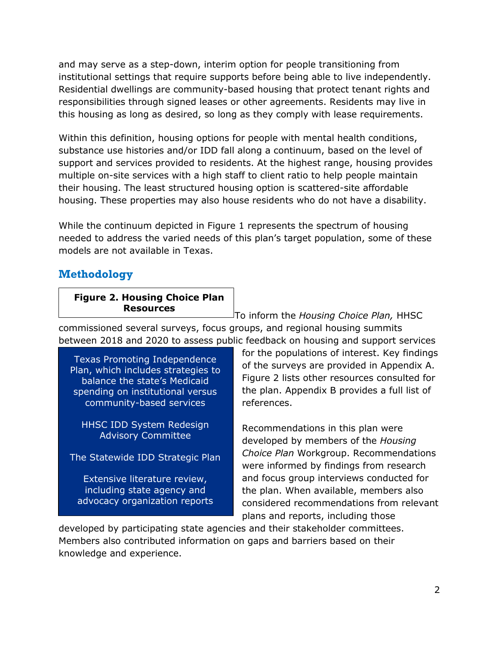and may serve as a step-down, interim option for people transitioning from institutional settings that require supports before being able to live independently. Residential dwellings are community-based housing that protect tenant rights and responsibilities through signed leases or other agreements. Residents may live in this housing as long as desired, so long as they comply with lease requirements.

Within this definition, housing options for people with mental health conditions, substance use histories and/or IDD fall along a continuum, based on the level of support and services provided to residents. At the highest range, housing provides multiple on-site services with a high staff to client ratio to help people maintain their housing. The least structured housing option is scattered-site affordable housing. These properties may also house residents who do not have a disability.

While the continuum depicted in Figure 1 represents the spectrum of housing needed to address the varied needs of this plan's target population, some of these models are not available in Texas.

#### **Methodology**

#### **Figure 2. Housing Choice Plan Resources**

To inform the *Housing Choice Plan,* HHSC commissioned several surveys, focus groups, and regional housing summits between 2018 and 2020 to assess public feedback on housing and support services

Texas Promoting Independence Plan, which includes strategies to balance the state's Medicaid spending on institutional versus community-based services

HHSC IDD System Redesign Advisory Committee

The Statewide IDD Strategic Plan

Extensive literature review, including state agency and advocacy organization reports for the populations of interest. Key findings of the surveys are provided in Appendix A. Figure 2 lists other resources consulted for the plan. Appendix B provides a full list of references.

Recommendations in this plan were developed by members of the *Housing Choice Plan* Workgroup. Recommendations were informed by findings from research and focus group interviews conducted for the plan. When available, members also considered recommendations from relevant plans and reports, including those

developed by participating state agencies and their stakeholder committees. Members also contributed information on gaps and barriers based on their knowledge and experience.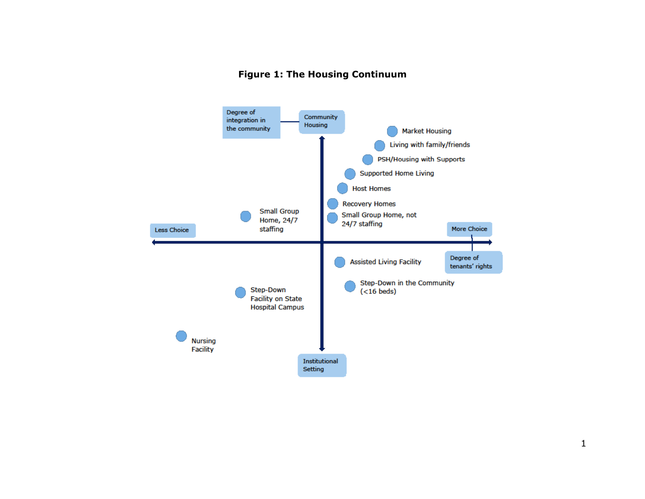#### **Figure 1: The Housing Continuum**

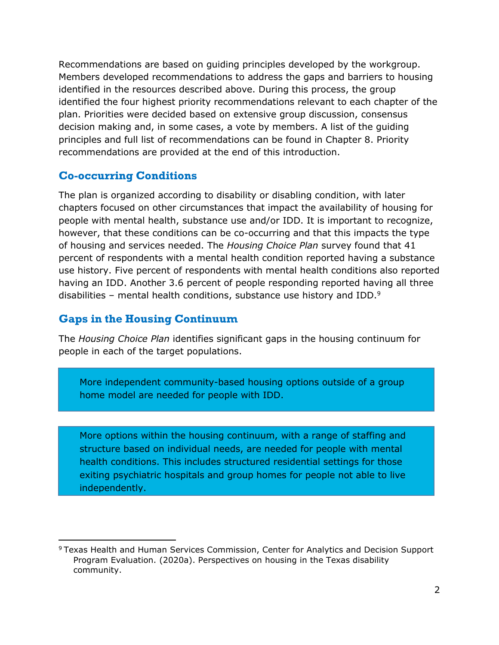Recommendations are based on guiding principles developed by the workgroup. Members developed recommendations to address the gaps and barriers to housing identified in the resources described above. During this process, the group identified the four highest priority recommendations relevant to each chapter of the plan. Priorities were decided based on extensive group discussion, consensus decision making and, in some cases, a vote by members. A list of the guiding principles and full list of recommendations can be found in Chapter 8. Priority recommendations are provided at the end of this introduction.

#### **Co-occurring Conditions**

The plan is organized according to disability or disabling condition, with later chapters focused on other circumstances that impact the availability of housing for people with mental health, substance use and/or IDD. It is important to recognize, however, that these conditions can be co-occurring and that this impacts the type of housing and services needed. The *Housing Choice Plan* survey found that 41 percent of respondents with a mental health condition reported having a substance use history. Five percent of respondents with mental health conditions also reported having an IDD. Another 3.6 percent of people responding reported having all three disabilities – mental health conditions, substance use history and IDD.<sup>9</sup>

#### **Gaps in the Housing Continuum**

The *Housing Choice Plan* identifies significant gaps in the housing continuum for people in each of the target populations.

More independent community-based housing options outside of a group home model are needed for people with IDD.

More options within the housing continuum, with a range of staffing and structure based on individual needs, are needed for people with mental health conditions. This includes structured residential settings for those exiting psychiatric hospitals and group homes for people not able to live independently.

<sup>9</sup> Texas Health and Human Services Commission, Center for Analytics and Decision Support Program Evaluation. (2020a). Perspectives on housing in the Texas disability community.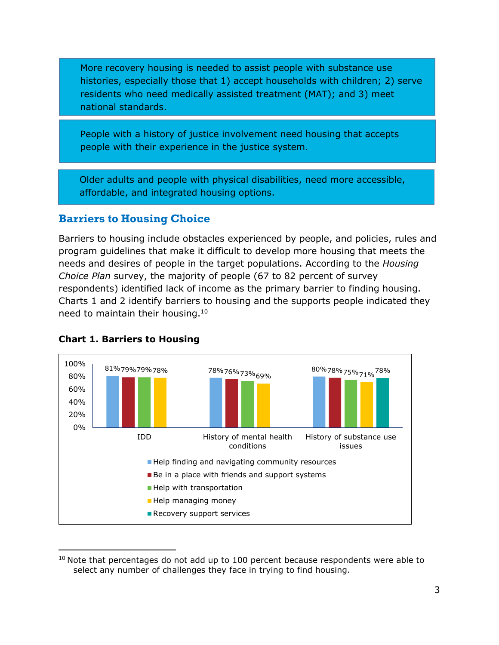More recovery housing is needed to assist people with substance use histories, especially those that 1) accept households with children; 2) serve residents who need medically assisted treatment (MAT); and 3) meet national standards.

People with a history of justice involvement need housing that accepts people with their experience in the justice system.

Older adults and people with physical disabilities, need more accessible, affordable, and integrated housing options.

#### **Barriers to Housing Choice**

Barriers to housing include obstacles experienced by people, and policies, rules and program guidelines that make it difficult to develop more housing that meets the needs and desires of people in the target populations. According to the *Housing Choice Plan* survey, the majority of people (67 to 82 percent of survey respondents) identified lack of income as the primary barrier to finding housing. Charts 1 and 2 identify barriers to housing and the supports people indicated they need to maintain their housing.<sup>10</sup>



#### **Chart 1. Barriers to Housing**

 $10$  Note that percentages do not add up to 100 percent because respondents were able to select any number of challenges they face in trying to find housing.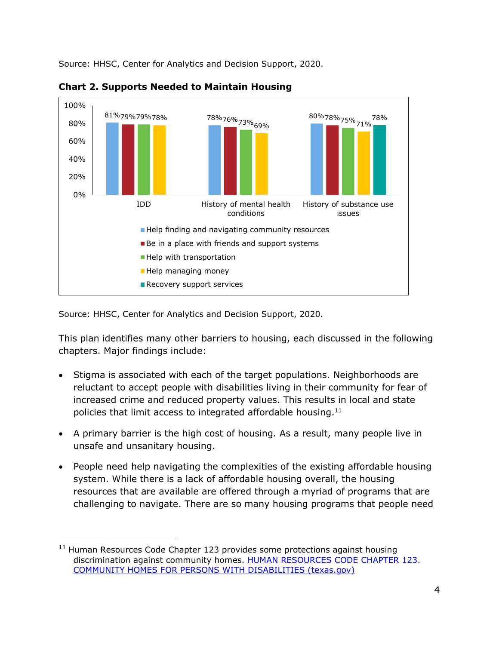Source: HHSC, Center for Analytics and Decision Support, 2020.



**Chart 2. Supports Needed to Maintain Housing**

Source: HHSC, Center for Analytics and Decision Support, 2020.

This plan identifies many other barriers to housing, each discussed in the following chapters. Major findings include:

- Stigma is associated with each of the target populations. Neighborhoods are reluctant to accept people with disabilities living in their community for fear of increased crime and reduced property values. This results in local and state policies that limit access to integrated affordable housing.<sup>11</sup>
- A primary barrier is the high cost of housing. As a result, many people live in unsafe and unsanitary housing.
- People need help navigating the complexities of the existing affordable housing system. While there is a lack of affordable housing overall, the housing resources that are available are offered through a myriad of programs that are challenging to navigate. There are so many housing programs that people need

<sup>&</sup>lt;sup>11</sup> Human Resources Code Chapter 123 provides some protections against housing discrimination against community homes. HUMAN RESOURCES CODE CHAPTER 123. [COMMUNITY HOMES FOR PERSONS WITH DISABILITIES \(texas.gov\)](https://statutes.capitol.texas.gov/Docs/HR/htm/HR.123.htm)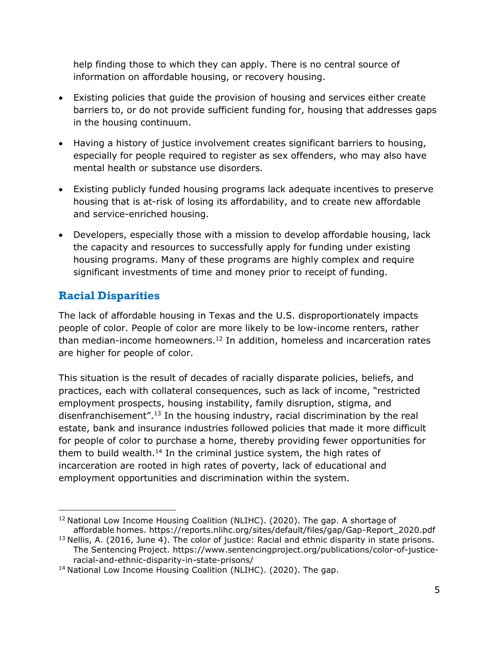help finding those to which they can apply. There is no central source of information on affordable housing, or recovery housing.

- Existing policies that guide the provision of housing and services either create barriers to, or do not provide sufficient funding for, housing that addresses gaps in the housing continuum.
- Having a history of justice involvement creates significant barriers to housing, especially for people required to register as sex offenders, who may also have mental health or substance use disorders.
- Existing publicly funded housing programs lack adequate incentives to preserve housing that is at-risk of losing its affordability, and to create new affordable and service-enriched housing.
- Developers, especially those with a mission to develop affordable housing, lack the capacity and resources to successfully apply for funding under existing housing programs. Many of these programs are highly complex and require significant investments of time and money prior to receipt of funding.

## **Racial Disparities**

The lack of affordable housing in Texas and the U.S. disproportionately impacts people of color. People of color are more likely to be low-income renters, rather than median-income homeowners.<sup>12</sup> In addition, homeless and incarceration rates are higher for people of color.

This situation is the result of decades of racially disparate policies, beliefs, and practices, each with collateral consequences, such as lack of income, "restricted employment prospects, housing instability, family disruption, stigma, and disenfranchisement".<sup>13</sup> In the housing industry, racial discrimination by the real estate, bank and insurance industries followed policies that made it more difficult for people of color to purchase a home, thereby providing fewer opportunities for them to build wealth.<sup>14</sup> In the criminal justice system, the high rates of incarceration are rooted in high rates of poverty, lack of educational and employment opportunities and discrimination within the system.

 $12$  National Low Income Housing Coalition (NLIHC). (2020). The gap. A shortage of affordable homes. [https://reports.nlihc.org/sites/default/files/gap/Gap-Report\\_2020.pdf](https://reports.nlihc.org/sites/default/files/gap/Gap-Report_2020.pdf)

 $13$  Nellis, A. (2016, June 4). The color of justice: Racial and ethnic disparity in state prisons. The Sentencing Project. [https://www.sentencingproject.org/publications/color-of-justice](https://www.sentencingproject.org/publications/color-of-justice-racial-and-ethnic-disparity-in-state-prisons/)[racial-and-ethnic-disparity-in-state-prisons/](https://www.sentencingproject.org/publications/color-of-justice-racial-and-ethnic-disparity-in-state-prisons/)

<sup>&</sup>lt;sup>14</sup> National Low Income Housing Coalition (NLIHC). (2020). The gap.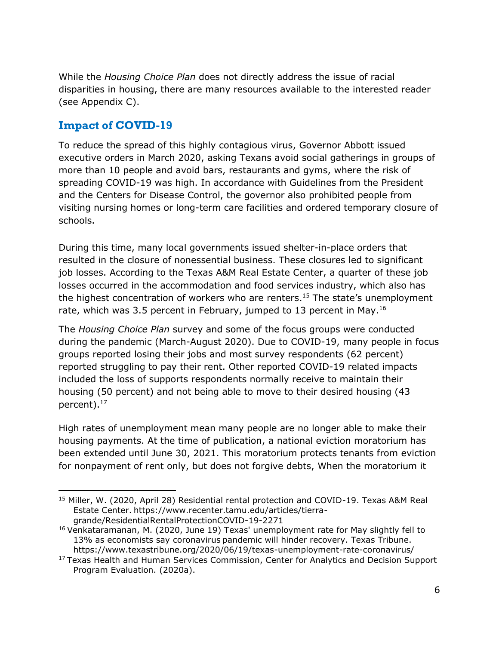While the *Housing Choice Plan* does not directly address the issue of racial disparities in housing, there are many resources available to the interested reader (see Appendix C).

#### **Impact of COVID-19**

To reduce the spread of this highly contagious virus, Governor Abbott issued executive orders in March 2020, asking Texans avoid social gatherings in groups of more than 10 people and avoid bars, restaurants and gyms, where the risk of spreading COVID-19 was high. In accordance with Guidelines from the President and the Centers for Disease Control, the governor also prohibited people from visiting nursing homes or long-term care facilities and ordered temporary closure of schools.

During this time, many local governments issued shelter-in-place orders that resulted in the closure of nonessential business. These closures led to significant job losses. According to the Texas A&M Real Estate Center, a quarter of these job losses occurred in the accommodation and food services industry, which also has the highest concentration of workers who are renters.<sup>15</sup> The state's unemployment rate, which was 3.5 percent in February, jumped to 13 percent in May.<sup>16</sup>

The *Housing Choice Plan* survey and some of the focus groups were conducted during the pandemic (March-August 2020). Due to COVID-19, many people in focus groups reported losing their jobs and most survey respondents (62 percent) reported struggling to pay their rent. Other reported COVID-19 related impacts included the loss of supports respondents normally receive to maintain their housing (50 percent) and not being able to move to their desired housing (43 percent).<sup>17</sup>

High rates of unemployment mean many people are no longer able to make their housing payments. At the time of publication, a national eviction moratorium has been extended until June 30, 2021. This moratorium protects tenants from eviction for nonpayment of rent only, but does not forgive debts, When the moratorium it

<sup>&</sup>lt;sup>15</sup> Miller, W. (2020, April 28) Residential rental protection and COVID-19. Texas A&M Real Estate Center. [https://www.recenter.tamu.edu/articles/tierra](https://www.recenter.tamu.edu/articles/tierra-grande/ResidentialRentalProtectionCOVID-19-2271)[grande/ResidentialRentalProtectionCOVID-19-2271](https://www.recenter.tamu.edu/articles/tierra-grande/ResidentialRentalProtectionCOVID-19-2271)

<sup>&</sup>lt;sup>16</sup> Venkataramanan, M. (2020, June 19) Texas' unemployment rate for May slightly fell to 13% as economists say coronavirus pandemic will hinder recovery. Texas Tribune. <https://www.texastribune.org/2020/06/19/texas-unemployment-rate-coronavirus/>

<sup>&</sup>lt;sup>17</sup> Texas Health and Human Services Commission, Center for Analytics and Decision Support Program Evaluation. (2020a).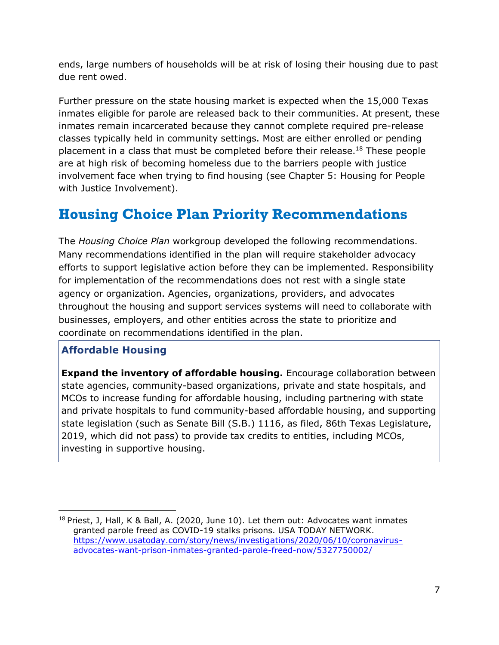ends, large numbers of households will be at risk of losing their housing due to past due rent owed.

Further pressure on the state housing market is expected when the 15,000 Texas inmates eligible for parole are released back to their communities. At present, these inmates remain incarcerated because they cannot complete required pre-release classes typically held in community settings. Most are either enrolled or pending placement in a class that must be completed before their release.<sup>18</sup> These people are at high risk of becoming homeless due to the barriers people with justice involvement face when trying to find housing (see Chapter 5: Housing for People with Justice Involvement).

# **Housing Choice Plan Priority Recommendations**

The *Housing Choice Plan* workgroup developed the following recommendations. Many recommendations identified in the plan will require stakeholder advocacy efforts to support legislative action before they can be implemented. Responsibility for implementation of the recommendations does not rest with a single state agency or organization. Agencies, organizations, providers, and advocates throughout the housing and support services systems will need to collaborate with businesses, employers, and other entities across the state to prioritize and coordinate on recommendations identified in the plan.

#### **Affordable Housing**

**Expand the inventory of affordable housing.** Encourage collaboration between state agencies, community-based organizations, private and state hospitals, and MCOs to increase funding for affordable housing, including partnering with state and private hospitals to fund community-based affordable housing, and supporting state legislation (such as Senate Bill (S.B.) 1116, as filed, 86th Texas Legislature, 2019, which did not pass) to provide tax credits to entities, including MCOs, investing in supportive housing.

<sup>&</sup>lt;sup>18</sup> Priest, J, Hall, K & Ball, A. (2020, June 10). Let them out: Advocates want inmates granted parole freed as COVID-19 stalks prisons. USA TODAY NETWORK. [https://www.usatoday.com/story/news/investigations/2020/06/10/coronavirus](https://www.usatoday.com/story/news/investigations/2020/06/10/coronavirus-advocates-want-prison-inmates-granted-parole-freed-now/5327750002/)[advocates-want-prison-inmates-granted-parole-freed-now/5327750002/](https://www.usatoday.com/story/news/investigations/2020/06/10/coronavirus-advocates-want-prison-inmates-granted-parole-freed-now/5327750002/)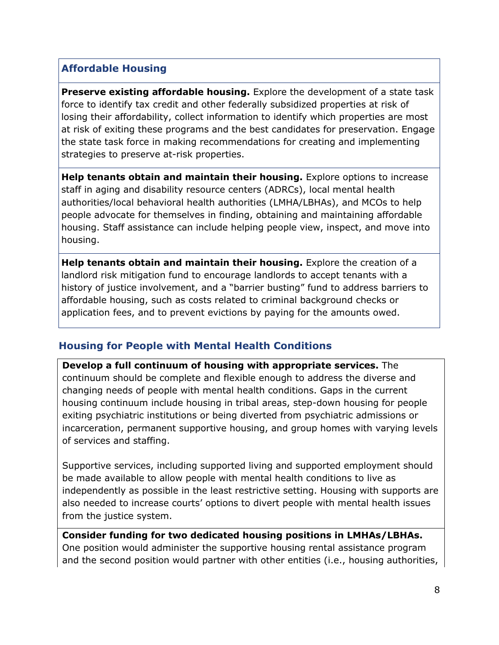#### **Affordable Housing**

**Preserve existing affordable housing.** Explore the development of a state task force to identify tax credit and other federally subsidized properties at risk of losing their affordability, collect information to identify which properties are most at risk of exiting these programs and the best candidates for preservation. Engage the state task force in making recommendations for creating and implementing strategies to preserve at-risk properties.

**Help tenants obtain and maintain their housing.** Explore options to increase staff in aging and disability resource centers (ADRCs), local mental health authorities/local behavioral health authorities (LMHA/LBHAs), and MCOs to help people advocate for themselves in finding, obtaining and maintaining affordable housing. Staff assistance can include helping people view, inspect, and move into housing.

**Help tenants obtain and maintain their housing.** Explore the creation of a landlord risk mitigation fund to encourage landlords to accept tenants with a history of justice involvement, and a "barrier busting" fund to address barriers to affordable housing, such as costs related to criminal background checks or application fees, and to prevent evictions by paying for the amounts owed.

#### **Housing for People with Mental Health Conditions**

**Develop a full continuum of housing with appropriate services.** The continuum should be complete and flexible enough to address the diverse and changing needs of people with mental health conditions. Gaps in the current housing continuum include housing in tribal areas, step-down housing for people exiting psychiatric institutions or being diverted from psychiatric admissions or incarceration, permanent supportive housing, and group homes with varying levels of services and staffing.

Supportive services, including supported living and supported employment should be made available to allow people with mental health conditions to live as independently as possible in the least restrictive setting. Housing with supports are also needed to increase courts' options to divert people with mental health issues from the justice system.

#### **Consider funding for two dedicated housing positions in LMHAs/LBHAs.**  One position would administer the supportive housing rental assistance program and the second position would partner with other entities (i.e., housing authorities,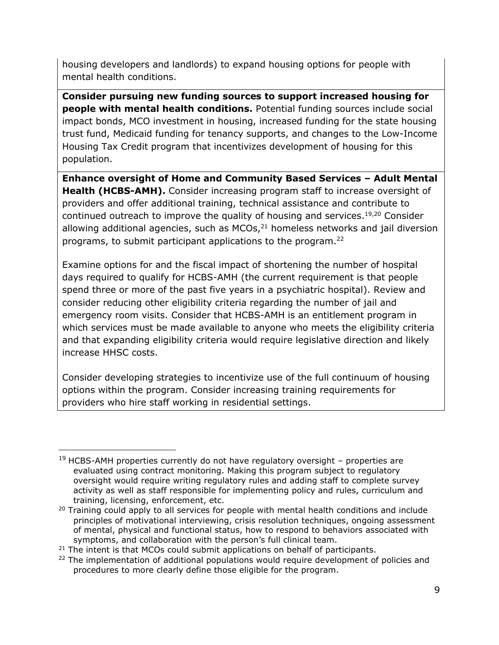housing developers and landlords) to expand housing options for people with mental health conditions.

**Consider pursuing new funding sources to support increased housing for people with mental health conditions.** Potential funding sources include social impact bonds, MCO investment in housing, increased funding for the state housing trust fund, Medicaid funding for tenancy supports, and changes to the Low-Income Housing Tax Credit program that incentivizes development of housing for this population.

**Enhance oversight of Home and Community Based Services – Adult Mental Health (HCBS-AMH).** Consider increasing program staff to increase oversight of providers and offer additional training, technical assistance and contribute to continued outreach to improve the quality of housing and services.<sup>19,20</sup> Consider allowing additional agencies, such as  $MCOs<sub>i</sub><sup>21</sup>$  homeless networks and jail diversion programs, to submit participant applications to the program.<sup>22</sup>

Examine options for and the fiscal impact of shortening the number of hospital days required to qualify for HCBS-AMH (the current requirement is that people spend three or more of the past five years in a psychiatric hospital). Review and consider reducing other eligibility criteria regarding the number of jail and emergency room visits. Consider that HCBS-AMH is an entitlement program in which services must be made available to anyone who meets the eligibility criteria and that expanding eligibility criteria would require legislative direction and likely increase HHSC costs.

Consider developing strategies to incentivize use of the full continuum of housing options within the program. Consider increasing training requirements for providers who hire staff working in residential settings.

 $19$  HCBS-AMH properties currently do not have regulatory oversight – properties are evaluated using contract monitoring. Making this program subject to regulatory oversight would require writing regulatory rules and adding staff to complete survey activity as well as staff responsible for implementing policy and rules, curriculum and training, licensing, enforcement, etc.

<sup>&</sup>lt;sup>20</sup> Training could apply to all services for people with mental health conditions and include principles of motivational interviewing, crisis resolution techniques, ongoing assessment of mental, physical and functional status, how to respond to behaviors associated with symptoms, and collaboration with the person's full clinical team.

 $21$  The intent is that MCOs could submit applications on behalf of participants.

<sup>&</sup>lt;sup>22</sup> The implementation of additional populations would require development of policies and procedures to more clearly define those eligible for the program.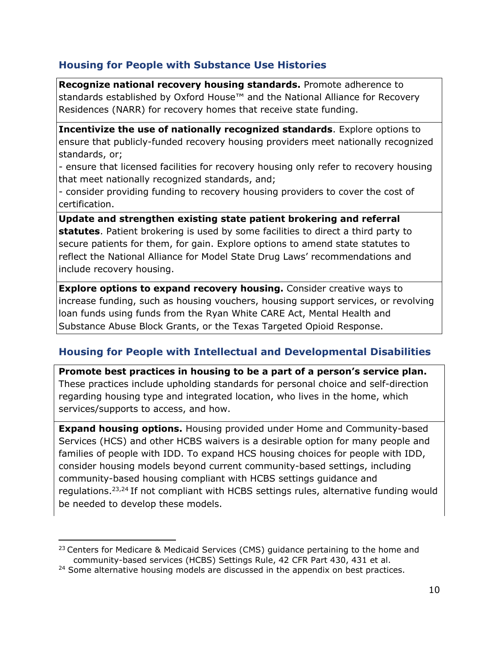#### **Housing for People with Substance Use Histories**

**Recognize national recovery housing standards.** Promote adherence to standards established by Oxford House™ and the National Alliance for Recovery Residences (NARR) for recovery homes that receive state funding.

**Incentivize the use of nationally recognized standards**. Explore options to ensure that publicly-funded recovery housing providers meet nationally recognized standards, or;

- ensure that licensed facilities for recovery housing only refer to recovery housing that meet nationally recognized standards, and;

- consider providing funding to recovery housing providers to cover the cost of certification.

**Update and strengthen existing state patient brokering and referral statutes**. Patient brokering is used by some facilities to direct a third party to secure patients for them, for gain. Explore options to amend state statutes to reflect the National Alliance for Model State Drug Laws' recommendations and include recovery housing.

**Explore options to expand recovery housing.** Consider creative ways to increase funding, such as housing vouchers, housing support services, or revolving loan funds using funds from the Ryan White CARE Act, Mental Health and Substance Abuse Block Grants, or the Texas Targeted Opioid Response.

#### **Housing for People with Intellectual and Developmental Disabilities**

**Promote best practices in housing to be a part of a person's service plan.** These practices include upholding standards for personal choice and self-direction regarding housing type and integrated location, who lives in the home, which services/supports to access, and how.

**Expand housing options.** Housing provided under Home and Community-based Services (HCS) and other HCBS waivers is a desirable option for many people and families of people with IDD. To expand HCS housing choices for people with IDD, consider housing models beyond current community-based settings, including community-based housing compliant with HCBS settings guidance and regulations.23,24 If not compliant with HCBS settings rules, alternative funding would be needed to develop these models.

 $23$  Centers for Medicare & Medicaid Services (CMS) guidance pertaining to the home and community-based services (HCBS) Settings Rule, 42 CFR Part 430, 431 et al.

<sup>&</sup>lt;sup>24</sup> Some alternative housing models are discussed in the appendix on best practices.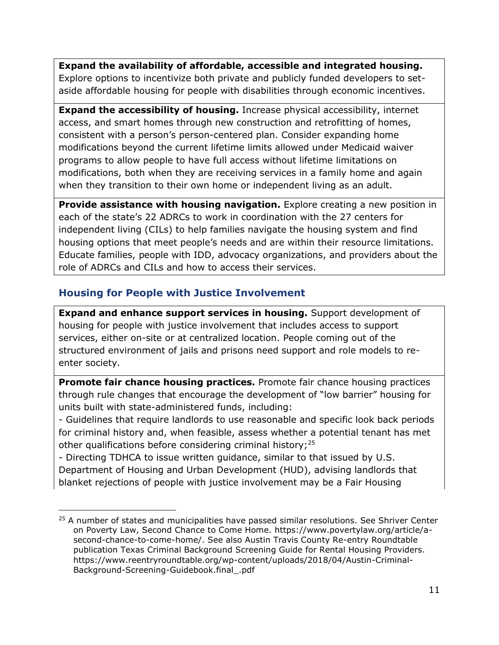**Expand the availability of affordable, accessible and integrated housing.**  Explore options to incentivize both private and publicly funded developers to setaside affordable housing for people with disabilities through economic incentives.

**Expand the accessibility of housing.** Increase physical accessibility, internet access, and smart homes through new construction and retrofitting of homes, consistent with a person's person-centered plan. Consider expanding home modifications beyond the current lifetime limits allowed under Medicaid waiver programs to allow people to have full access without lifetime limitations on modifications, both when they are receiving services in a family home and again when they transition to their own home or independent living as an adult.

**Provide assistance with housing navigation.** Explore creating a new position in each of the state's 22 ADRCs to work in coordination with the 27 centers for independent living (CILs) to help families navigate the housing system and find housing options that meet people's needs and are within their resource limitations. Educate families, people with IDD, advocacy organizations, and providers about the role of ADRCs and CILs and how to access their services.

#### **Housing for People with Justice Involvement**

**Expand and enhance support services in housing.** Support development of housing for people with justice involvement that includes access to support services, either on-site or at centralized location. People coming out of the structured environment of jails and prisons need support and role models to reenter society.

**Promote fair chance housing practices.** Promote fair chance housing practices through rule changes that encourage the development of "low barrier" housing for units built with state-administered funds, including:

- Guidelines that require landlords to use reasonable and specific look back periods for criminal history and, when feasible, assess whether a potential tenant has met other qualifications before considering criminal history;<sup>25</sup>

- Directing TDHCA to issue written guidance, similar to that issued by U.S. Department of Housing and Urban Development (HUD), advising landlords that blanket rejections of people with justice involvement may be a Fair Housing

 $25$  A number of states and municipalities have passed similar resolutions. See Shriver Center on Poverty Law, Second Chance to Come Home. [https://www.povertylaw.org/article/a](https://www.povertylaw.org/article/a-second-chance-to-come-home/)[second-chance-to-come-home/.](https://www.povertylaw.org/article/a-second-chance-to-come-home/) See also Austin Travis County Re-entry Roundtable publication Texas Criminal Background Screening Guide for Rental Housing Providers. [https://www.reentryroundtable.org/wp-content/uploads/2018/04/Austin-Criminal-](https://www.reentryroundtable.org/wp-content/uploads/2018/04/Austin-Criminal-Background-Screening-Guidebook.final_.pdf)[Background-Screening-Guidebook.final\\_.pdf](https://www.reentryroundtable.org/wp-content/uploads/2018/04/Austin-Criminal-Background-Screening-Guidebook.final_.pdf)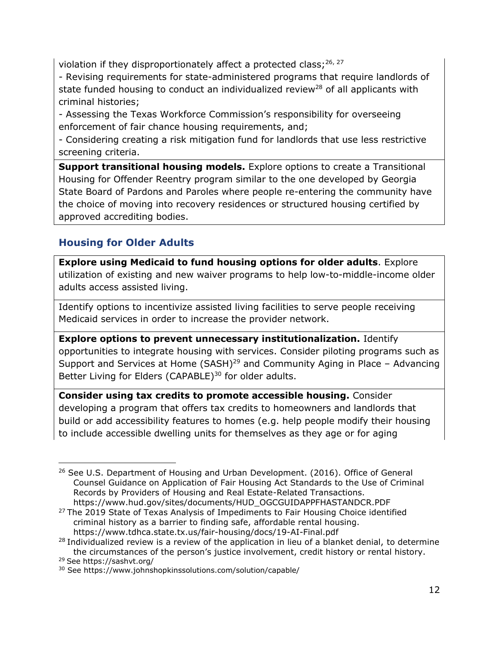violation if they disproportionately affect a protected class;  $26, 27$ 

- Revising requirements for state-administered programs that require landlords of state funded housing to conduct an individualized review<sup>28</sup> of all applicants with criminal histories;

- Assessing the Texas Workforce Commission's responsibility for overseeing enforcement of fair chance housing requirements, and;

- Considering creating a risk mitigation fund for landlords that use less restrictive screening criteria.

**Support transitional housing models.** Explore options to create a Transitional Housing for Offender Reentry program similar to the one developed by Georgia State Board of Pardons and Paroles where people re-entering the community have the choice of moving into recovery residences or structured housing certified by approved accrediting bodies.

### **Housing for Older Adults**

**Explore using Medicaid to fund housing options for older adults**. Explore utilization of existing and new waiver programs to help low-to-middle-income older adults access assisted living.

Identify options to incentivize assisted living facilities to serve people receiving Medicaid services in order to increase the provider network.

**Explore options to prevent unnecessary institutionalization.** Identify opportunities to integrate housing with services. Consider piloting programs such as Support and Services at Home (SASH)<sup>29</sup> and Community Aging in Place – Advancing Better Living for Elders (CAPABLE)<sup>30</sup> for older adults.

**Consider using tax credits to promote accessible housing.** Consider developing a program that offers tax credits to homeowners and landlords that build or add accessibility features to homes (e.g. help people modify their housing to include accessible dwelling units for themselves as they age or for aging

 $26$  See U.S. Department of Housing and Urban Development. (2016). Office of General Counsel Guidance on Application of Fair Housing Act Standards to the Use of Criminal Records by Providers of Housing and Real Estate-Related Transactions. [https://www.hud.gov/sites/documents/HUD\\_OGCGUIDAPPFHASTANDCR.PDF](https://www.hud.gov/sites/documents/HUD_OGCGUIDAPPFHASTANDCR.PDF)

 $27$  The 2019 State of Texas Analysis of Impediments to Fair Housing Choice identified criminal history as a barrier to finding safe, affordable rental housing. <https://www.tdhca.state.tx.us/fair-housing/docs/19-AI-Final.pdf>

<sup>&</sup>lt;sup>28</sup> Individualized review is a review of the application in lieu of a blanket denial, to determine the circumstances of the person's justice involvement, credit history or rental history. <sup>29</sup> See<https://sashvt.org/>

<sup>30</sup> See<https://www.johnshopkinssolutions.com/solution/capable/>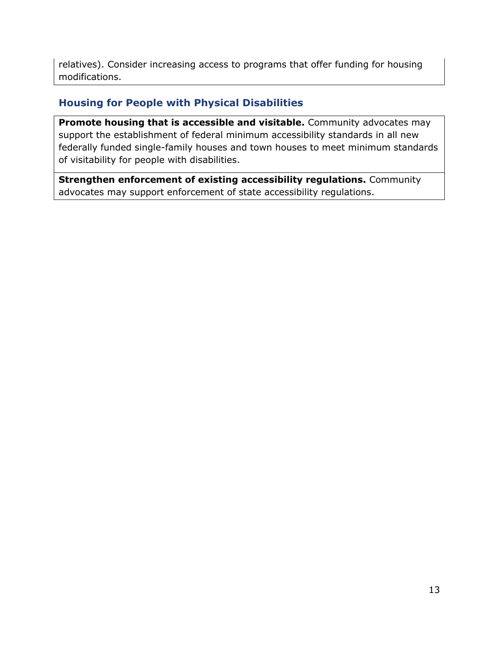relatives). Consider increasing access to programs that offer funding for housing modifications.

#### **Housing for People with Physical Disabilities**

**Promote housing that is accessible and visitable.** Community advocates may support the establishment of federal minimum accessibility standards in all new federally funded single-family houses and town houses to meet minimum standards of visitability for people with disabilities.

**Strengthen enforcement of existing accessibility regulations.** Community advocates may support enforcement of state accessibility regulations.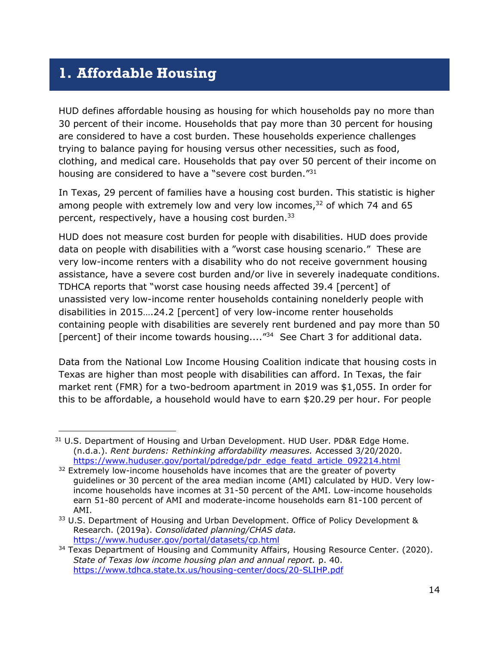# <span id="page-21-0"></span>**1. Affordable Housing**

HUD defines affordable housing as housing for which households pay no more than 30 percent of their income. Households that pay more than 30 percent for housing are considered to have a cost burden. These households experience challenges trying to balance paying for housing versus other necessities, such as food, clothing, and medical care. Households that pay over 50 percent of their income on housing are considered to have a "severe cost burden."<sup>31</sup>

In Texas, 29 percent of families have a housing cost burden. This statistic is higher among people with extremely low and very low incomes, $32$  of which 74 and 65 percent, respectively, have a housing cost burden.<sup>33</sup>

HUD does not measure cost burden for people with disabilities. HUD does provide data on people with disabilities with a "worst case housing scenario." These are very low-income renters with a disability who do not receive government housing assistance, have a severe cost burden and/or live in severely inadequate conditions. TDHCA reports that "worst case housing needs affected 39.4 [percent] of unassisted very low-income renter households containing nonelderly people with disabilities in 2015….24.2 [percent] of very low-income renter households containing people with disabilities are severely rent burdened and pay more than 50 [percent] of their income towards housing....<sup>"34</sup> See Chart 3 for additional data.

Data from the National Low Income Housing Coalition indicate that housing costs in Texas are higher than most people with disabilities can afford. In Texas, the fair market rent (FMR) for a two-bedroom apartment in 2019 was \$1,055. In order for this to be affordable, a household would have to earn \$20.29 per hour. For people

<sup>&</sup>lt;sup>31</sup> U.S. Department of Housing and Urban Development. HUD User. PD&R Edge Home. (n.d.a.). *Rent burdens: Rethinking affordability measures.* Accessed 3/20/2020. [https://www.huduser.gov/portal/pdredge/pdr\\_edge\\_featd\\_article\\_092214.html](https://www.huduser.gov/portal/pdredge/pdr_edge_featd_article_092214.html)

 $32$  Extremely low-income households have incomes that are the greater of poverty guidelines or 30 percent of the area median income (AMI) calculated by HUD. Very lowincome households have incomes at 31-50 percent of the AMI. Low-income households earn 51-80 percent of AMI and moderate-income households earn 81-100 percent of AMI.

<sup>33</sup> U.S. Department of Housing and Urban Development. Office of Policy Development & Research. (2019a). *Consolidated planning/CHAS data.* <https://www.huduser.gov/portal/datasets/cp.html>

<sup>&</sup>lt;sup>34</sup> Texas Department of Housing and Community Affairs, Housing Resource Center. (2020). *State of Texas low income housing plan and annual report.* p. 40. <https://www.tdhca.state.tx.us/housing-center/docs/20-SLIHP.pdf>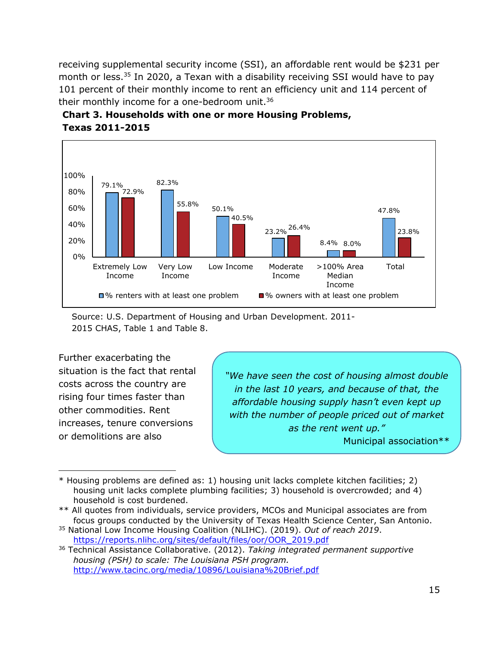receiving supplemental security income (SSI), an affordable rent would be \$231 per month or less.<sup>35</sup> In 2020, a Texan with a disability receiving SSI would have to pay 101 percent of their monthly income to rent an efficiency unit and 114 percent of their monthly income for a one-bedroom unit.<sup>36</sup>







Further exacerbating the situation is the fact that rental costs across the country are rising four times faster than other commodities. Rent increases, tenure conversions or demolitions are also

*"We have seen the cost of housing almost double in the last 10 years, and because of that, the affordable housing supply hasn't even kept up with the number of people priced out of market as the rent went up."* Municipal association\*\*

<sup>\*</sup> Housing problems are defined as: 1) housing unit lacks complete kitchen facilities; 2) housing unit lacks complete plumbing facilities; 3) household is overcrowded; and 4) household is cost burdened.

<sup>\*\*</sup> All quotes from individuals, service providers, MCOs and Municipal associates are from focus groups conducted by the University of Texas Health Science Center, San Antonio.

<sup>35</sup> National Low Income Housing Coalition (NLIHC). (2019). *Out of reach 2019*. [https://reports.nlihc.org/sites/default/files/oor/OOR\\_2019.pdf](https://reports.nlihc.org/sites/default/files/oor/OOR_2019.pdf)

<sup>36</sup> Technical Assistance Collaborative. (2012). *Taking integrated permanent supportive housing (PSH) to scale: The Louisiana PSH program.* <http://www.tacinc.org/media/10896/Louisiana%20Brief.pdf>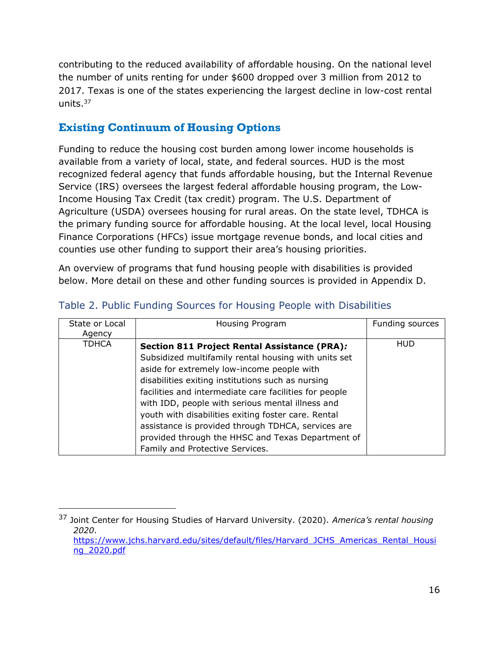contributing to the reduced availability of affordable housing. On the national level the number of units renting for under \$600 dropped over 3 million from 2012 to 2017. Texas is one of the states experiencing the largest decline in low-cost rental units. $37$ 

#### **Existing Continuum of Housing Options**

Funding to reduce the housing cost burden among lower income households is available from a variety of local, state, and federal sources. HUD is the most recognized federal agency that funds affordable housing, but the Internal Revenue Service (IRS) oversees the largest federal affordable housing program, the Low-Income Housing Tax Credit (tax credit) program. The U.S. Department of Agriculture (USDA) oversees housing for rural areas. On the state level, TDHCA is the primary funding source for affordable housing. At the local level, local Housing Finance Corporations (HFCs) issue mortgage revenue bonds, and local cities and counties use other funding to support their area's housing priorities.

An overview of programs that fund housing people with disabilities is provided below. More detail on these and other funding sources is provided in Appendix D.

| State or Local | Housing Program                                        | Funding sources |
|----------------|--------------------------------------------------------|-----------------|
| Agency         |                                                        |                 |
| <b>TDHCA</b>   |                                                        | <b>HUD</b>      |
|                | Section 811 Project Rental Assistance (PRA):           |                 |
|                | Subsidized multifamily rental housing with units set   |                 |
|                | aside for extremely low-income people with             |                 |
|                | disabilities exiting institutions such as nursing      |                 |
|                | facilities and intermediate care facilities for people |                 |
|                | with IDD, people with serious mental illness and       |                 |
|                | youth with disabilities exiting foster care. Rental    |                 |
|                | assistance is provided through TDHCA, services are     |                 |
|                | provided through the HHSC and Texas Department of      |                 |
|                | Family and Protective Services.                        |                 |

#### Table 2. Public Funding Sources for Housing People with Disabilities

<sup>37</sup> Joint Center for Housing Studies of Harvard University. (2020). *America's rental housing 2020*. [https://www.jchs.harvard.edu/sites/default/files/Harvard\\_JCHS\\_Americas\\_Rental\\_Housi](https://www.jchs.harvard.edu/sites/default/files/Harvard_JCHS_Americas_Rental_Housing_2020.pdf) [ng\\_2020.pdf](https://www.jchs.harvard.edu/sites/default/files/Harvard_JCHS_Americas_Rental_Housing_2020.pdf)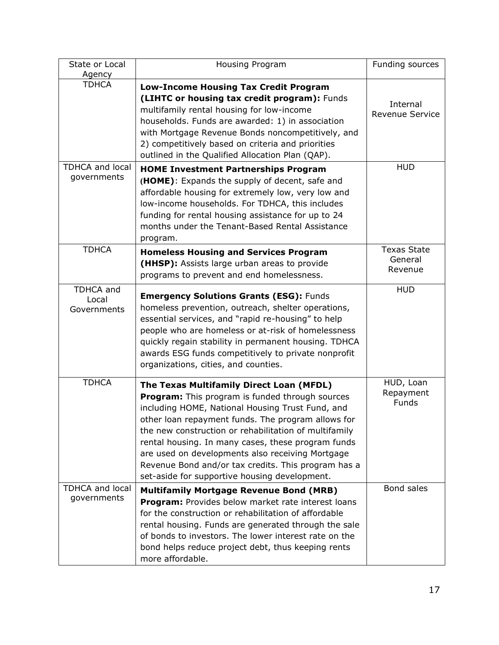| State or Local                                        | Housing Program                                                                                                                                                                                                                                                                                                                                                                                                                                                                                                                                                       | Funding sources                                  |
|-------------------------------------------------------|-----------------------------------------------------------------------------------------------------------------------------------------------------------------------------------------------------------------------------------------------------------------------------------------------------------------------------------------------------------------------------------------------------------------------------------------------------------------------------------------------------------------------------------------------------------------------|--------------------------------------------------|
| Agency                                                |                                                                                                                                                                                                                                                                                                                                                                                                                                                                                                                                                                       |                                                  |
| <b>TDHCA</b><br><b>TDHCA and local</b><br>governments | <b>Low-Income Housing Tax Credit Program</b><br>(LIHTC or housing tax credit program): Funds<br>multifamily rental housing for low-income<br>households. Funds are awarded: 1) in association<br>with Mortgage Revenue Bonds noncompetitively, and<br>2) competitively based on criteria and priorities<br>outlined in the Qualified Allocation Plan (QAP).<br><b>HOME Investment Partnerships Program</b><br>(HOME): Expands the supply of decent, safe and<br>affordable housing for extremely low, very low and<br>low-income households. For TDHCA, this includes | Internal<br><b>Revenue Service</b><br><b>HUD</b> |
|                                                       | funding for rental housing assistance for up to 24<br>months under the Tenant-Based Rental Assistance<br>program.                                                                                                                                                                                                                                                                                                                                                                                                                                                     |                                                  |
| <b>TDHCA</b>                                          | <b>Homeless Housing and Services Program</b><br>(HHSP): Assists large urban areas to provide<br>programs to prevent and end homelessness.                                                                                                                                                                                                                                                                                                                                                                                                                             | <b>Texas State</b><br>General<br>Revenue         |
| TDHCA and<br>Local<br>Governments                     | <b>Emergency Solutions Grants (ESG): Funds</b><br>homeless prevention, outreach, shelter operations,<br>essential services, and "rapid re-housing" to help<br>people who are homeless or at-risk of homelessness<br>quickly regain stability in permanent housing. TDHCA<br>awards ESG funds competitively to private nonprofit<br>organizations, cities, and counties.                                                                                                                                                                                               | <b>HUD</b>                                       |
| <b>TDHCA</b>                                          | The Texas Multifamily Direct Loan (MFDL)<br><b>Program:</b> This program is funded through sources<br>including HOME, National Housing Trust Fund, and<br>other loan repayment funds. The program allows for<br>the new construction or rehabilitation of multifamily<br>rental housing. In many cases, these program funds<br>are used on developments also receiving Mortgage<br>Revenue Bond and/or tax credits. This program has a<br>set-aside for supportive housing development.                                                                               | HUD, Loan<br>Repayment<br><b>Funds</b>           |
| <b>TDHCA and local</b><br>governments                 | <b>Multifamily Mortgage Revenue Bond (MRB)</b><br>Program: Provides below market rate interest loans<br>for the construction or rehabilitation of affordable<br>rental housing. Funds are generated through the sale<br>of bonds to investors. The lower interest rate on the<br>bond helps reduce project debt, thus keeping rents<br>more affordable.                                                                                                                                                                                                               | Bond sales                                       |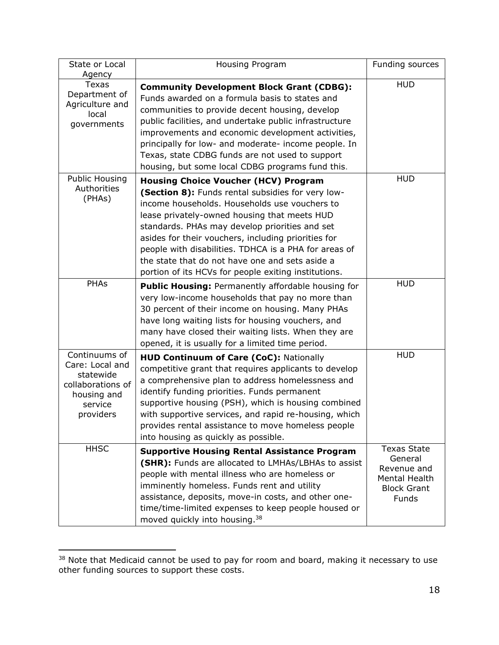| State or Local<br>Agency                                                                                  | <b>Housing Program</b>                                                                                                                                                                                                                                                                                                                                                                                                                                                         | Funding sources                                                                              |
|-----------------------------------------------------------------------------------------------------------|--------------------------------------------------------------------------------------------------------------------------------------------------------------------------------------------------------------------------------------------------------------------------------------------------------------------------------------------------------------------------------------------------------------------------------------------------------------------------------|----------------------------------------------------------------------------------------------|
| <b>Texas</b><br>Department of<br>Agriculture and<br>local<br>governments                                  | <b>Community Development Block Grant (CDBG):</b><br>Funds awarded on a formula basis to states and<br>communities to provide decent housing, develop<br>public facilities, and undertake public infrastructure<br>improvements and economic development activities,<br>principally for low- and moderate- income people. In<br>Texas, state CDBG funds are not used to support<br>housing, but some local CDBG programs fund this.                                             | <b>HUD</b>                                                                                   |
| <b>Public Housing</b><br>Authorities<br>(PHAs)                                                            | <b>Housing Choice Voucher (HCV) Program</b><br>(Section 8): Funds rental subsidies for very low-<br>income households. Households use vouchers to<br>lease privately-owned housing that meets HUD<br>standards. PHAs may develop priorities and set<br>asides for their vouchers, including priorities for<br>people with disabilities. TDHCA is a PHA for areas of<br>the state that do not have one and sets aside a<br>portion of its HCVs for people exiting institutions. | <b>HUD</b>                                                                                   |
| <b>PHAs</b>                                                                                               | Public Housing: Permanently affordable housing for<br>very low-income households that pay no more than<br>30 percent of their income on housing. Many PHAs<br>have long waiting lists for housing vouchers, and<br>many have closed their waiting lists. When they are<br>opened, it is usually for a limited time period.                                                                                                                                                     | <b>HUD</b>                                                                                   |
| Continuums of<br>Care: Local and<br>statewide<br>collaborations of<br>housing and<br>service<br>providers | HUD Continuum of Care (CoC): Nationally<br>competitive grant that requires applicants to develop<br>a comprehensive plan to address homelessness and<br>identify funding priorities. Funds permanent<br>supportive housing (PSH), which is housing combined<br>with supportive services, and rapid re-housing, which<br>provides rental assistance to move homeless people<br>into housing as quickly as possible.                                                             | <b>HUD</b>                                                                                   |
| <b>HHSC</b>                                                                                               | <b>Supportive Housing Rental Assistance Program</b><br>(SHR): Funds are allocated to LMHAs/LBHAs to assist<br>people with mental illness who are homeless or<br>imminently homeless. Funds rent and utility<br>assistance, deposits, move-in costs, and other one-<br>time/time-limited expenses to keep people housed or<br>moved quickly into housing. <sup>38</sup>                                                                                                         | <b>Texas State</b><br>General<br>Revenue and<br>Mental Health<br><b>Block Grant</b><br>Funds |

<sup>&</sup>lt;sup>38</sup> Note that Medicaid cannot be used to pay for room and board, making it necessary to use other funding sources to support these costs.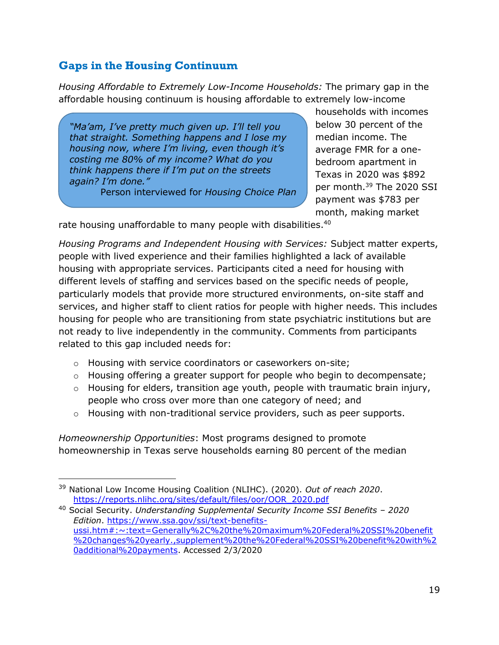#### **Gaps in the Housing Continuum**

*Housing Affordable to Extremely Low-Income Households:* The primary gap in the affordable housing continuum is housing affordable to extremely low-income

*"Ma'am, I've pretty much given up. I'll tell you that straight. Something happens and I lose my housing now, where I'm living, even though it's costing me 80% of my income? What do you think happens there if I'm put on the streets again? I'm done."*

Person interviewed for *Housing Choice Plan*

households with incomes below 30 percent of the median income. The average FMR for a onebedroom apartment in Texas in 2020 was \$892 per month.<sup>39</sup> The 2020 SSI payment was \$783 per month, making market

rate housing unaffordable to many people with disabilities.<sup>40</sup>

*Housing Programs and Independent Housing with Services:* Subject matter experts, people with lived experience and their families highlighted a lack of available housing with appropriate services. Participants cited a need for housing with different levels of staffing and services based on the specific needs of people, particularly models that provide more structured environments, on-site staff and services, and higher staff to client ratios for people with higher needs. This includes housing for people who are transitioning from state psychiatric institutions but are not ready to live independently in the community. Comments from participants related to this gap included needs for:

- o Housing with service coordinators or caseworkers on-site;
- o Housing offering a greater support for people who begin to decompensate;
- $\circ$  Housing for elders, transition age youth, people with traumatic brain injury, people who cross over more than one category of need; and
- $\circ$  Housing with non-traditional service providers, such as peer supports.

*Homeownership Opportunities*: Most programs designed to promote homeownership in Texas serve households earning 80 percent of the median

<sup>39</sup> National Low Income Housing Coalition (NLIHC). (2020). *Out of reach 2020*. [https://reports.nlihc.org/sites/default/files/oor/OOR\\_2020.pdf](https://reports.nlihc.org/sites/default/files/oor/OOR_2020.pdf)

<sup>40</sup> Social Security. *Understanding Supplemental Security Income SSI Benefits – 2020 Edition*. [https://www.ssa.gov/ssi/text-benefits](https://www.ssa.gov/ssi/text-benefits-ussi.htm#:~:text=Generally%2C%20the%20maximum%20Federal%20SSI%20benefit%20changes%20yearly.,supplement%20the%20Federal%20SSI%20benefit%20with%20additional%20payments)[ussi.htm#:~:text=Generally%2C%20the%20maximum%20Federal%20SSI%20benefit](https://www.ssa.gov/ssi/text-benefits-ussi.htm#:~:text=Generally%2C%20the%20maximum%20Federal%20SSI%20benefit%20changes%20yearly.,supplement%20the%20Federal%20SSI%20benefit%20with%20additional%20payments) [%20changes%20yearly.,supplement%20the%20Federal%20SSI%20benefit%20with%2](https://www.ssa.gov/ssi/text-benefits-ussi.htm#:~:text=Generally%2C%20the%20maximum%20Federal%20SSI%20benefit%20changes%20yearly.,supplement%20the%20Federal%20SSI%20benefit%20with%20additional%20payments) [0additional%20payments.](https://www.ssa.gov/ssi/text-benefits-ussi.htm#:~:text=Generally%2C%20the%20maximum%20Federal%20SSI%20benefit%20changes%20yearly.,supplement%20the%20Federal%20SSI%20benefit%20with%20additional%20payments) Accessed 2/3/2020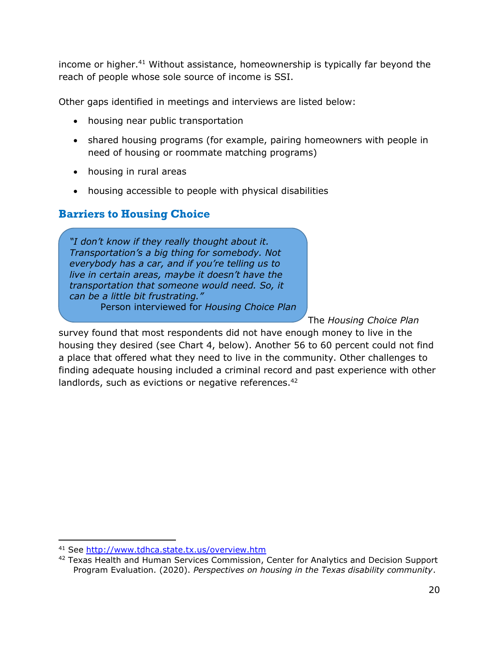income or higher. <sup>41</sup> Without assistance, homeownership is typically far beyond the reach of people whose sole source of income is SSI.

Other gaps identified in meetings and interviews are listed below:

- housing near public transportation
- shared housing programs (for example, pairing homeowners with people in need of housing or roommate matching programs)
- housing in rural areas
- housing accessible to people with physical disabilities

#### **Barriers to Housing Choice**

*"I don't know if they really thought about it. Transportation's a big thing for somebody. Not everybody has a car, and if you're telling us to live in certain areas, maybe it doesn't have the transportation that someone would need. So, it can be a little bit frustrating."* Person interviewed for *Housing Choice Plan*

The *Housing Choice Plan*

survey found that most respondents did not have enough money to live in the housing they desired (see Chart 4, below). Another 56 to 60 percent could not find a place that offered what they need to live in the community. Other challenges to finding adequate housing included a criminal record and past experience with other landlords, such as evictions or negative references.<sup>42</sup>

<sup>41</sup> See<http://www.tdhca.state.tx.us/overview.htm>

<sup>&</sup>lt;sup>42</sup> Texas Health and Human Services Commission, Center for Analytics and Decision Support Program Evaluation. (2020). *Perspectives on housing in the Texas disability community*.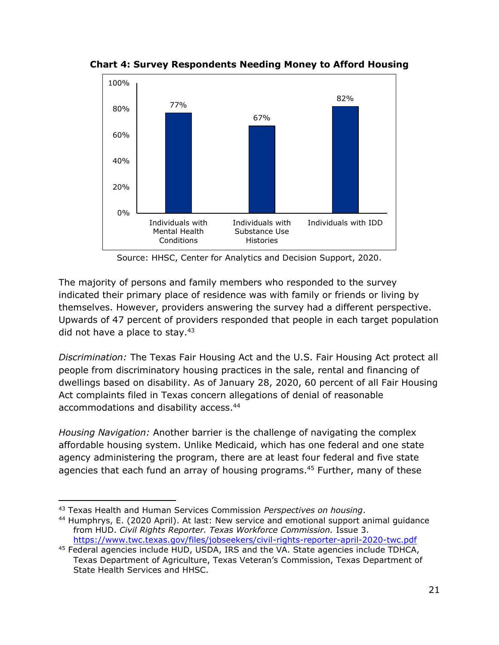

**Chart 4: Survey Respondents Needing Money to Afford Housing**

Source: HHSC, Center for Analytics and Decision Support, 2020.

The majority of persons and family members who responded to the survey indicated their primary place of residence was with family or friends or living by themselves. However, providers answering the survey had a different perspective. Upwards of 47 percent of providers responded that people in each target population did not have a place to stay.<sup>43</sup>

*Discrimination:* The Texas Fair Housing Act and the U.S. Fair Housing Act protect all people from discriminatory housing practices in the sale, rental and financing of dwellings based on disability. As of January 28, 2020, 60 percent of all Fair Housing Act complaints filed in Texas concern allegations of denial of reasonable accommodations and disability access.<sup>44</sup>

*Housing Navigation:* Another barrier is the challenge of navigating the complex affordable housing system. Unlike Medicaid, which has one federal and one state agency administering the program, there are at least four federal and five state agencies that each fund an array of housing programs.<sup>45</sup> Further, many of these

<sup>43</sup> Texas Health and Human Services Commission *Perspectives on housing*.

<sup>44</sup> Humphrys, E. (2020 April). At last: New service and emotional support animal guidance from HUD. *Civil Rights Reporter. Texas Workforce Commission.* Issue 3. <https://www.twc.texas.gov/files/jobseekers/civil-rights-reporter-april-2020-twc.pdf>

<sup>45</sup> Federal agencies include HUD, USDA, IRS and the VA. State agencies include TDHCA, Texas Department of Agriculture, Texas Veteran's Commission, Texas Department of State Health Services and HHSC.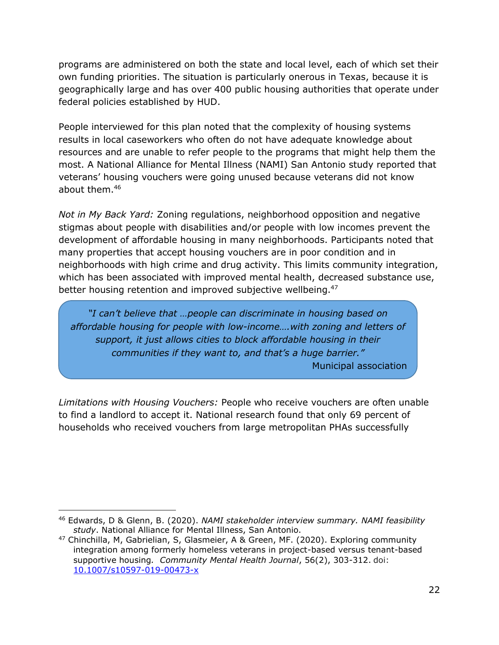programs are administered on both the state and local level, each of which set their own funding priorities. The situation is particularly onerous in Texas, because it is geographically large and has over 400 public housing authorities that operate under federal policies established by HUD.

People interviewed for this plan noted that the complexity of housing systems results in local caseworkers who often do not have adequate knowledge about resources and are unable to refer people to the programs that might help them the most. A National Alliance for Mental Illness (NAMI) San Antonio study reported that veterans' housing vouchers were going unused because veterans did not know about them.<sup>46</sup>

*Not in My Back Yard:* Zoning regulations, neighborhood opposition and negative stigmas about people with disabilities and/or people with low incomes prevent the development of affordable housing in many neighborhoods. Participants noted that many properties that accept housing vouchers are in poor condition and in neighborhoods with high crime and drug activity. This limits community integration, which has been associated with improved mental health, decreased substance use, better housing retention and improved subjective wellbeing.<sup>47</sup>

*"I can't believe that …people can discriminate in housing based on affordable housing for people with low-income….with zoning and letters of support, it just allows cities to block affordable housing in their communities if they want to, and that's a huge barrier."*

Municipal association

*Limitations with Housing Vouchers:* People who receive vouchers are often unable to find a landlord to accept it. National research found that only 69 percent of households who received vouchers from large metropolitan PHAs successfully

<sup>46</sup> Edwards, D & Glenn, B. (2020). *NAMI stakeholder interview summary. NAMI feasibility study*. National Alliance for Mental Illness, San Antonio.

<sup>47</sup> Chinchilla, M, Gabrielian, S, Glasmeier, A & Green, MF. (2020). Exploring community integration among formerly homeless veterans in project-based versus tenant-based supportive housing*. Community Mental Health Journal*, 56(2), 303-312. doi: [10.1007/s10597-019-00473-x](https://doi.org/10.1007/s10597-019-00473-x)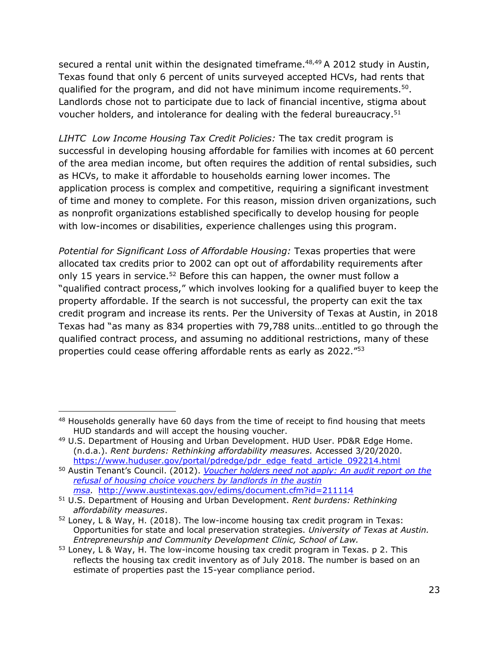secured a rental unit within the designated timeframe.<sup>48,49</sup> A 2012 study in Austin, Texas found that only 6 percent of units surveyed accepted HCVs, had rents that qualified for the program, and did not have minimum income requirements.<sup>50</sup>. Landlords chose not to participate due to lack of financial incentive, stigma about voucher holders, and intolerance for dealing with the federal bureaucracy.<sup>51</sup>

*LIHTC Low Income Housing Tax Credit Policies:* The tax credit program is successful in developing housing affordable for families with incomes at 60 percent of the area median income, but often requires the addition of rental subsidies, such as HCVs, to make it affordable to households earning lower incomes. The application process is complex and competitive, requiring a significant investment of time and money to complete. For this reason, mission driven organizations, such as nonprofit organizations established specifically to develop housing for people with low-incomes or disabilities, experience challenges using this program.

*Potential for Significant Loss of Affordable Housing:* Texas properties that were allocated tax credits prior to 2002 can opt out of affordability requirements after only 15 years in service.<sup>52</sup> Before this can happen, the owner must follow a "qualified contract process," which involves looking for a qualified buyer to keep the property affordable. If the search is not successful, the property can exit the tax credit program and increase its rents. Per the University of Texas at Austin, in 2018 Texas had "as many as 834 properties with 79,788 units…entitled to go through the qualified contract process, and assuming no additional restrictions, many of these properties could cease offering affordable rents as early as 2022."<sup>53</sup>

<sup>&</sup>lt;sup>48</sup> Households generally have 60 days from the time of receipt to find housing that meets HUD standards and will accept the housing voucher.

<sup>49</sup> U.S. Department of Housing and Urban Development. HUD User. PD&R Edge Home. (n.d.a.). *Rent burdens: Rethinking affordability measures.* Accessed 3/20/2020. [https://www.huduser.gov/portal/pdredge/pdr\\_edge\\_featd\\_article\\_092214.html](https://www.huduser.gov/portal/pdredge/pdr_edge_featd_article_092214.html)

<sup>50</sup> Austin Tenant's Council. (2012). *[Voucher holders need not apply: An audit report on the](file:///C:/Users/jpohlman01/AppData/Roaming/Microsoft/Word/Voucher%20holders%20need%20not%20apply:%20An%20audit%20report%20on%20the%20refusal%20of%20housing%20choice%20vouchers%20by%20landlords%20in%20the%20austin%20msa)  [refusal of housing choice vouchers by landlords in the austin](file:///C:/Users/jpohlman01/AppData/Roaming/Microsoft/Word/Voucher%20holders%20need%20not%20apply:%20An%20audit%20report%20on%20the%20refusal%20of%20housing%20choice%20vouchers%20by%20landlords%20in%20the%20austin%20msa)  [msa.](file:///C:/Users/jpohlman01/AppData/Roaming/Microsoft/Word/Voucher%20holders%20need%20not%20apply:%20An%20audit%20report%20on%20the%20refusal%20of%20housing%20choice%20vouchers%20by%20landlords%20in%20the%20austin%20msa)* <http://www.austintexas.gov/edims/document.cfm?id=211114>

<sup>51</sup> U.S. Department of Housing and Urban Development. *Rent burdens: Rethinking affordability measures*.

 $52$  Loney, L & Way, H. (2018). The low-income housing tax credit program in Texas: Opportunities for state and local preservation strategies. *University of Texas at Austin. Entrepreneurship and Community Development Clinic, School of Law.*

 $53$  Loney, L & Way, H. The low-income housing tax credit program in Texas. p 2. This reflects the housing tax credit inventory as of July 2018. The number is based on an estimate of properties past the 15-year compliance period.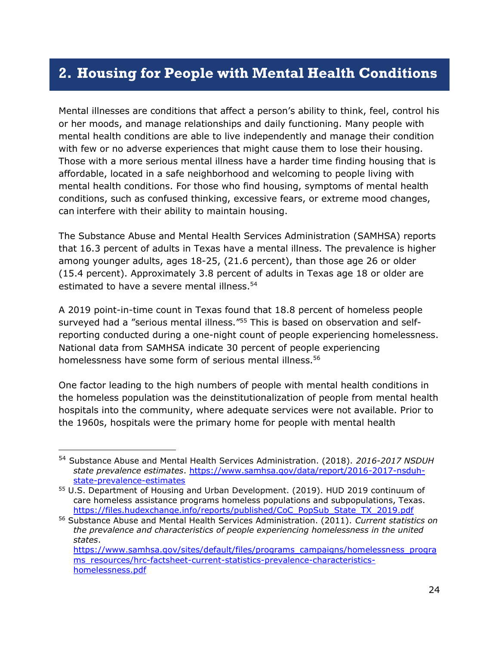## <span id="page-31-0"></span>**2. Housing for People with Mental Health Conditions**

Mental illnesses are conditions that affect a person's ability to think, feel, control his or her moods, and manage relationships and daily functioning. Many people with mental health conditions are able to live independently and manage their condition with few or no adverse experiences that might cause them to lose their housing. Those with a more serious mental illness have a harder time finding housing that is affordable, located in a safe neighborhood and welcoming to people living with mental health conditions. For those who find housing, symptoms of mental health conditions, such as confused thinking, excessive fears, or extreme mood changes, can interfere with their ability to maintain housing.

The Substance Abuse and Mental Health Services Administration (SAMHSA) reports that 16.3 percent of adults in Texas have a mental illness. The prevalence is higher among younger adults, ages 18-25, (21.6 percent), than those age 26 or older (15.4 percent). Approximately 3.8 percent of adults in Texas age 18 or older are estimated to have a severe mental illness.<sup>54</sup>

A 2019 point-in-time count in Texas found that 18.8 percent of homeless people surveyed had a "serious mental illness."<sup>55</sup> This is based on observation and selfreporting conducted during a one-night count of people experiencing homelessness. National data from SAMHSA indicate 30 percent of people experiencing homelessness have some form of serious mental illness.<sup>56</sup>

One factor leading to the high numbers of people with mental health conditions in the homeless population was the deinstitutionalization of people from mental health hospitals into the community, where adequate services were not available. Prior to the 1960s, hospitals were the primary home for people with mental health

<sup>54</sup> Substance Abuse and Mental Health Services Administration. (2018). *2016-2017 NSDUH state prevalence estimates*. [https://www.samhsa.gov/data/report/2016-2017-nsduh](https://www.samhsa.gov/data/report/2016-2017-nsduh-state-prevalence-estimates)[state-prevalence-estimates](https://www.samhsa.gov/data/report/2016-2017-nsduh-state-prevalence-estimates)

<sup>55</sup> U.S. Department of Housing and Urban Development. (2019). HUD 2019 continuum of care homeless assistance programs homeless populations and subpopulations, Texas. [https://files.hudexchange.info/reports/published/CoC\\_PopSub\\_State\\_TX\\_2019.pdf](https://files.hudexchange.info/reports/published/CoC_PopSub_State_TX_2019.pdf)

<sup>56</sup> Substance Abuse and Mental Health Services Administration. (2011). *Current statistics on the prevalence and characteristics of people experiencing homelessness in the united states*.

[https://www.samhsa.gov/sites/default/files/programs\\_campaigns/homelessness\\_progra](https://www.samhsa.gov/sites/default/files/programs_campaigns/homelessness_programs_resources/hrc-factsheet-current-statistics-prevalence-characteristics-homelessness.pdf) [ms\\_resources/hrc-factsheet-current-statistics-prevalence-characteristics](https://www.samhsa.gov/sites/default/files/programs_campaigns/homelessness_programs_resources/hrc-factsheet-current-statistics-prevalence-characteristics-homelessness.pdf)[homelessness.pdf](https://www.samhsa.gov/sites/default/files/programs_campaigns/homelessness_programs_resources/hrc-factsheet-current-statistics-prevalence-characteristics-homelessness.pdf)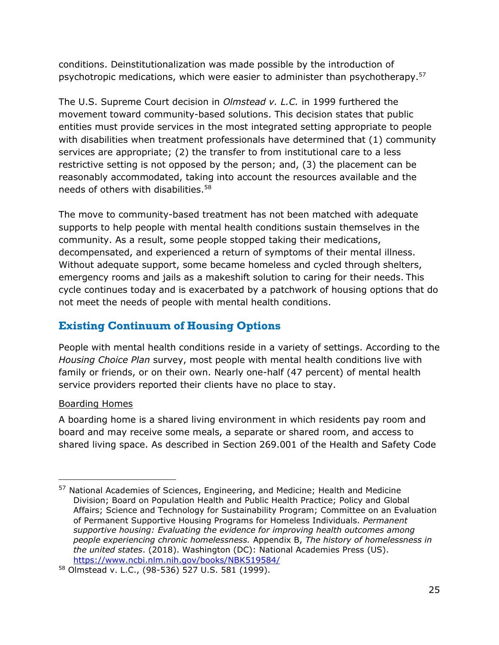conditions. Deinstitutionalization was made possible by the introduction of psychotropic medications, which were easier to administer than psychotherapy.<sup>57</sup>

The U.S. Supreme Court decision in *Olmstead v. L.C.* in 1999 furthered the movement toward community-based solutions. This decision states that public entities must provide services in the most integrated setting appropriate to people with disabilities when treatment professionals have determined that (1) community services are appropriate; (2) the transfer to from institutional care to a less restrictive setting is not opposed by the person; and, (3) the placement can be reasonably accommodated, taking into account the resources available and the needs of others with disabilities. 58

The move to community-based treatment has not been matched with adequate supports to help people with mental health conditions sustain themselves in the community. As a result, some people stopped taking their medications, decompensated, and experienced a return of symptoms of their mental illness. Without adequate support, some became homeless and cycled through shelters, emergency rooms and jails as a makeshift solution to caring for their needs. This cycle continues today and is exacerbated by a patchwork of housing options that do not meet the needs of people with mental health conditions.

## **Existing Continuum of Housing Options**

People with mental health conditions reside in a variety of settings. According to the *Housing Choice Plan* survey, most people with mental health conditions live with family or friends, or on their own. Nearly one-half (47 percent) of mental health service providers reported their clients have no place to stay.

#### Boarding Homes

A boarding home is a shared living environment in which residents pay room and board and may receive some meals, a separate or shared room, and access to shared living space. As described in Section 269.001 of the Health and Safety Code

<sup>&</sup>lt;sup>57</sup> National Academies of Sciences, Engineering, and Medicine; Health and Medicine Division; Board on Population Health and Public Health Practice; Policy and Global Affairs; Science and Technology for Sustainability Program; Committee on an Evaluation of Permanent Supportive Housing Programs for Homeless Individuals. *Permanent supportive housing: Evaluating the evidence for improving health outcomes among people experiencing chronic homelessness.* Appendix B, *The history of homelessness in the united states*. (2018). Washington (DC): National Academies Press (US). <https://www.ncbi.nlm.nih.gov/books/NBK519584/>

<sup>58</sup> Olmstead v. L.C., (98-536) 527 U.S. 581 (1999).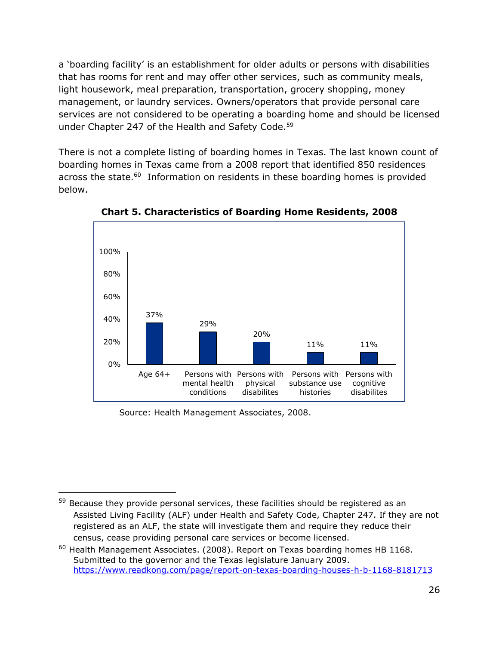a 'boarding facility' is an establishment for older adults or persons with disabilities that has rooms for rent and may offer other services, such as community meals, light housework, meal preparation, transportation, grocery shopping, money management, or laundry services. Owners/operators that provide personal care services are not considered to be operating a boarding home and should be licensed under Chapter 247 of the Health and Safety Code.<sup>59</sup>

There is not a complete listing of boarding homes in Texas. The last known count of boarding homes in Texas came from a 2008 report that identified 850 residences across the state.<sup>60</sup> Information on residents in these boarding homes is provided below.



**Chart 5. Characteristics of Boarding Home Residents, 2008**

Source: Health Management Associates, 2008.

<sup>&</sup>lt;sup>59</sup> Because they provide personal services, these facilities should be registered as an Assisted Living Facility (ALF) under Health and Safety Code, Chapter 247. If they are not registered as an ALF, the state will investigate them and require they reduce their census, cease providing personal care services or become licensed.

 $60$  Health Management Associates. (2008). Report on Texas boarding homes HB 1168. Submitted to the governor and the Texas legislature January 2009. <https://www.readkong.com/page/report-on-texas-boarding-houses-h-b-1168-8181713>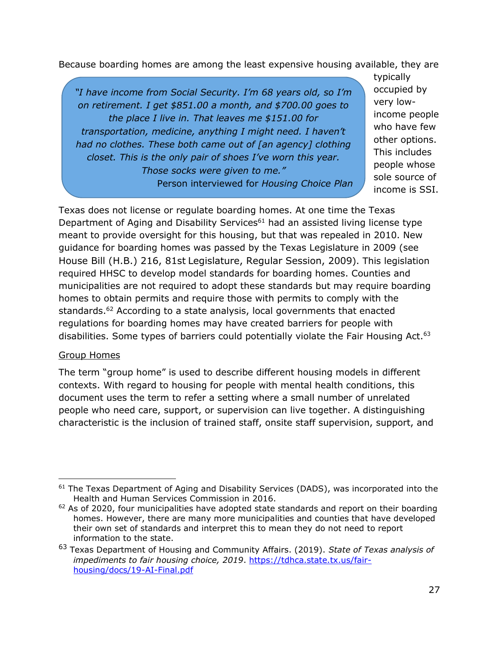Because boarding homes are among the least expensive housing available, they are

*"I have income from Social Security. I'm 68 years old, so I'm on retirement. I get \$851.00 a month, and \$700.00 goes to the place I live in. That leaves me \$151.00 for transportation, medicine, anything I might need. I haven't had no clothes. These both came out of [an agency] clothing closet. This is the only pair of shoes I've worn this year. Those socks were given to me."* Person interviewed for *Housing Choice Plan* typically occupied by very lowincome people who have few other options. This includes people whose sole source of income is SSI.

Texas does not license or regulate boarding homes. At one time the Texas Department of Aging and Disability Services<sup>61</sup> had an assisted living license type meant to provide oversight for this housing, but that was repealed in 2010. New guidance for boarding homes was passed by the Texas Legislature in 2009 (see House Bill (H.B.) 216, 81st Legislature, Regular Session, 2009). This legislation required HHSC to develop model standards for boarding homes. Counties and municipalities are not required to adopt these standards but may require boarding homes to obtain permits and require those with permits to comply with the standards.<sup>62</sup> According to a state analysis, local governments that enacted regulations for boarding homes may have created barriers for people with disabilities. Some types of barriers could potentially violate the Fair Housing Act.<sup>63</sup>

#### Group Homes

The term "group home" is used to describe different housing models in different contexts. With regard to housing for people with mental health conditions, this document uses the term to refer a setting where a small number of unrelated people who need care, support, or supervision can live together. A distinguishing characteristic is the inclusion of trained staff, onsite staff supervision, support, and

 $61$  The Texas Department of Aging and Disability Services (DADS), was incorporated into the Health and Human Services Commission in 2016.

 $62$  As of 2020, four municipalities have adopted state standards and report on their boarding homes. However, there are many more municipalities and counties that have developed their own set of standards and interpret this to mean they do not need to report information to the state.

<sup>63</sup> Texas Department of Housing and Community Affairs. (2019). *State of Texas analysis of impediments to fair housing choice, 2019*. [https://tdhca.state.tx.us/fair](https://tdhca.state.tx.us/fair-housing/docs/19-AI-Final.pdf)[housing/docs/19-AI-Final.pdf](https://tdhca.state.tx.us/fair-housing/docs/19-AI-Final.pdf)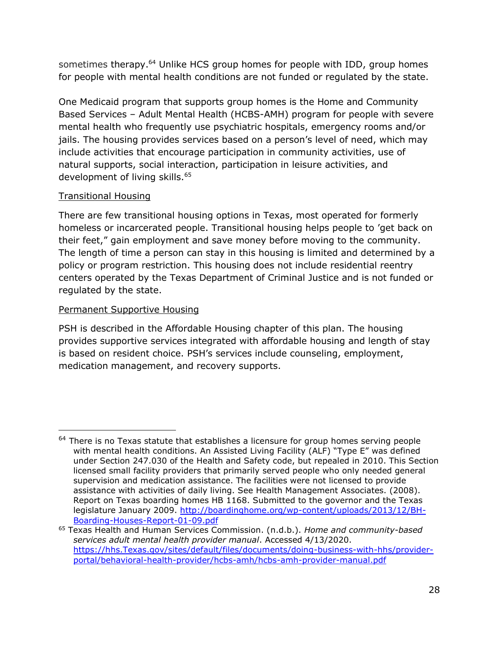sometimes therapy.<sup>64</sup> Unlike HCS group homes for people with IDD, group homes for people with mental health conditions are not funded or regulated by the state.

One Medicaid program that supports group homes is the Home and Community Based Services – Adult Mental Health (HCBS-AMH) program for people with severe mental health who frequently use psychiatric hospitals, emergency rooms and/or jails. The housing provides services based on a person's level of need, which may include activities that encourage participation in community activities, use of natural supports, social interaction, participation in leisure activities, and development of living skills.<sup>65</sup>

#### Transitional Housing

There are few transitional housing options in Texas, most operated for formerly homeless or incarcerated people. Transitional housing helps people to 'get back on their feet," gain employment and save money before moving to the community. The length of time a person can stay in this housing is limited and determined by a policy or program restriction. This housing does not include residential reentry centers operated by the Texas Department of Criminal Justice and is not funded or regulated by the state.

#### Permanent Supportive Housing

PSH is described in the Affordable Housing chapter of this plan. The housing provides supportive services integrated with affordable housing and length of stay is based on resident choice. PSH's services include counseling, employment, medication management, and recovery supports.

<sup>&</sup>lt;sup>64</sup> There is no Texas statute that establishes a licensure for group homes serving people with mental health conditions. An Assisted Living Facility (ALF) "Type E" was defined under Section 247.030 of the Health and Safety code, but repealed in 2010. This Section licensed small facility providers that primarily served people who only needed general supervision and medication assistance. The facilities were not licensed to provide assistance with activities of daily living. See Health Management Associates. (2008). Report on Texas boarding homes HB 1168. Submitted to the governor and the Texas legislature January 2009. [http://boardinghome.org/wp-content/uploads/2013/12/BH-](http://boardinghome.org/wp-content/uploads/2013/12/BH-Boarding-Houses-Report-01-09.pdf)[Boarding-Houses-Report-01-09.pdf](http://boardinghome.org/wp-content/uploads/2013/12/BH-Boarding-Houses-Report-01-09.pdf)

<sup>65</sup> Texas Health and Human Services Commission. (n.d.b.). *Home and community-based services adult mental health provider manual*. Accessed 4/13/2020. [https://hhs.Texas.gov/sites/default/files/documents/doing-business-with-hhs/provider](https://hhs.texas.gov/sites/default/files/documents/doing-business-with-hhs/provider-portal/behavioral-health-provider/hcbs-amh/hcbs-amh-provider-manual.pdf)[portal/behavioral-health-provider/hcbs-amh/hcbs-amh-provider-manual.pdf](https://hhs.texas.gov/sites/default/files/documents/doing-business-with-hhs/provider-portal/behavioral-health-provider/hcbs-amh/hcbs-amh-provider-manual.pdf)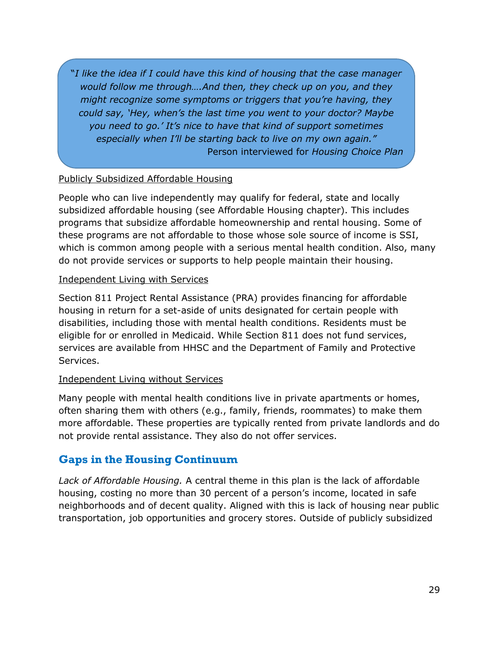"*I like the idea if I could have this kind of housing that the case manager would follow me through….And then, they check up on you, and they might recognize some symptoms or triggers that you're having, they could say, 'Hey, when's the last time you went to your doctor? Maybe you need to go.' It's nice to have that kind of support sometimes especially when I'll be starting back to live on my own again."* Person interviewed for *Housing Choice Plan*

#### Publicly Subsidized Affordable Housing

People who can live independently may qualify for federal, state and locally subsidized affordable housing (see Affordable Housing chapter). This includes programs that subsidize affordable homeownership and rental housing. Some of these programs are not affordable to those whose sole source of income is SSI, which is common among people with a serious mental health condition. Also, many do not provide services or supports to help people maintain their housing.

#### Independent Living with Services

Section 811 Project Rental Assistance (PRA) provides financing for affordable housing in return for a set-aside of units designated for certain people with disabilities, including those with mental health conditions. Residents must be eligible for or enrolled in Medicaid. While Section 811 does not fund services, services are available from HHSC and the Department of Family and Protective Services.

#### Independent Living without Services

Many people with mental health conditions live in private apartments or homes, often sharing them with others (e.g., family, friends, roommates) to make them more affordable. These properties are typically rented from private landlords and do not provide rental assistance. They also do not offer services.

## **Gaps in the Housing Continuum**

*Lack of Affordable Housing.* A central theme in this plan is the lack of affordable housing, costing no more than 30 percent of a person's income, located in safe neighborhoods and of decent quality. Aligned with this is lack of housing near public transportation, job opportunities and grocery stores. Outside of publicly subsidized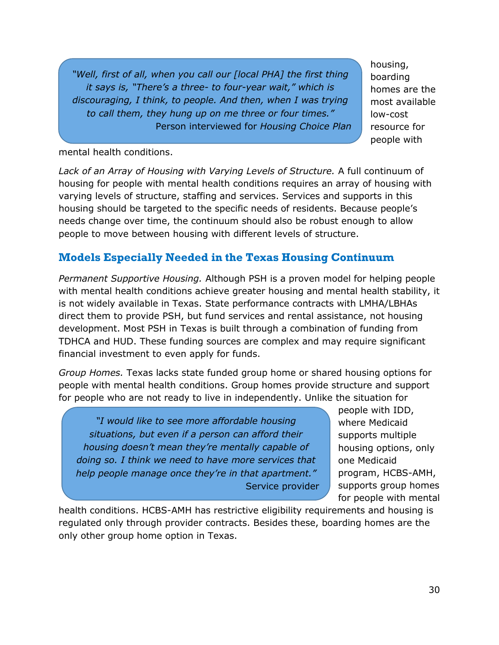*"Well, first of all, when you call our [local PHA] the first thing it says is, "There's a three- to four-year wait," which is discouraging, I think, to people. And then, when I was trying to call them, they hung up on me three or four times."* Person interviewed for *Housing Choice Plan* housing, boarding homes are the most available low-cost resource for people with

#### mental health conditions.

*Lack of an Array of Housing with Varying Levels of Structure.* A full continuum of housing for people with mental health conditions requires an array of housing with varying levels of structure, staffing and services. Services and supports in this housing should be targeted to the specific needs of residents. Because people's needs change over time, the continuum should also be robust enough to allow people to move between housing with different levels of structure.

## **Models Especially Needed in the Texas Housing Continuum**

*Permanent Supportive Housing.* Although PSH is a proven model for helping people with mental health conditions achieve greater housing and mental health stability, it is not widely available in Texas. State performance contracts with LMHA/LBHAs direct them to provide PSH, but fund services and rental assistance, not housing development. Most PSH in Texas is built through a combination of funding from TDHCA and HUD. These funding sources are complex and may require significant financial investment to even apply for funds.

*Group Homes.* Texas lacks state funded group home or shared housing options for people with mental health conditions. Group homes provide structure and support for people who are not ready to live in independently. Unlike the situation for

*"I would like to see more affordable housing situations, but even if a person can afford their housing doesn't mean they're mentally capable of doing so. I think we need to have more services that help people manage once they're in that apartment."* Service provider people with IDD, where Medicaid supports multiple housing options, only one Medicaid program, HCBS-AMH, supports group homes for people with mental

health conditions. HCBS-AMH has restrictive eligibility requirements and housing is regulated only through provider contracts. Besides these, boarding homes are the only other group home option in Texas.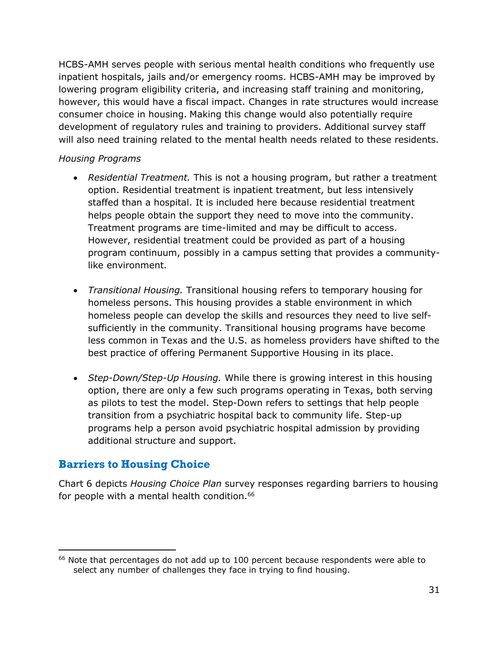HCBS-AMH serves people with serious mental health conditions who frequently use inpatient hospitals, jails and/or emergency rooms. HCBS-AMH may be improved by lowering program eligibility criteria, and increasing staff training and monitoring, however, this would have a fiscal impact. Changes in rate structures would increase consumer choice in housing. Making this change would also potentially require development of regulatory rules and training to providers. Additional survey staff will also need training related to the mental health needs related to these residents.

#### *Housing Programs*

- *Residential Treatment.* This is not a housing program, but rather a treatment option. Residential treatment is inpatient treatment, but less intensively staffed than a hospital. It is included here because residential treatment helps people obtain the support they need to move into the community. Treatment programs are time-limited and may be difficult to access. However, residential treatment could be provided as part of a housing program continuum, possibly in a campus setting that provides a communitylike environment.
- *Transitional Housing.* Transitional housing refers to temporary housing for homeless persons. This housing provides a stable environment in which homeless people can develop the skills and resources they need to live selfsufficiently in the community. Transitional housing programs have become less common in Texas and the U.S. as homeless providers have shifted to the best practice of offering Permanent Supportive Housing in its place.
- *Step-Down/Step-Up Housing.* While there is growing interest in this housing option, there are only a few such programs operating in Texas, both serving as pilots to test the model. Step-Down refers to settings that help people transition from a psychiatric hospital back to community life. Step-up programs help a person avoid psychiatric hospital admission by providing additional structure and support.

## **Barriers to Housing Choice**

Chart 6 depicts *Housing Choice Plan* survey responses regarding barriers to housing for people with a mental health condition.<sup>66</sup>

<sup>&</sup>lt;sup>66</sup> Note that percentages do not add up to 100 percent because respondents were able to select any number of challenges they face in trying to find housing.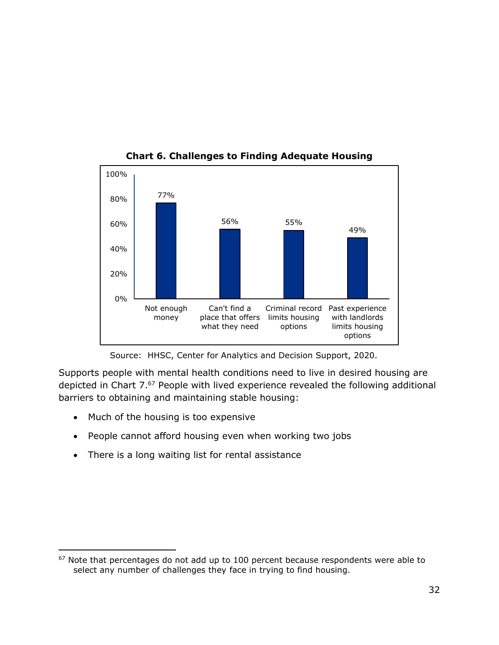

**Chart 6. Challenges to Finding Adequate Housing**

Source: HHSC, Center for Analytics and Decision Support, 2020.

Supports people with mental health conditions need to live in desired housing are depicted in Chart 7. <sup>67</sup> People with lived experience revealed the following additional barriers to obtaining and maintaining stable housing:

- Much of the housing is too expensive
- People cannot afford housing even when working two jobs
- There is a long waiting list for rental assistance

<sup>&</sup>lt;sup>67</sup> Note that percentages do not add up to 100 percent because respondents were able to select any number of challenges they face in trying to find housing.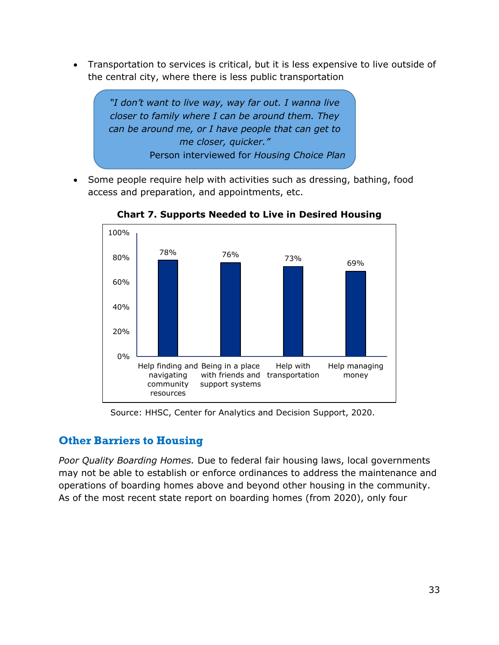• Transportation to services is critical, but it is less expensive to live outside of the central city, where there is less public transportation



• Some people require help with activities such as dressing, bathing, food access and preparation, and appointments, etc.



**Chart 7. Supports Needed to Live in Desired Housing**

Source: HHSC, Center for Analytics and Decision Support, 2020.

## **Other Barriers to Housing**

*Poor Quality Boarding Homes.* Due to federal fair housing laws, local governments may not be able to establish or enforce ordinances to address the maintenance and operations of boarding homes above and beyond other housing in the community. As of the most recent state report on boarding homes (from 2020), only four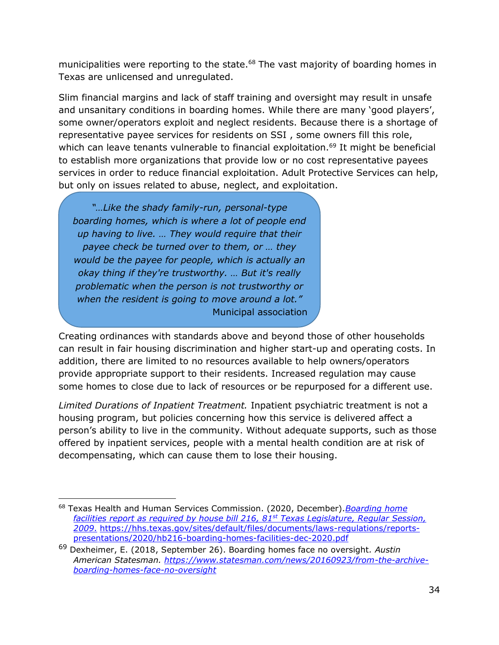municipalities were reporting to the state.<sup>68</sup> The vast majority of boarding homes in Texas are unlicensed and unregulated.

Slim financial margins and lack of staff training and oversight may result in unsafe and unsanitary conditions in boarding homes. While there are many 'good players', some owner/operators exploit and neglect residents. Because there is a shortage of representative payee services for residents on SSI , some owners fill this role, which can leave tenants vulnerable to financial exploitation.<sup>69</sup> It might be beneficial to establish more organizations that provide low or no cost representative payees services in order to reduce financial exploitation. Adult Protective Services can help, but only on issues related to abuse, neglect, and exploitation.

*"…Like the shady family-run, personal-type boarding homes, which is where a lot of people end up having to live. … They would require that their payee check be turned over to them, or … they would be the payee for people, which is actually an okay thing if they're trustworthy. … But it's really problematic when the person is not trustworthy or when the resident is going to move around a lot."* Municipal association

Creating ordinances with standards above and beyond those of other households can result in fair housing discrimination and higher start-up and operating costs. In addition, there are limited to no resources available to help owners/operators provide appropriate support to their residents. Increased regulation may cause some homes to close due to lack of resources or be repurposed for a different use.

*Limited Durations of Inpatient Treatment.* Inpatient psychiatric treatment is not a housing program, but policies concerning how this service is delivered affect a person's ability to live in the community. Without adequate supports, such as those offered by inpatient services, people with a mental health condition are at risk of decompensating, which can cause them to lose their housing.

<sup>68</sup> Texas Health and Human Services Commission. (2020, December).*[Boarding](file:///C:/Users/abroden01/AppData/Local/Microsoft/Windows/INetCache/Content.Outlook/40UYSQ98/Boarding) home facilities report as required by house bill 216, 81st Texas Legislature, Regular Session, 2009*. [https://hhs.texas.gov/sites/default/files/documents/laws-regulations/reports](https://hhs.texas.gov/sites/default/files/documents/laws-regulations/reports-presentations/2020/hb216-boarding-homes-facilities-dec-2020.pdf)[presentations/2020/hb216-boarding-homes-facilities-dec-2020.pdf](https://hhs.texas.gov/sites/default/files/documents/laws-regulations/reports-presentations/2020/hb216-boarding-homes-facilities-dec-2020.pdf)

<sup>69</sup> Dexheimer, E. (2018, September 26). Boarding homes face no oversight*. Austin American Statesman. [https://www.statesman.com/news/20160923/from-the-archive](https://www.statesman.com/news/20160923/from-the-archive-boarding-homes-face-no-oversight)[boarding-homes-face-no-oversight](https://www.statesman.com/news/20160923/from-the-archive-boarding-homes-face-no-oversight)*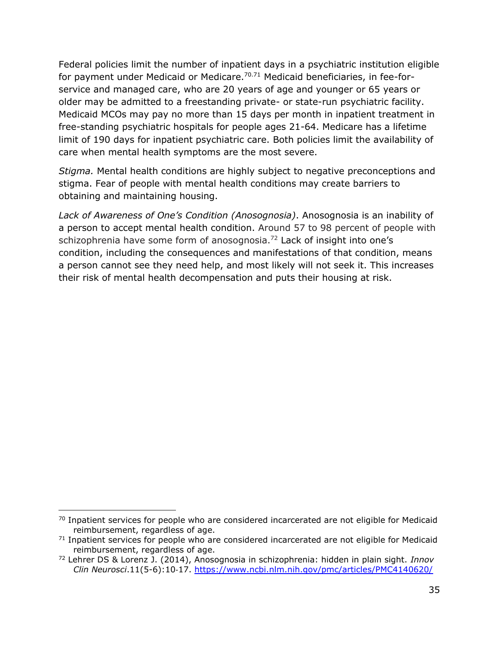Federal policies limit the number of inpatient days in a psychiatric institution eligible for payment under Medicaid or Medicare.<sup>70.71</sup> Medicaid beneficiaries, in fee-forservice and managed care, who are 20 years of age and younger or 65 years or older may be admitted to a freestanding private- or state-run psychiatric facility. Medicaid MCOs may pay no more than 15 days per month in inpatient treatment in free-standing psychiatric hospitals for people ages 21-64. Medicare has a lifetime limit of 190 days for inpatient psychiatric care. Both policies limit the availability of care when mental health symptoms are the most severe.

*Stigma.* Mental health conditions are highly subject to negative preconceptions and stigma. Fear of people with mental health conditions may create barriers to obtaining and maintaining housing.

*Lack of Awareness of One's Condition (Anosognosia)*. Anosognosia is an inability of a person to accept mental health condition. Around 57 to 98 percent of people with schizophrenia have some form of anosognosia.<sup>72</sup> Lack of insight into one's condition, including the consequences and manifestations of that condition, means a person cannot see they need help, and most likely will not seek it. This increases their risk of mental health decompensation and puts their housing at risk.

 $70$  Inpatient services for people who are considered incarcerated are not eligible for Medicaid reimbursement, regardless of age.

 $71$  Inpatient services for people who are considered incarcerated are not eligible for Medicaid reimbursement, regardless of age.

<sup>72</sup> Lehrer DS & Lorenz J. (2014), Anosognosia in schizophrenia: hidden in plain sight. *Innov Clin Neurosci*.11(5-6):10‐17.<https://www.ncbi.nlm.nih.gov/pmc/articles/PMC4140620/>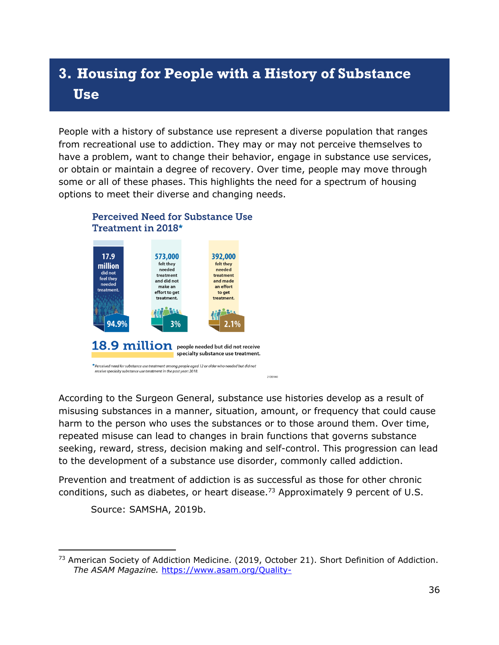# **3. Housing for People with a History of Substance Use**

People with a history of substance use represent a diverse population that ranges from recreational use to addiction. They may or may not perceive themselves to have a problem, want to change their behavior, engage in substance use services, or obtain or maintain a degree of recovery. Over time, people may move through some or all of these phases. This highlights the need for a spectrum of housing options to meet their diverse and changing needs.



According to the Surgeon General, substance use histories develop as a result of misusing substances in a manner, situation, amount, or frequency that could cause harm to the person who uses the substances or to those around them. Over time, repeated misuse can lead to changes in brain functions that governs substance seeking, reward, stress, decision making and self-control. This progression can lead to the development of a substance use disorder, commonly called addiction.

Prevention and treatment of addiction is as successful as those for other chronic conditions, such as diabetes, or heart disease.<sup>73</sup> Approximately 9 percent of U.S.

Source: SAMSHA, 2019b.

<sup>&</sup>lt;sup>73</sup> American Society of Addiction Medicine. (2019, October 21). Short Definition of Addiction. *The ASAM Magazine.* [https://www.asam.org/Quality-](https://www.asam.org/Quality-Science/publications/magazine/public-policy-statements/2019/10/21/short-definition-of-addiction)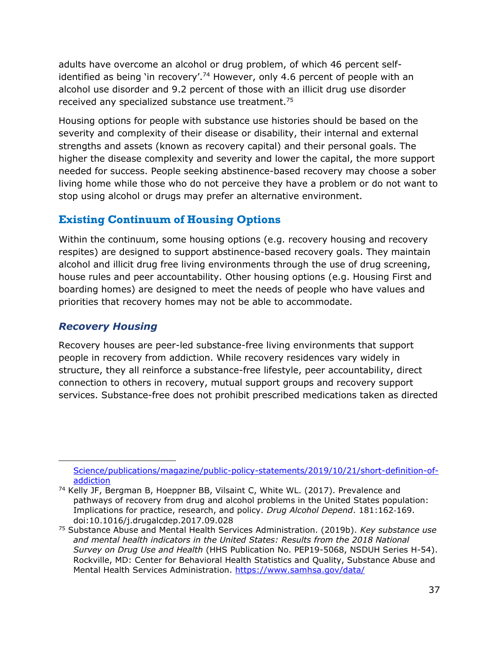adults have overcome an alcohol or drug problem, of which 46 percent selfidentified as being 'in recovery'.<sup>74</sup> However, only 4.6 percent of people with an alcohol use disorder and 9.2 percent of those with an illicit drug use disorder received any specialized substance use treatment.<sup>75</sup>

Housing options for people with substance use histories should be based on the severity and complexity of their disease or disability, their internal and external strengths and assets (known as recovery capital) and their personal goals. The higher the disease complexity and severity and lower the capital, the more support needed for success. People seeking abstinence-based recovery may choose a sober living home while those who do not perceive they have a problem or do not want to stop using alcohol or drugs may prefer an alternative environment.

## **Existing Continuum of Housing Options**

Within the continuum, some housing options (e.g. recovery housing and recovery respites) are designed to support abstinence-based recovery goals. They maintain alcohol and illicit drug free living environments through the use of drug screening, house rules and peer accountability. Other housing options (e.g. Housing First and boarding homes) are designed to meet the needs of people who have values and priorities that recovery homes may not be able to accommodate.

## *Recovery Housing*

Recovery houses are peer-led substance-free living environments that support people in recovery from addiction. While recovery residences vary widely in structure, they all reinforce a substance-free lifestyle, peer accountability, direct connection to others in recovery, mutual support groups and recovery support services. Substance-free does not prohibit prescribed medications taken as directed

[Science/publications/magazine/public-policy-statements/2019/10/21/short-definition-of](https://www.asam.org/Quality-Science/publications/magazine/public-policy-statements/2019/10/21/short-definition-of-addiction)[addiction](https://www.asam.org/Quality-Science/publications/magazine/public-policy-statements/2019/10/21/short-definition-of-addiction)

<sup>&</sup>lt;sup>74</sup> Kelly JF, Bergman B, Hoeppner BB, Vilsaint C, White WL. (2017). Prevalence and pathways of recovery from drug and alcohol problems in the United States population: Implications for practice, research, and policy. *Drug Alcohol Depend*. 181:162‐169. doi:10.1016/j.drugalcdep.2017.09.028

<sup>75</sup> Substance Abuse and Mental Health Services Administration. (2019b). *Key substance use*  and mental health indicators in the United States: Results from the 2018 National *Survey on Drug Use and Health* (HHS Publication No. PEP19-5068, NSDUH Series H-54). Rockville, MD: Center for Behavioral Health Statistics and Quality, Substance Abuse and Mental Health Services Administration.<https://www.samhsa.gov/data/>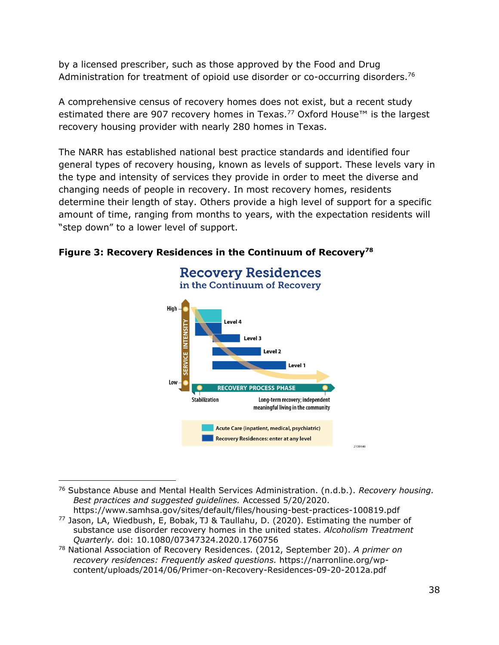by a licensed prescriber, such as those approved by the Food and Drug Administration for treatment of opioid use disorder or co-occurring disorders.<sup>76</sup>

A comprehensive census of recovery homes does not exist, but a recent study estimated there are 907 recovery homes in Texas.<sup>77</sup> Oxford House<sup>™</sup> is the largest recovery housing provider with nearly 280 homes in Texas.

The NARR has established national best practice standards and identified four general types of recovery housing, known as levels of support. These levels vary in the type and intensity of services they provide in order to meet the diverse and changing needs of people in recovery. In most recovery homes, residents determine their length of stay. Others provide a high level of support for a specific amount of time, ranging from months to years, with the expectation residents will "step down" to a lower level of support.



#### **Figure 3: Recovery Residences in the Continuum of Recovery<sup>78</sup>**

<sup>76</sup> Substance Abuse and Mental Health Services Administration. (n.d.b.). *Recovery housing. Best practices and suggested guidelines.* Accessed 5/20/2020.

<https://www.samhsa.gov/sites/default/files/housing-best-practices-100819.pdf> <sup>77</sup> Jason, LA, Wiedbush, E, Bobak, TJ & Taullahu, D. (2020). Estimating the number of substance use disorder recovery homes in the united states. *Alcoholism Treatment Quarterly.* doi: 10.1080/07347324.2020.1760756

<sup>78</sup> National Association of Recovery Residences. (2012, September 20). *A primer on recovery residences: Frequently asked questions.* https://narronline.org/wpcontent/uploads/2014/06/Primer-on-Recovery-Residences-09-20-2012a.pdf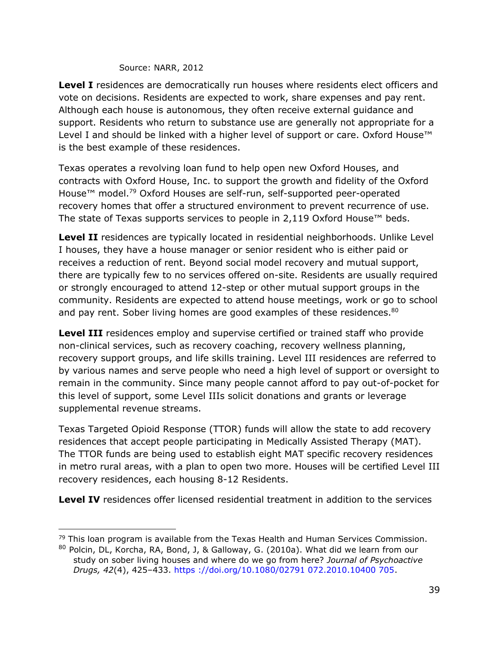#### Source: NARR, 2012

**Level I** residences are democratically run houses where residents elect officers and vote on decisions. Residents are expected to work, share expenses and pay rent. Although each house is autonomous, they often receive external guidance and support. Residents who return to substance use are generally not appropriate for a Level I and should be linked with a higher level of support or care. Oxford House™ is the best example of these residences.

Texas operates a revolving loan fund to help open new Oxford Houses, and contracts with Oxford House, Inc. to support the growth and fidelity of the Oxford House™ model.<sup>79</sup> Oxford Houses are self-run, self-supported peer-operated recovery homes that offer a structured environment to prevent recurrence of use. The state of Texas supports services to people in 2,119 Oxford House™ beds.

Level II residences are typically located in residential neighborhoods. Unlike Level I houses, they have a house manager or senior resident who is either paid or receives a reduction of rent. Beyond social model recovery and mutual support, there are typically few to no services offered on-site. Residents are usually required or strongly encouraged to attend 12-step or other mutual support groups in the community. Residents are expected to attend house meetings, work or go to school and pay rent. Sober living homes are good examples of these residences.<sup>80</sup>

**Level III** residences employ and supervise certified or trained staff who provide non-clinical services, such as recovery coaching, recovery wellness planning, recovery support groups, and life skills training. Level III residences are referred to by various names and serve people who need a high level of support or oversight to remain in the community. Since many people cannot afford to pay out-of-pocket for this level of support, some Level IIIs solicit donations and grants or leverage supplemental revenue streams.

Texas Targeted Opioid Response (TTOR) funds will allow the state to add recovery residences that accept people participating in Medically Assisted Therapy (MAT). The TTOR funds are being used to establish eight MAT specific recovery residences in metro rural areas, with a plan to open two more. Houses will be certified Level III recovery residences, each housing 8-12 Residents.

**Level IV** residences offer licensed residential treatment in addition to the services

 $79$  This loan program is available from the Texas Health and Human Services Commission.

<sup>80</sup> Polcin, DL, Korcha, RA, Bond, J, & Galloway, G. (2010a). What did we learn from our study on sober living houses and where do we go from here? *Journal of Psychoactive Drugs, 42*(4), 425–433. https ://doi.org/10.1080/02791 072.2010.10400 705.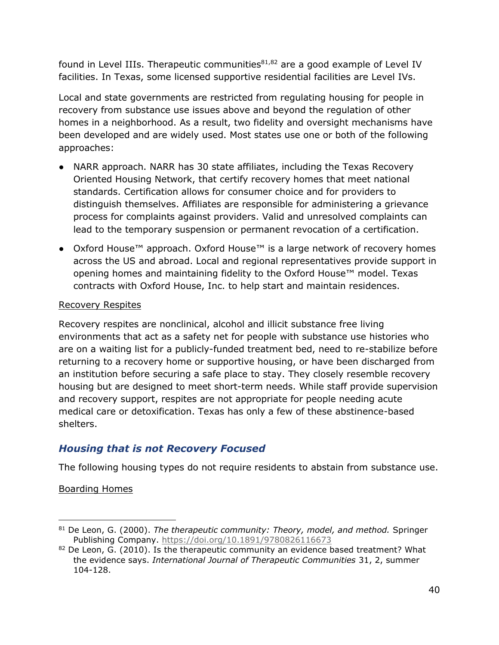found in Level IIIs. Therapeutic communities $81,82$  are a good example of Level IV facilities. In Texas, some licensed supportive residential facilities are Level IVs.

Local and state governments are restricted from regulating housing for people in recovery from substance use issues above and beyond the regulation of other homes in a neighborhood. As a result, two fidelity and oversight mechanisms have been developed and are widely used. Most states use one or both of the following approaches:

- NARR approach. NARR has 30 state affiliates, including the Texas Recovery Oriented Housing Network, that certify recovery homes that meet national standards. Certification allows for consumer choice and for providers to distinguish themselves. Affiliates are responsible for administering a grievance process for complaints against providers. Valid and unresolved complaints can lead to the temporary suspension or permanent revocation of a certification.
- Oxford House™ approach. Oxford House™ is a large network of recovery homes across the US and abroad. Local and regional representatives provide support in opening homes and maintaining fidelity to the Oxford House™ model. Texas contracts with Oxford House, Inc. to help start and maintain residences.

#### Recovery Respites

Recovery respites are nonclinical, alcohol and illicit substance free living environments that act as a safety net for people with substance use histories who are on a waiting list for a publicly-funded treatment bed, need to re-stabilize before returning to a recovery home or supportive housing, or have been discharged from an institution before securing a safe place to stay. They closely resemble recovery housing but are designed to meet short-term needs. While staff provide supervision and recovery support, respites are not appropriate for people needing acute medical care or detoxification. Texas has only a few of these abstinence-based shelters.

## *Housing that is not Recovery Focused*

The following housing types do not require residents to abstain from substance use.

Boarding Homes

<sup>81</sup> De Leon, G. (2000). *The therapeutic community: Theory, model, and method.* Springer Publishing Company. [https://doi.org/10.1891/9780826116673](https://psycnet.apa.org/doi/10.1891/9780826116673)

 $82$  De Leon, G. (2010). Is the therapeutic community an evidence based treatment? What the evidence says. *International Journal of Therapeutic Communities* 31, 2, summer 104-128.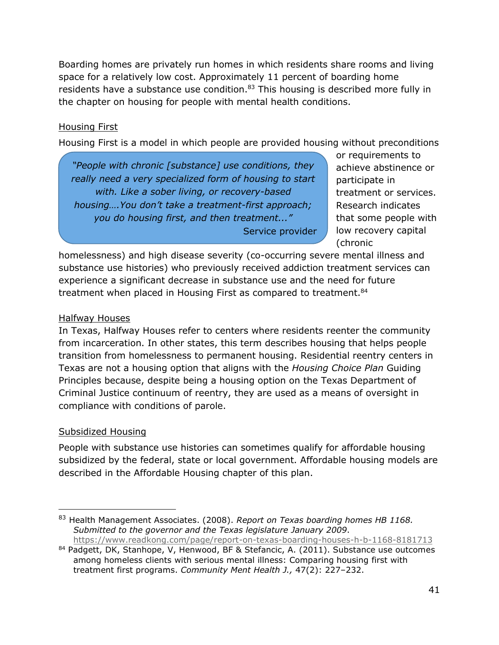Boarding homes are privately run homes in which residents share rooms and living space for a relatively low cost. Approximately 11 percent of boarding home residents have a substance use condition.<sup>83</sup> This housing is described more fully in the chapter on housing for people with mental health conditions.

#### Housing First

Housing First is a model in which people are provided housing without preconditions

*"People with chronic [substance] use conditions, they really need a very specialized form of housing to start with. Like a sober living, or recovery-based housing….You don't take a treatment-first approach; you do housing first, and then treatment..."* Service provider or requirements to achieve abstinence or participate in treatment or services. Research indicates that some people with low recovery capital (chronic

homelessness) and high disease severity (co-occurring severe mental illness and substance use histories) who previously received addiction treatment services can experience a significant decrease in substance use and the need for future treatment when placed in Housing First as compared to treatment.<sup>84</sup>

#### Halfway Houses

In Texas, Halfway Houses refer to centers where residents reenter the community from incarceration. In other states, this term describes housing that helps people transition from homelessness to permanent housing. Residential reentry centers in Texas are not a housing option that aligns with the *Housing Choice Plan* Guiding Principles because, despite being a housing option on the Texas Department of Criminal Justice continuum of reentry, they are used as a means of oversight in compliance with conditions of parole.

#### Subsidized Housing

People with substance use histories can sometimes qualify for affordable housing subsidized by the federal, state or local government. Affordable housing models are described in the Affordable Housing chapter of this plan.

<sup>83</sup> Health Management Associates. (2008). *Report on Texas boarding homes HB 1168. Submitted to the governor and the Texas legislature January 2009*. <https://www.readkong.com/page/report-on-texas-boarding-houses-h-b-1168-8181713>

<sup>84</sup> Padgett, DK, Stanhope, V, Henwood, BF & Stefancic, A. (2011). Substance use outcomes among homeless clients with serious mental illness: Comparing housing first with treatment first programs. *Community Ment Health J.,* 47(2): 227–232.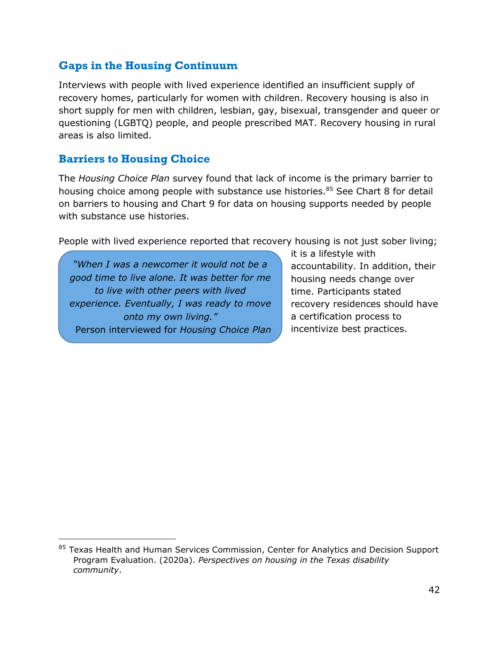## **Gaps in the Housing Continuum**

Interviews with people with lived experience identified an insufficient supply of recovery homes, particularly for women with children. Recovery housing is also in short supply for men with children, lesbian, gay, bisexual, transgender and queer or questioning (LGBTQ) people, and people prescribed MAT. Recovery housing in rural areas is also limited.

#### **Barriers to Housing Choice**

The *Housing Choice Plan* survey found that lack of income is the primary barrier to housing choice among people with substance use histories.<sup>85</sup> See Chart 8 for detail on barriers to housing and Chart 9 for data on housing supports needed by people with substance use histories.

People with lived experience reported that recovery housing is not just sober living;

*"When I was a newcomer it would not be a good time to live alone. It was better for me to live with other peers with lived experience. Eventually, I was ready to move onto my own living."* Person interviewed for *Housing Choice Plan* it is a lifestyle with accountability. In addition, their housing needs change over time. Participants stated recovery residences should have a certification process to incentivize best practices.

<sup>&</sup>lt;sup>85</sup> Texas Health and Human Services Commission, Center for Analytics and Decision Support Program Evaluation. (2020a). *Perspectives on housing in the Texas disability community*.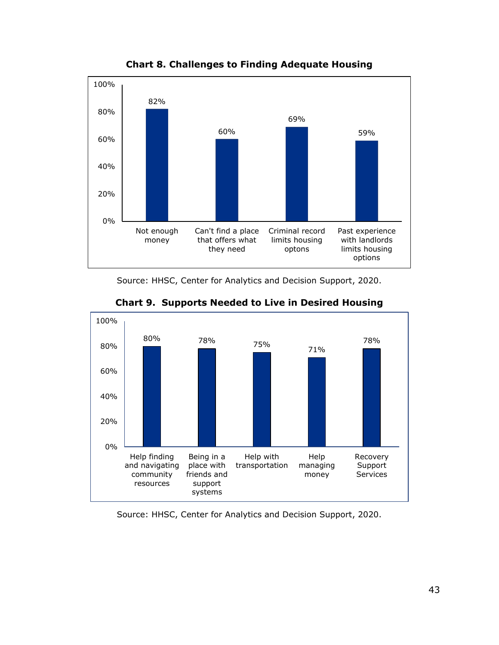

**Chart 8. Challenges to Finding Adequate Housing**

Source: HHSC, Center for Analytics and Decision Support, 2020.



**Chart 9. Supports Needed to Live in Desired Housing**

Source: HHSC, Center for Analytics and Decision Support, 2020.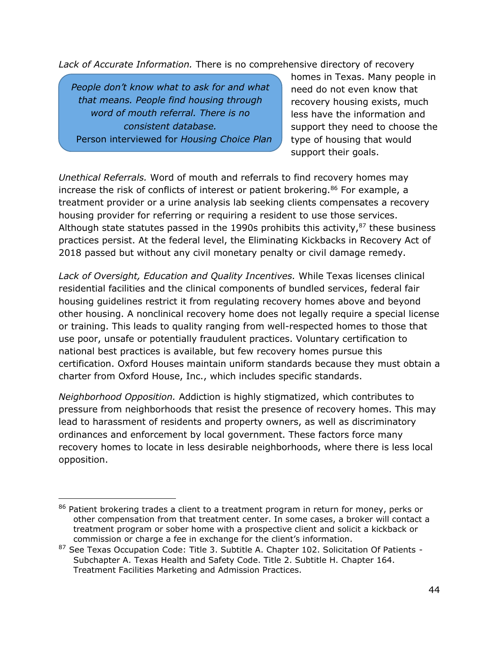*Lack of Accurate Information.* There is no comprehensive directory of recovery

*People don't know what to ask for and what that means. People find housing through word of mouth referral. There is no consistent database.* Person interviewed for *Housing Choice Plan* homes in Texas. Many people in need do not even know that recovery housing exists, much less have the information and support they need to choose the type of housing that would support their goals.

*Unethical Referrals.* Word of mouth and referrals to find recovery homes may increase the risk of conflicts of interest or patient brokering.<sup>86</sup> For example, a treatment provider or a urine analysis lab seeking clients compensates a recovery housing provider for referring or requiring a resident to use those services. Although state statutes passed in the 1990s prohibits this activity, $87$  these business practices persist. At the federal level, the Eliminating Kickbacks in Recovery Act of 2018 passed but without any civil monetary penalty or civil damage remedy.

*Lack of Oversight, Education and Quality Incentives.* While Texas licenses clinical residential facilities and the clinical components of bundled services, federal fair housing guidelines restrict it from regulating recovery homes above and beyond other housing. A nonclinical recovery home does not legally require a special license or training. This leads to quality ranging from well-respected homes to those that use poor, unsafe or potentially fraudulent practices. Voluntary certification to national best practices is available, but few recovery homes pursue this certification. Oxford Houses maintain uniform standards because they must obtain a charter from Oxford House, Inc., which includes specific standards.

*Neighborhood Opposition.* Addiction is highly stigmatized, which contributes to pressure from neighborhoods that resist the presence of recovery homes. This may lead to harassment of residents and property owners, as well as discriminatory ordinances and enforcement by local government. These factors force many recovery homes to locate in less desirable neighborhoods, where there is less local opposition.

<sup>86</sup> Patient brokering trades a client to a treatment program in return for money, perks or other compensation from that treatment center. In some cases, a broker will contact a treatment program or sober home with a prospective client and solicit a kickback or commission or charge a fee in exchange for the client's information.

<sup>87</sup> See Texas Occupation Code: Title 3. Subtitle A. Chapter 102. Solicitation Of Patients -Subchapter A. Texas Health and Safety Code. Title 2. Subtitle H. Chapter 164. Treatment Facilities Marketing and Admission Practices.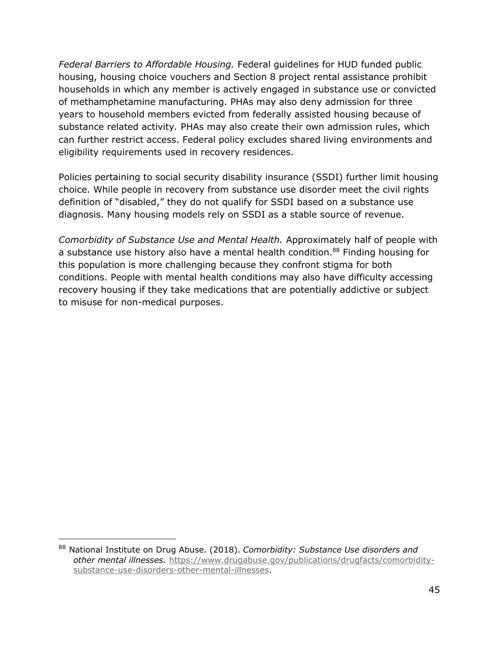*Federal Barriers to Affordable Housing.* Federal guidelines for HUD funded public housing, housing choice vouchers and Section 8 project rental assistance prohibit households in which any member is actively engaged in substance use or convicted of methamphetamine manufacturing. PHAs may also deny admission for three years to household members evicted from federally assisted housing because of substance related activity*.* PHAs may also create their own admission rules, which can further restrict access. Federal policy excludes shared living environments and eligibility requirements used in recovery residences.

Policies pertaining to social security disability insurance (SSDI) further limit housing choice. While people in recovery from substance use disorder meet the civil rights definition of "disabled," they do not qualify for SSDI based on a substance use diagnosis. Many housing models rely on SSDI as a stable source of revenue.

*Comorbidity of Substance Use and Mental Health.* Approximately half of people with a substance use history also have a mental health condition.<sup>88</sup> Finding housing for this population is more challenging because they confront stigma for both conditions. People with mental health conditions may also have difficulty accessing recovery housing if they take medications that are potentially addictive or subject to misuse for non-medical purposes.

<sup>88</sup> National Institute on Drug Abuse. (2018). *Comorbidity: Substance Use disorders and other mental illnesses.* [https://www.drugabuse.gov/publications/drugfacts/comorbidity](https://www.drugabuse.gov/publications/drugfacts/comorbidity-substance-use-disorders-other-mental-illnesses)[substance-use-disorders-other-mental-illnesses.](https://www.drugabuse.gov/publications/drugfacts/comorbidity-substance-use-disorders-other-mental-illnesses)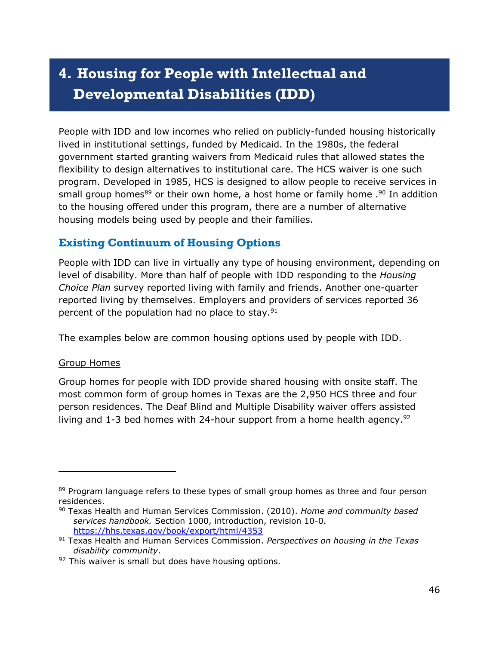# **4. Housing for People with Intellectual and Developmental Disabilities (IDD)**

People with IDD and low incomes who relied on publicly-funded housing historically lived in institutional settings, funded by Medicaid. In the 1980s, the federal government started granting waivers from Medicaid rules that allowed states the flexibility to design alternatives to institutional care. The HCS waiver is one such program. Developed in 1985, HCS is designed to allow people to receive services in small group homes<sup>89</sup> or their own home, a host home or family home .<sup>90</sup> In addition to the housing offered under this program, there are a number of alternative housing models being used by people and their families.

## **Existing Continuum of Housing Options**

People with IDD can live in virtually any type of housing environment, depending on level of disability. More than half of people with IDD responding to the *Housing Choice Plan* survey reported living with family and friends. Another one-quarter reported living by themselves. Employers and providers of services reported 36 percent of the population had no place to stay. $91$ 

The examples below are common housing options used by people with IDD.

#### Group Homes

Group homes for people with IDD provide shared housing with onsite staff. The most common form of group homes in Texas are the 2,950 HCS three and four person residences. The Deaf Blind and Multiple Disability waiver offers assisted living and 1-3 bed homes with 24-hour support from a home health agency.<sup>92</sup>

<sup>&</sup>lt;sup>89</sup> Program language refers to these types of small group homes as three and four person residences.

<sup>90</sup> Texas Health and Human Services Commission. (2010). *Home and community based services handbook.* Section 1000, introduction, revision 10-0. <https://hhs.texas.gov/book/export/html/4353>

<sup>91</sup> Texas Health and Human Services Commission. *Perspectives on housing in the Texas disability community*.

 $92$  This waiver is small but does have housing options.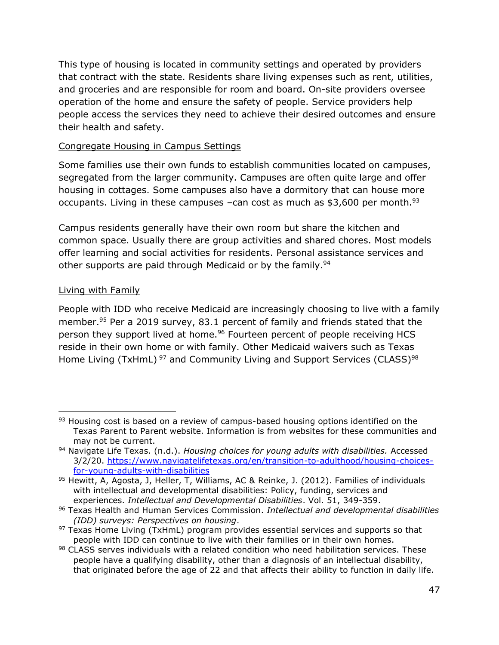This type of housing is located in community settings and operated by providers that contract with the state. Residents share living expenses such as rent, utilities, and groceries and are responsible for room and board. On-site providers oversee operation of the home and ensure the safety of people. Service providers help people access the services they need to achieve their desired outcomes and ensure their health and safety.

#### Congregate Housing in Campus Settings

Some families use their own funds to establish communities located on campuses, segregated from the larger community. Campuses are often quite large and offer housing in cottages. Some campuses also have a dormitory that can house more occupants. Living in these campuses –can cost as much as  $$3,600$  per month.<sup>93</sup>

Campus residents generally have their own room but share the kitchen and common space. Usually there are group activities and shared chores. Most models offer learning and social activities for residents. Personal assistance services and other supports are paid through Medicaid or by the family.<sup>94</sup>

#### Living with Family

People with IDD who receive Medicaid are increasingly choosing to live with a family member. <sup>95</sup> Per a 2019 survey, 83.1 percent of family and friends stated that the person they support lived at home.<sup>96</sup> Fourteen percent of people receiving HCS reside in their own home or with family. Other Medicaid waivers such as Texas Home Living (TxHmL)<sup>97</sup> and Community Living and Support Services (CLASS)<sup>98</sup>

<sup>93</sup> Housing cost is based on a review of campus-based housing options identified on the Texas Parent to Parent website. Information is from websites for these communities and may not be current.

<sup>94</sup> Navigate Life Texas. (n.d.). *Housing choices for young adults with disabilities.* Accessed 3/2/20. [https://www.navigatelifetexas.org/en/transition-to-adulthood/housing-choices](https://www.navigatelifetexas.org/en/transition-to-adulthood/housing-choices-for-young-adults-with-disabilities)[for-young-adults-with-disabilities](https://www.navigatelifetexas.org/en/transition-to-adulthood/housing-choices-for-young-adults-with-disabilities)

<sup>95</sup> Hewitt, A, Agosta, J, Heller, T, Williams, AC & Reinke, J. (2012). Families of individuals with intellectual and developmental disabilities: Policy, funding, services and experiences. *Intellectual and Developmental Disabilities*. Vol. 51, 349-359.

<sup>96</sup> Texas Health and Human Services Commission. *Intellectual and developmental disabilities (IDD) surveys: Perspectives on housing*.

<sup>97</sup> Texas Home Living (TxHmL) program provides essential services and supports so that people with IDD can continue to live with their families or in their own homes.

<sup>98</sup> CLASS serves individuals with a related condition who need habilitation services. These people have a qualifying disability, other than a diagnosis of an intellectual disability, that originated before the age of 22 and that affects their ability to function in daily life.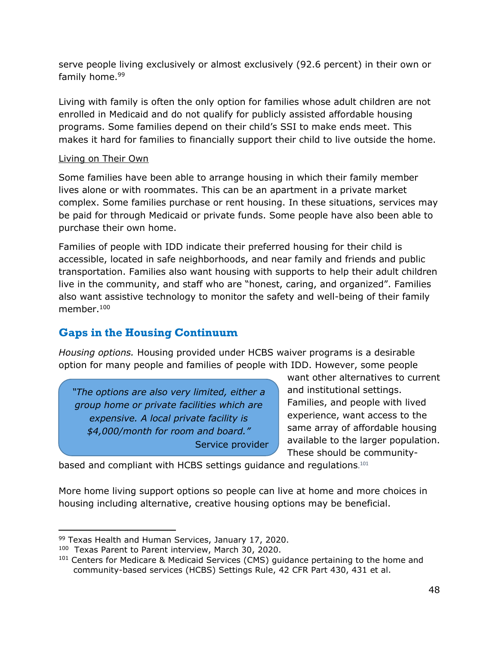serve people living exclusively or almost exclusively (92.6 percent) in their own or family home.<sup>99</sup>

Living with family is often the only option for families whose adult children are not enrolled in Medicaid and do not qualify for publicly assisted affordable housing programs. Some families depend on their child's SSI to make ends meet. This makes it hard for families to financially support their child to live outside the home.

#### Living on Their Own

Some families have been able to arrange housing in which their family member lives alone or with roommates. This can be an apartment in a private market complex. Some families purchase or rent housing. In these situations, services may be paid for through Medicaid or private funds. Some people have also been able to purchase their own home.

Families of people with IDD indicate their preferred housing for their child is accessible, located in safe neighborhoods, and near family and friends and public transportation. Families also want housing with supports to help their adult children live in the community, and staff who are "honest, caring, and organized". Families also want assistive technology to monitor the safety and well-being of their family member.<sup>100</sup>

## **Gaps in the Housing Continuum**

*Housing options.* Housing provided under HCBS waiver programs is a desirable option for many people and families of people with IDD. However, some people

*"The options are also very limited, either a group home or private facilities which are expensive. A local private facility is \$4,000/month for room and board."* Service provider

want other alternatives to current and institutional settings. Families, and people with lived experience, want access to the same array of affordable housing available to the larger population. These should be community-

based and compliant with HCBS settings guidance and regulations.<sup>101</sup>

More home living support options so people can live at home and more choices in housing including alternative, creative housing options may be beneficial.

<sup>99</sup> Texas Health and Human Services, January 17, 2020.

<sup>100</sup> Texas Parent to Parent interview, March 30, 2020.

<sup>&</sup>lt;sup>101</sup> Centers for Medicare & Medicaid Services (CMS) guidance pertaining to the home and community-based services (HCBS) Settings Rule, 42 CFR Part 430, 431 et al.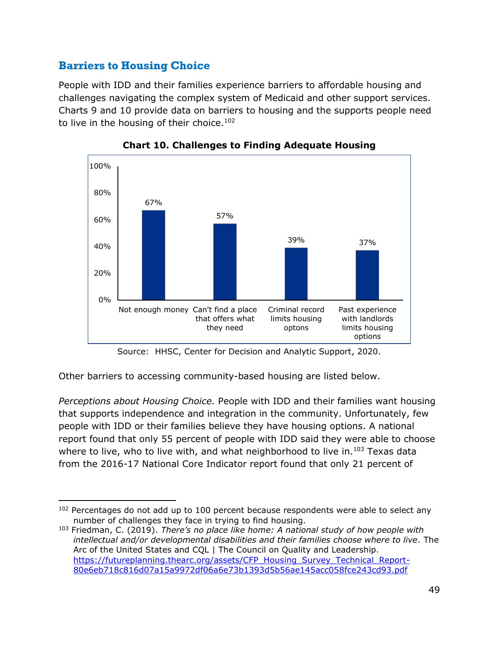## **Barriers to Housing Choice**

People with IDD and their families experience barriers to affordable housing and challenges navigating the complex system of Medicaid and other support services. Charts 9 and 10 provide data on barriers to housing and the supports people need to live in the housing of their choice.<sup>102</sup>



**Chart 10. Challenges to Finding Adequate Housing**

Source: HHSC, Center for Decision and Analytic Support, 2020.

Other barriers to accessing community-based housing are listed below.

*Perceptions about Housing Choice.* People with IDD and their families want housing that supports independence and integration in the community. Unfortunately, few people with IDD or their families believe they have housing options. A national report found that only 55 percent of people with IDD said they were able to choose where to live, who to live with, and what neighborhood to live in.<sup>103</sup> Texas data from the 2016-17 National Core Indicator report found that only 21 percent of

 $102$  Percentages do not add up to 100 percent because respondents were able to select any number of challenges they face in trying to find housing.

<sup>103</sup> Friedman, C. (2019). *There's no place like home: A national study of how people with intellectual and/or developmental disabilities and their families choose where to live.* The Arc of the United States and CQL | The Council on Quality and Leadership. [https://futureplanning.thearc.org/assets/CFP\\_Housing\\_Survey\\_Technical\\_Report-](https://futureplanning.thearc.org/assets/CFP_Housing_Survey_Technical_Report-80e6eb718c816d07a15a9972df06a6e73b1393d5b56ae145acc058fce243cd93.pdf)[80e6eb718c816d07a15a9972df06a6e73b1393d5b56ae145acc058fce243cd93.pdf](https://futureplanning.thearc.org/assets/CFP_Housing_Survey_Technical_Report-80e6eb718c816d07a15a9972df06a6e73b1393d5b56ae145acc058fce243cd93.pdf)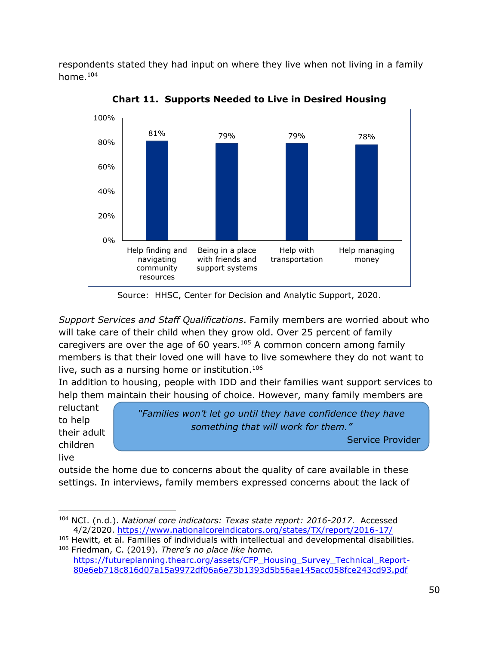respondents stated they had input on where they live when not living in a family home.<sup>104</sup>



**Chart 11. Supports Needed to Live in Desired Housing**

Source: HHSC, Center for Decision and Analytic Support, 2020.

*Support Services and Staff Qualifications*. Family members are worried about who will take care of their child when they grow old. Over 25 percent of family caregivers are over the age of 60 years. $105$  A common concern among family members is that their loved one will have to live somewhere they do not want to live, such as a nursing home or institution.<sup>106</sup>

In addition to housing, people with IDD and their families want support services to help them maintain their housing of choice. However, many family members are

reluctant to help their adult children live

*"Families won't let go until they have confidence they have something that will work for them."*

Service Provider

outside the home due to concerns about the quality of care available in these settings. In interviews, family members expressed concerns about the lack of

<sup>104</sup> NCI. (n.d.). *National core indicators: Texas state report: 2016-2017*. Accessed 4/2/2020.<https://www.nationalcoreindicators.org/states/TX/report/2016-17/>

<sup>&</sup>lt;sup>105</sup> Hewitt, et al. Families of individuals with intellectual and developmental disabilities. <sup>106</sup> Friedman, C. (2019). *There's no place like home.*

[https://futureplanning.thearc.org/assets/CFP\\_Housing\\_Survey\\_Technical\\_Report-](https://futureplanning.thearc.org/assets/CFP_Housing_Survey_Technical_Report-80e6eb718c816d07a15a9972df06a6e73b1393d5b56ae145acc058fce243cd93.pdf)[80e6eb718c816d07a15a9972df06a6e73b1393d5b56ae145acc058fce243cd93.pdf](https://futureplanning.thearc.org/assets/CFP_Housing_Survey_Technical_Report-80e6eb718c816d07a15a9972df06a6e73b1393d5b56ae145acc058fce243cd93.pdf)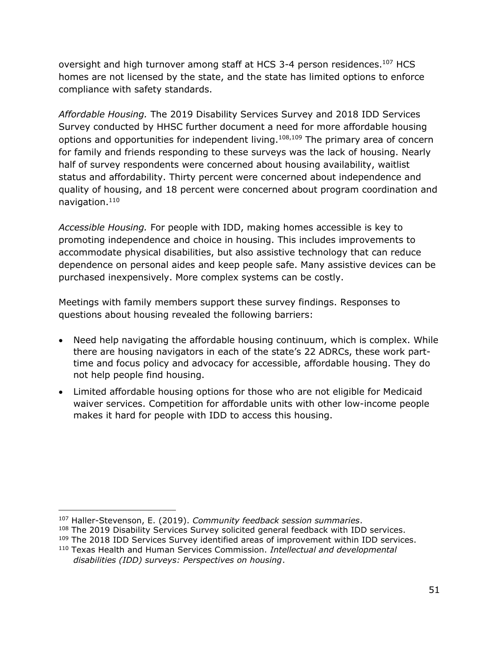oversight and high turnover among staff at HCS 3-4 person residences.<sup>107</sup> HCS homes are not licensed by the state, and the state has limited options to enforce compliance with safety standards.

*Affordable Housing.* The 2019 Disability Services Survey and 2018 IDD Services Survey conducted by HHSC further document a need for more affordable housing options and opportunities for independent living. $108,109$  The primary area of concern for family and friends responding to these surveys was the lack of housing. Nearly half of survey respondents were concerned about housing availability, waitlist status and affordability. Thirty percent were concerned about independence and quality of housing, and 18 percent were concerned about program coordination and navigation.<sup>110</sup>

*Accessible Housing.* For people with IDD, making homes accessible is key to promoting independence and choice in housing. This includes improvements to accommodate physical disabilities, but also assistive technology that can reduce dependence on personal aides and keep people safe. Many assistive devices can be purchased inexpensively. More complex systems can be costly.

Meetings with family members support these survey findings. Responses to questions about housing revealed the following barriers:

- Need help navigating the affordable housing continuum, which is complex. While there are housing navigators in each of the state's 22 ADRCs, these work parttime and focus policy and advocacy for accessible, affordable housing. They do not help people find housing.
- Limited affordable housing options for those who are not eligible for Medicaid waiver services. Competition for affordable units with other low-income people makes it hard for people with IDD to access this housing.

<sup>107</sup> Haller-Stevenson, E. (2019). *Community feedback session summaries*.

<sup>&</sup>lt;sup>108</sup> The 2019 Disability Services Survey solicited general feedback with IDD services.

<sup>&</sup>lt;sup>109</sup> The 2018 IDD Services Survey identified areas of improvement within IDD services.

<sup>110</sup> Texas Health and Human Services Commission. *Intellectual and developmental disabilities (IDD) surveys: Perspectives on housing*.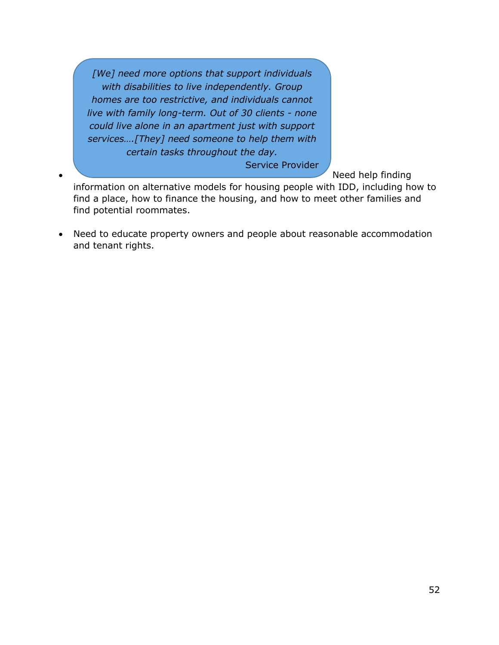*[We] need more options that support individuals with disabilities to live independently. Group homes are too restrictive, and individuals cannot live with family long-term. Out of 30 clients - none could live alone in an apartment just with support services….[They] need someone to help them with certain tasks throughout the day.*

Service Provider

• Need help finding

information on alternative models for housing people with IDD, including how to find a place, how to finance the housing, and how to meet other families and find potential roommates.

• Need to educate property owners and people about reasonable accommodation and tenant rights.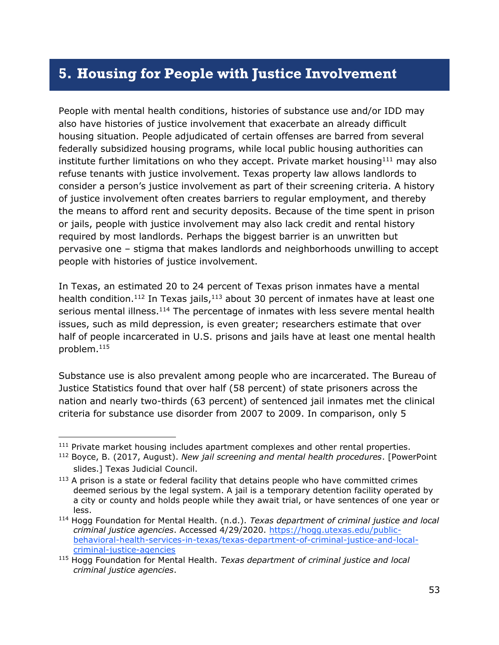## **5. Housing for People with Justice Involvement**

People with mental health conditions, histories of substance use and/or IDD may also have histories of justice involvement that exacerbate an already difficult housing situation. People adjudicated of certain offenses are barred from several federally subsidized housing programs, while local public housing authorities can institute further limitations on who they accept. Private market housing $111$  may also refuse tenants with justice involvement. Texas property law allows landlords to consider a person's justice involvement as part of their screening criteria. A history of justice involvement often creates barriers to regular employment, and thereby the means to afford rent and security deposits. Because of the time spent in prison or jails, people with justice involvement may also lack credit and rental history required by most landlords. Perhaps the biggest barrier is an unwritten but pervasive one – stigma that makes landlords and neighborhoods unwilling to accept people with histories of justice involvement.

In Texas, an estimated 20 to 24 percent of Texas prison inmates have a mental health condition.<sup>112</sup> In Texas jails,<sup>113</sup> about 30 percent of inmates have at least one serious mental illness.<sup>114</sup> The percentage of inmates with less severe mental health issues, such as mild depression, is even greater; researchers estimate that over half of people incarcerated in U.S. prisons and jails have at least one mental health problem. 115

Substance use is also prevalent among people who are incarcerated. The Bureau of Justice Statistics found that over half (58 percent) of state prisoners across the nation and nearly two-thirds (63 percent) of sentenced jail inmates met the clinical criteria for substance use disorder from 2007 to 2009. In comparison, only 5

<sup>&</sup>lt;sup>111</sup> Private market housing includes apartment complexes and other rental properties.

<sup>112</sup> Boyce, B. (2017, August). *New jail screening and mental health procedures*. [PowerPoint slides.] Texas Judicial Council.

 $113$  A prison is a state or federal facility that detains people who have committed crimes deemed serious by the legal system. A jail is a temporary detention facility operated by a city or county and holds people while they await trial, or have sentences of one year or less.

<sup>114</sup> Hogg Foundation for Mental Health. (n.d.). *Texas department of criminal justice and local criminal justice agencies*. Accessed 4/29/2020. [https://hogg.utexas.edu/public](https://hogg.utexas.edu/public-behavioral-health-services-in-texas/texas-department-of-criminal-justice-and-local-criminal-justice-agencies)[behavioral-health-services-in-texas/texas-department-of-criminal-justice-and-local](https://hogg.utexas.edu/public-behavioral-health-services-in-texas/texas-department-of-criminal-justice-and-local-criminal-justice-agencies)[criminal-justice-agencies](https://hogg.utexas.edu/public-behavioral-health-services-in-texas/texas-department-of-criminal-justice-and-local-criminal-justice-agencies)

<sup>115</sup> Hogg Foundation for Mental Health. *Texas department of criminal justice and local criminal justice agencies*.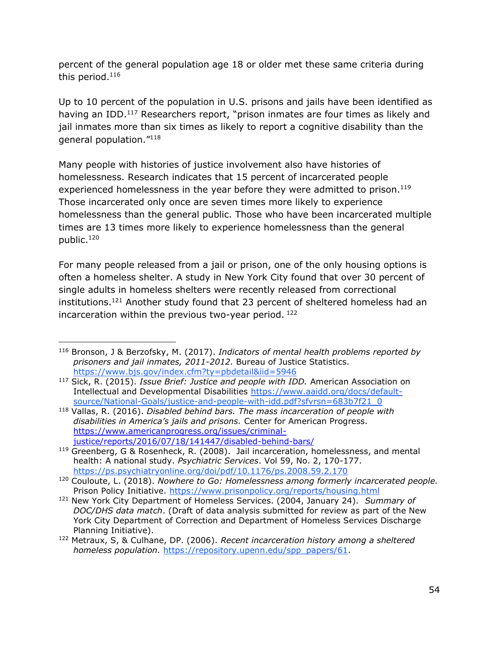percent of the general population age 18 or older met these same criteria during this period.<sup>116</sup>

Up to 10 percent of the population in U.S. prisons and jails have been identified as having an IDD.<sup>117</sup> Researchers report, "prison inmates are four times as likely and jail inmates more than six times as likely to report a cognitive disability than the general population."<sup>118</sup>

Many people with histories of justice involvement also have histories of homelessness. Research indicates that 15 percent of incarcerated people experienced homelessness in the year before they were admitted to prison.<sup>119</sup> Those incarcerated only once are seven times more likely to experience homelessness than the general public. Those who have been incarcerated multiple times are 13 times more likely to experience homelessness than the general public.<sup>120</sup>

For many people released from a jail or prison, one of the only housing options is often a homeless shelter. A study in New York City found that over 30 percent of single adults in homeless shelters were recently released from correctional institutions. <sup>121</sup> Another study found that 23 percent of sheltered homeless had an incarceration within the previous two-year period. <sup>122</sup>

<sup>116</sup> Bronson, J & Berzofsky, M. (2017). *Indicators of mental health problems reported by prisoners and jail inmates, 2011-2012.* Bureau of Justice Statistics. <https://www.bjs.gov/index.cfm?ty=pbdetail&iid=5946>

<sup>117</sup> Sick, R. (2015). *Issue Brief: Justice and people with IDD.* American Association on Intellectual and Developmental Disabilities [https://www.aaidd.org/docs/default](https://www.aaidd.org/docs/default-source/National-Goals/justice-and-people-with-idd.pdf?sfvrsn=683b7f21_0)[source/National-Goals/justice-and-people-with-idd.pdf?sfvrsn=683b7f21\\_0](https://www.aaidd.org/docs/default-source/National-Goals/justice-and-people-with-idd.pdf?sfvrsn=683b7f21_0)

<sup>118</sup> Vallas, R. (2016). *Disabled behind bars. The mass incarceration of people with disabilities in America's jails and prisons.* Center for American Progress. [https://www.americanprogress.org/issues/criminal](https://www.americanprogress.org/issues/criminal-justice/reports/2016/07/18/141447/disabled-behind-bars/)[justice/reports/2016/07/18/141447/disabled-behind-bars/](https://www.americanprogress.org/issues/criminal-justice/reports/2016/07/18/141447/disabled-behind-bars/)

<sup>119</sup> Greenberg, G & Rosenheck, R. (2008). Jail incarceration, homelessness, and mental health: A national study. *Psychiatric Services*. Vol 59, No. 2, 170-177. <https://ps.psychiatryonline.org/doi/pdf/10.1176/ps.2008.59.2.170>

<sup>120</sup> Couloute, L. (2018). *Nowhere to Go: Homelessness among formerly incarcerated people.*  Prison Policy Initiative. <https://www.prisonpolicy.org/reports/housing.html>

<sup>121</sup> New York City Department of Homeless Services. (2004, January 24). *Summary of DOC/DHS data match*. (Draft of data analysis submitted for review as part of the New York City Department of Correction and Department of Homeless Services Discharge Planning Initiative).

<sup>122</sup> Metraux, S, & Culhane, DP. (2006). *Recent incarceration history among a sheltered homeless population.* [https://repository.upenn.edu/spp\\_papers/61.](https://repository.upenn.edu/spp_papers/61)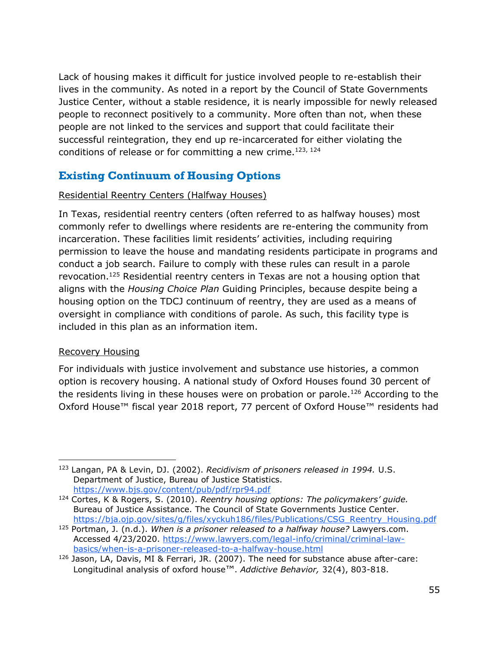Lack of housing makes it difficult for justice involved people to re-establish their lives in the community. As noted in a report by the Council of State Governments Justice Center, without a stable residence, it is nearly impossible for newly released people to reconnect positively to a community. More often than not, when these people are not linked to the services and support that could facilitate their successful reintegration, they end up re-incarcerated for either violating the conditions of release or for committing a new crime.<sup>123, 124</sup>

## **Existing Continuum of Housing Options**

#### Residential Reentry Centers (Halfway Houses)

In Texas, residential reentry centers (often referred to as halfway houses) most commonly refer to dwellings where residents are re-entering the community from incarceration. These facilities limit residents' activities, including requiring permission to leave the house and mandating residents participate in programs and conduct a job search. Failure to comply with these rules can result in a parole revocation.<sup>125</sup> Residential reentry centers in Texas are not a housing option that aligns with the *Housing Choice Plan* Guiding Principles, because despite being a housing option on the TDCJ continuum of reentry, they are used as a means of oversight in compliance with conditions of parole. As such, this facility type is included in this plan as an information item.

#### Recovery Housing

For individuals with justice involvement and substance use histories, a common option is recovery housing. A national study of Oxford Houses found 30 percent of the residents living in these houses were on probation or parole.<sup>126</sup> According to the Oxford House™ fiscal year 2018 report, 77 percent of Oxford House™ residents had

<sup>123</sup> Langan, PA & Levin, DJ. (2002). *Recidivism of prisoners released in 1994.* U.S. Department of Justice, Bureau of Justice Statistics. <https://www.bjs.gov/content/pub/pdf/rpr94.pdf>

<sup>124</sup> Cortes, K & Rogers, S. (2010). *Reentry housing options: The policymakers' guide.*  Bureau of Justice Assistance. The Council of State Governments Justice Center. [https://bja.ojp.gov/sites/g/files/xyckuh186/files/Publications/CSG\\_Reentry\\_Housing.pdf](https://bja.ojp.gov/sites/g/files/xyckuh186/files/Publications/CSG_Reentry_Housing.pdf)

<sup>125</sup> Portman, J. (n.d.). *When is a prisoner released to a halfway house?* Lawyers.com. Accessed 4/23/2020. [https://www.lawyers.com/legal-info/criminal/criminal-law](https://www.lawyers.com/legal-info/criminal/criminal-law-basics/when-is-a-prisoner-released-to-a-halfway-house.html)[basics/when-is-a-prisoner-released-to-a-halfway-house.html](https://www.lawyers.com/legal-info/criminal/criminal-law-basics/when-is-a-prisoner-released-to-a-halfway-house.html)

<sup>126</sup> Jason, LA, Davis, MI & Ferrari, JR. (2007). The need for substance abuse after-care: Longitudinal analysis of oxford house™. *Addictive Behavior,* 32(4), 803-818.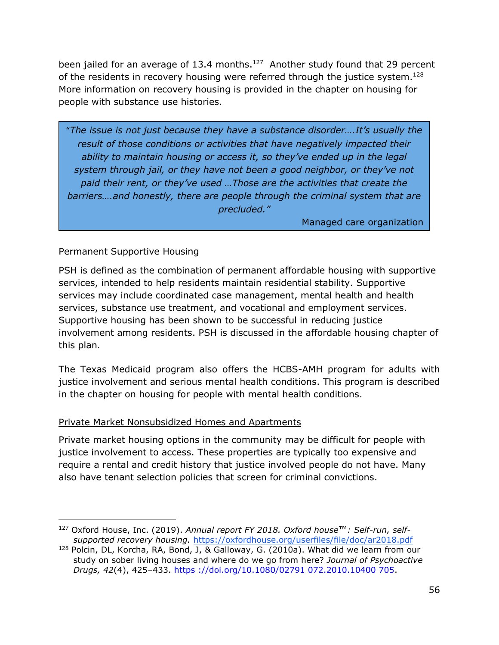been jailed for an average of 13.4 months. $127$  Another study found that 29 percent of the residents in recovery housing were referred through the justice system.<sup>128</sup> More information on recovery housing is provided in the chapter on housing for people with substance use histories.

"*The issue is not just because they have a substance disorder….It's usually the result of those conditions or activities that have negatively impacted their ability to maintain housing or access it, so they've ended up in the legal system through jail, or they have not been a good neighbor, or they've not paid their rent, or they've used …Those are the activities that create the barriers….and honestly, there are people through the criminal system that are precluded."*

Managed care organization

#### Permanent Supportive Housing

PSH is defined as the combination of permanent affordable housing with supportive services, intended to help residents maintain residential stability. Supportive services may include coordinated case management, mental health and health services, substance use treatment, and vocational and employment services. Supportive housing has been shown to be successful in reducing justice involvement among residents. PSH is discussed in the affordable housing chapter of this plan.

The Texas Medicaid program also offers the HCBS-AMH program for adults with justice involvement and serious mental health conditions. This program is described in the chapter on housing for people with mental health conditions.

#### Private Market Nonsubsidized Homes and Apartments

Private market housing options in the community may be difficult for people with justice involvement to access. These properties are typically too expensive and require a rental and credit history that justice involved people do not have. Many also have tenant selection policies that screen for criminal convictions.

<sup>127</sup> Oxford House, Inc. (2019). *Annual report FY 2018. Oxford house*™*: Self-run, selfsupported recovery housing.* <https://oxfordhouse.org/userfiles/file/doc/ar2018.pdf>

<sup>&</sup>lt;sup>128</sup> Polcin, DL, Korcha, RA, Bond, J, & Galloway, G. (2010a). What did we learn from our study on sober living houses and where do we go from here? *Journal of Psychoactive Drugs, 42*(4), 425–433. https ://doi.org/10.1080/02791 072.2010.10400 705.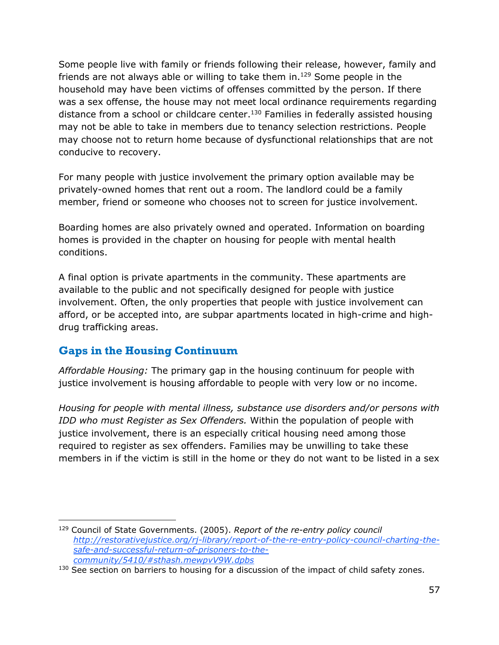Some people live with family or friends following their release, however, family and friends are not always able or willing to take them in.<sup>129</sup> Some people in the household may have been victims of offenses committed by the person. If there was a sex offense, the house may not meet local ordinance requirements regarding distance from a school or childcare center.<sup>130</sup> Families in federally assisted housing may not be able to take in members due to tenancy selection restrictions. People may choose not to return home because of dysfunctional relationships that are not conducive to recovery.

For many people with justice involvement the primary option available may be privately-owned homes that rent out a room. The landlord could be a family member, friend or someone who chooses not to screen for justice involvement.

Boarding homes are also privately owned and operated. Information on boarding homes is provided in the chapter on housing for people with mental health conditions.

A final option is private apartments in the community. These apartments are available to the public and not specifically designed for people with justice involvement. Often, the only properties that people with justice involvement can afford, or be accepted into, are subpar apartments located in high-crime and highdrug trafficking areas.

## **Gaps in the Housing Continuum**

*Affordable Housing:* The primary gap in the housing continuum for people with justice involvement is housing affordable to people with very low or no income.

*Housing for people with mental illness, substance use disorders and/or persons with IDD who must Register as Sex Offenders.* Within the population of people with justice involvement, there is an especially critical housing need among those required to register as sex offenders. Families may be unwilling to take these members in if the victim is still in the home or they do not want to be listed in a sex

<sup>129</sup> Council of State Governments. (2005). *Report of the re-entry policy council [http://restorativejustice.org/rj-library/report-of-the-re-entry-policy-council-charting-the](http://restorativejustice.org/rj-library/report-of-the-re-entry-policy-council-charting-the-safe-and-successful-return-of-prisoners-to-the-community/5410/#sthash.mewpvV9W.dpbs)[safe-and-successful-return-of-prisoners-to-the](http://restorativejustice.org/rj-library/report-of-the-re-entry-policy-council-charting-the-safe-and-successful-return-of-prisoners-to-the-community/5410/#sthash.mewpvV9W.dpbs)[community/5410/#sthash.mewpvV9W.dpbs](http://restorativejustice.org/rj-library/report-of-the-re-entry-policy-council-charting-the-safe-and-successful-return-of-prisoners-to-the-community/5410/#sthash.mewpvV9W.dpbs)*

<sup>130</sup> See section on barriers to housing for a discussion of the impact of child safety zones.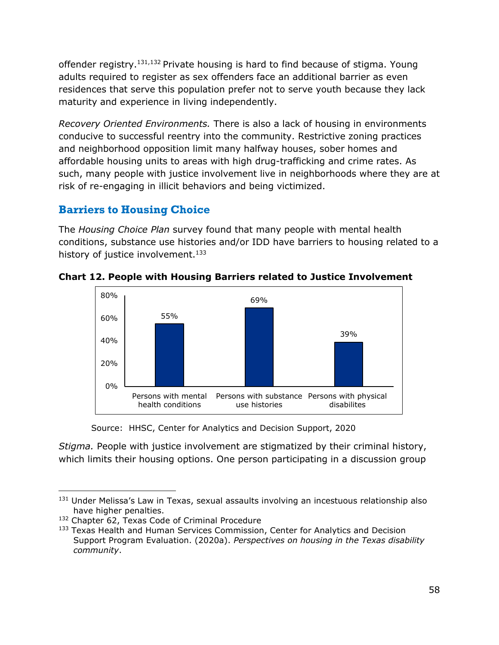offender registry.131,132 Private housing is hard to find because of stigma. Young adults required to register as sex offenders face an additional barrier as even residences that serve this population prefer not to serve youth because they lack maturity and experience in living independently.

*Recovery Oriented Environments.* There is also a lack of housing in environments conducive to successful reentry into the community. Restrictive zoning practices and neighborhood opposition limit many halfway houses, sober homes and affordable housing units to areas with high drug-trafficking and crime rates. As such, many people with justice involvement live in neighborhoods where they are at risk of re-engaging in illicit behaviors and being victimized.

## **Barriers to Housing Choice**

The *Housing Choice Plan* survey found that many people with mental health conditions, substance use histories and/or IDD have barriers to housing related to a history of justice involvement. $133$ 



**Chart 12. People with Housing Barriers related to Justice Involvement**

*Stigma.* People with justice involvement are stigmatized by their criminal history, which limits their housing options. One person participating in a discussion group

Source: HHSC, Center for Analytics and Decision Support, 2020

<sup>&</sup>lt;sup>131</sup> Under Melissa's Law in Texas, sexual assaults involving an incestuous relationship also have higher penalties.

<sup>132</sup> Chapter 62, Texas Code of Criminal Procedure

<sup>&</sup>lt;sup>133</sup> Texas Health and Human Services Commission, Center for Analytics and Decision Support Program Evaluation. (2020a). *Perspectives on housing in the Texas disability community*.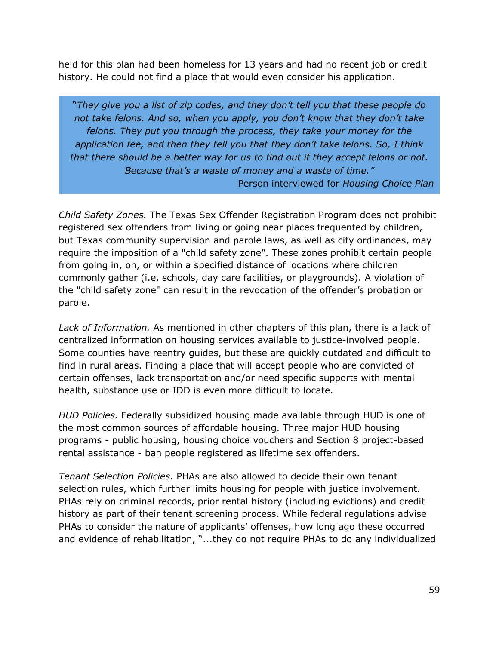held for this plan had been homeless for 13 years and had no recent job or credit history. He could not find a place that would even consider his application.

"*They give you a list of zip codes, and they don't tell you that these people do not take felons. And so, when you apply, you don't know that they don't take felons. They put you through the process, they take your money for the application fee, and then they tell you that they don't take felons. So, I think that there should be a better way for us to find out if they accept felons or not. Because that's a waste of money and a waste of time."*

Person interviewed for *Housing Choice Plan*

*Child Safety Zones.* The Texas Sex Offender Registration Program does not prohibit registered sex offenders from living or going near places frequented by children, but Texas community supervision and parole laws, as well as city ordinances, may require the imposition of a "child safety zone". These zones prohibit certain people from going in, on, or within a specified distance of locations where children commonly gather (i.e. schools, day care facilities, or playgrounds). A violation of the "child safety zone" can result in the revocation of the offender's probation or parole.

*Lack of Information.* As mentioned in other chapters of this plan, there is a lack of centralized information on housing services available to justice-involved people. Some counties have reentry guides, but these are quickly outdated and difficult to find in rural areas. Finding a place that will accept people who are convicted of certain offenses, lack transportation and/or need specific supports with mental health, substance use or IDD is even more difficult to locate.

*HUD Policies.* Federally subsidized housing made available through HUD is one of the most common sources of affordable housing. Three major HUD housing programs - public housing, housing choice vouchers and Section 8 project-based rental assistance - ban people registered as lifetime sex offenders.

*Tenant Selection Policies.* PHAs are also allowed to decide their own tenant selection rules, which further limits housing for people with justice involvement. PHAs rely on criminal records, prior rental history (including evictions) and credit history as part of their tenant screening process. While federal regulations advise PHAs to consider the nature of applicants' offenses, how long ago these occurred and evidence of rehabilitation, "...they do not require PHAs to do any individualized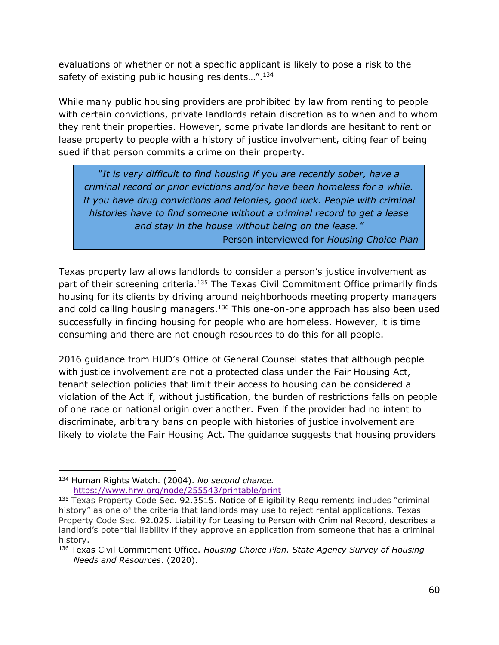evaluations of whether or not a specific applicant is likely to pose a risk to the safety of existing public housing residents...".<sup>134</sup>

While many public housing providers are prohibited by law from renting to people with certain convictions, private landlords retain discretion as to when and to whom they rent their properties. However, some private landlords are hesitant to rent or lease property to people with a history of justice involvement, citing fear of being sued if that person commits a crime on their property.

*"It is very difficult to find housing if you are recently sober, have a criminal record or prior evictions and/or have been homeless for a while. If you have drug convictions and felonies, good luck. People with criminal histories have to find someone without a criminal record to get a lease and stay in the house without being on the lease."* Person interviewed for *Housing Choice Plan*

Texas property law allows landlords to consider a person's justice involvement as part of their screening criteria.<sup>135</sup> The Texas Civil Commitment Office primarily finds housing for its clients by driving around neighborhoods meeting property managers and cold calling housing managers.<sup>136</sup> This one-on-one approach has also been used successfully in finding housing for people who are homeless. However, it is time consuming and there are not enough resources to do this for all people.

2016 guidance from HUD's Office of General Counsel states that although people with justice involvement are not a protected class under the Fair Housing Act, tenant selection policies that limit their access to housing can be considered a violation of the Act if, without justification, the burden of restrictions falls on people of one race or national origin over another. Even if the provider had no intent to discriminate, arbitrary bans on people with histories of justice involvement are likely to violate the Fair Housing Act. The guidance suggests that housing providers

<sup>134</sup> Human Rights Watch. (2004). *No second chance.* <https://www.hrw.org/node/255543/printable/print>

<sup>&</sup>lt;sup>135</sup> Texas Property Code Sec. 92.3515. Notice of Eligibility Requirements includes "criminal history" as one of the criteria that landlords may use to reject rental applications. Texas Property Code Sec. 92.025. Liability for Leasing to Person with Criminal Record, describes a landlord's potential liability if they approve an application from someone that has a criminal history.

<sup>136</sup> Texas Civil Commitment Office. *Housing Choice Plan. State Agency Survey of Housing Needs and Resources*. (2020).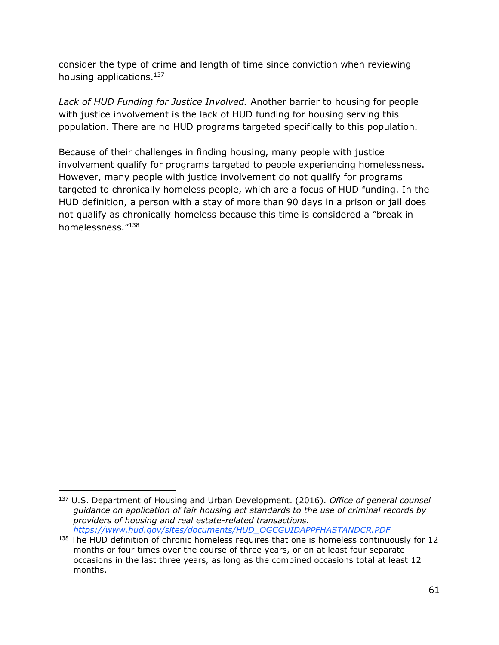consider the type of crime and length of time since conviction when reviewing housing applications.<sup>137</sup>

*Lack of HUD Funding for Justice Involved.* Another barrier to housing for people with justice involvement is the lack of HUD funding for housing serving this population. There are no HUD programs targeted specifically to this population.

Because of their challenges in finding housing, many people with justice involvement qualify for programs targeted to people experiencing homelessness. However, many people with justice involvement do not qualify for programs targeted to chronically homeless people, which are a focus of HUD funding. In the HUD definition, a person with a stay of more than 90 days in a prison or jail does not qualify as chronically homeless because this time is considered a "break in homelessness."<sup>138</sup>

<sup>137</sup> U.S. Department of Housing and Urban Development. (2016). *Office of general counsel guidance on application of fair housing act standards to the use of criminal records by providers of housing and real estate-related transactions. [https://www.hud.gov/sites/documents/HUD\\_OGCGUIDAPPFHASTANDCR.PDF](https://www.hud.gov/sites/documents/HUD_OGCGUIDAPPFHASTANDCR.PDF)*

<sup>&</sup>lt;sup>138</sup> The HUD definition of chronic homeless requires that one is homeless continuously for 12 months or four times over the course of three years, or on at least four separate occasions in the last three years, as long as the combined occasions total at least 12 months.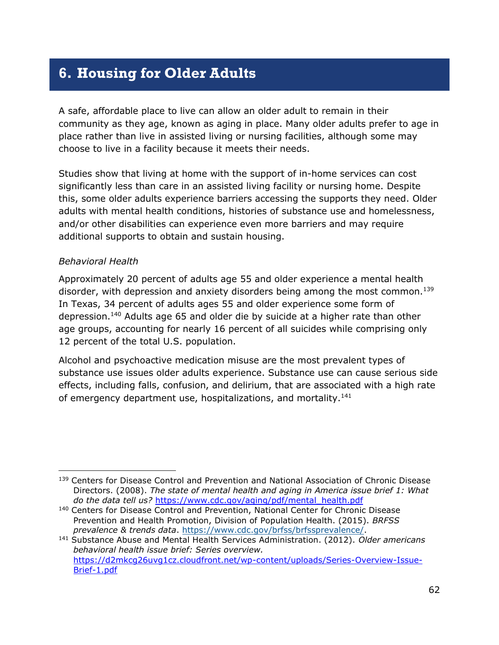## **6. Housing for Older Adults**

A safe, affordable place to live can allow an older adult to remain in their community as they age, known as aging in place. Many older adults prefer to age in place rather than live in assisted living or nursing facilities, although some may choose to live in a facility because it meets their needs.

Studies show that living at home with the support of in-home services can cost significantly less than care in an assisted living facility or nursing home. Despite this, some older adults experience barriers accessing the supports they need. Older adults with mental health conditions, histories of substance use and homelessness, and/or other disabilities can experience even more barriers and may require additional supports to obtain and sustain housing.

#### *Behavioral Health*

Approximately 20 percent of adults age 55 and older experience a mental health disorder, with depression and anxiety disorders being among the most common.<sup>139</sup> In Texas, 34 percent of adults ages 55 and older experience some form of depression.<sup>140</sup> Adults age 65 and older die by suicide at a higher rate than other age groups, accounting for nearly 16 percent of all suicides while comprising only 12 percent of the total U.S. population.

Alcohol and psychoactive medication misuse are the most prevalent types of substance use issues older adults experience. Substance use can cause serious side effects, including falls, confusion, and delirium, that are associated with a high rate of emergency department use, hospitalizations, and mortality.<sup>141</sup>

<sup>&</sup>lt;sup>139</sup> Centers for Disease Control and Prevention and National Association of Chronic Disease Directors. (2008). *The state of mental health and aging in America issue brief 1: What do the data tell us?* [https://www.cdc.gov/aging/pdf/mental\\_health.pdf](https://www.cdc.gov/aging/pdf/mental_health.pdf)

<sup>&</sup>lt;sup>140</sup> Centers for Disease Control and Prevention, National Center for Chronic Disease Prevention and Health Promotion, Division of Population Health. (2015). *BRFSS prevalence & trends data*. [https://www.cdc.gov/brfss/brfssprevalence/.](javascript:NavigateLink2()

<sup>141</sup> Substance Abuse and Mental Health Services Administration. (2012). *Older americans behavioral health issue brief: Series overview.*  [https://d2mkcg26uvg1cz.cloudfront.net/wp-content/uploads/Series-Overview-Issue-](https://d2mkcg26uvg1cz.cloudfront.net/wp-content/uploads/Series-Overview-Issue-Brief-1.pdf)[Brief-1.pdf](https://d2mkcg26uvg1cz.cloudfront.net/wp-content/uploads/Series-Overview-Issue-Brief-1.pdf)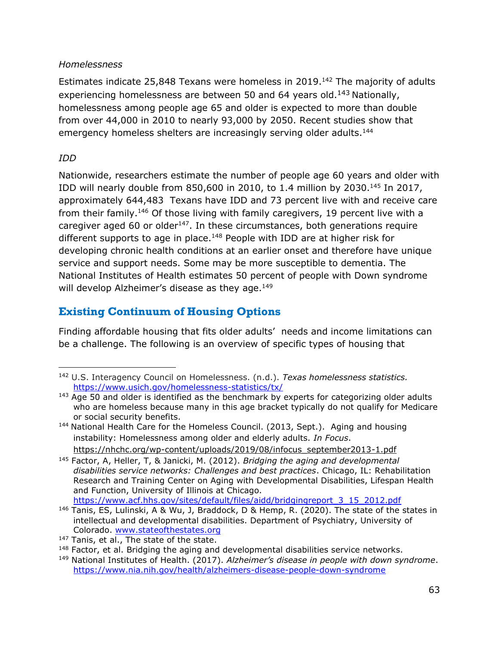#### *Homelessness*

Estimates indicate 25,848 Texans were homeless in 2019.<sup>142</sup> The majority of adults experiencing homelessness are between 50 and 64 years old.<sup>143</sup> Nationally, homelessness among people age 65 and older is expected to more than double from over 44,000 in 2010 to nearly 93,000 by 2050. Recent studies show that emergency homeless shelters are increasingly serving older adults.<sup>144</sup>

#### *IDD*

Nationwide, researchers estimate the number of people age 60 years and older with IDD will nearly double from 850,600 in 2010, to 1.4 million by 2030.<sup>145</sup> In 2017, approximately 644,483 Texans have IDD and 73 percent live with and receive care from their family.<sup>146</sup> Of those living with family caregivers, 19 percent live with a caregiver aged 60 or older $147$ . In these circumstances, both generations require different supports to age in place. $148$  People with IDD are at higher risk for developing chronic health conditions at an earlier onset and therefore have unique service and support needs. Some may be more susceptible to dementia. The National Institutes of Health estimates 50 percent of people with Down syndrome will develop Alzheimer's disease as they age.<sup>149</sup>

## **Existing Continuum of Housing Options**

Finding affordable housing that fits older adults' needs and income limitations can be a challenge. The following is an overview of specific types of housing that

<sup>142</sup> U.S. Interagency Council on Homelessness. (n.d.). *Texas homelessness statistics.* <https://www.usich.gov/homelessness-statistics/tx/>

<sup>&</sup>lt;sup>143</sup> Age 50 and older is identified as the benchmark by experts for categorizing older adults who are homeless because many in this age bracket typically do not qualify for Medicare or social security benefits.

<sup>144</sup> National Health Care for the Homeless Council. (2013, Sept.). Aging and housing instability: Homelessness among older and elderly adults. *In Focus*. [https://nhchc.org/wp-content/uploads/2019/08/infocus\\_september2013-1.pdf](https://nhchc.org/wp-content/uploads/2019/08/infocus_september2013-1.pdf)

<sup>145</sup> Factor, A, Heller, T, & Janicki, M. (2012). *Bridging the aging and developmental disabilities service networks: Challenges and best practices*. Chicago, IL: Rehabilitation Research and Training Center on Aging with Developmental Disabilities, Lifespan Health and Function, University of Illinois at Chicago. [https://www.acf.hhs.gov/sites/default/files/aidd/bridgingreport\\_3\\_15\\_2012.pdf](https://www.acf.hhs.gov/sites/default/files/aidd/bridgingreport_3_15_2012.pdf)

<sup>&</sup>lt;sup>146</sup> Tanis, ES, Lulinski, A & Wu, J, Braddock, D & Hemp, R. (2020). The state of the states in intellectual and developmental disabilities. Department of Psychiatry, University of Colorado. [www.stateofthestates.org](http://stateofthestates.org/)

<sup>&</sup>lt;sup>147</sup> Tanis, et al., The state of the state.

 $148$  Factor, et al. Bridging the aging and developmental disabilities service networks.

<sup>149</sup> National Institutes of Health. (2017). *Alzheimer's disease in people with down syndrome*. <https://www.nia.nih.gov/health/alzheimers-disease-people-down-syndrome>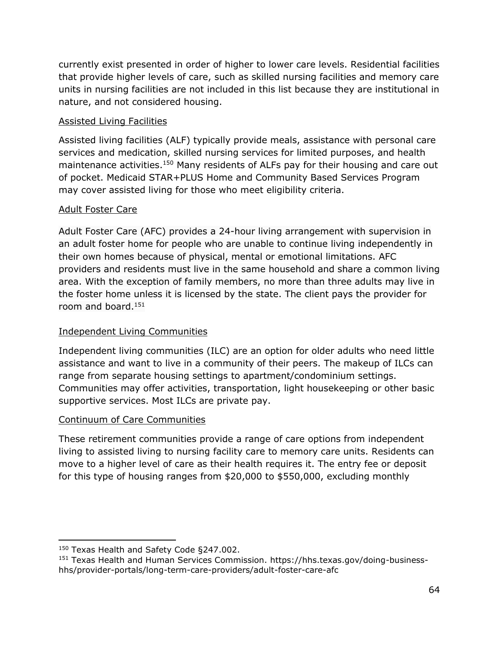currently exist presented in order of higher to lower care levels. Residential facilities that provide higher levels of care, such as skilled nursing facilities and memory care units in nursing facilities are not included in this list because they are institutional in nature, and not considered housing.

#### Assisted Living Facilities

Assisted living facilities (ALF) typically provide meals, assistance with personal care services and medication, skilled nursing services for limited purposes, and health maintenance activities.<sup>150</sup> Many residents of ALFs pay for their housing and care out of pocket. Medicaid STAR+PLUS Home and Community Based Services Program may cover assisted living for those who meet eligibility criteria.

#### Adult Foster Care

Adult Foster Care (AFC) provides a 24-hour living arrangement with supervision in an adult foster home for people who are unable to continue living independently in their own homes because of physical, mental or emotional limitations. AFC providers and residents must live in the same household and share a common living area. With the exception of family members, no more than three adults may live in the foster home unless it is licensed by the state. The client pays the provider for room and board. $151$ 

#### Independent Living Communities

Independent living communities (ILC) are an option for older adults who need little assistance and want to live in a community of their peers. The makeup of ILCs can range from separate housing settings to apartment/condominium settings. Communities may offer activities, transportation, light housekeeping or other basic supportive services. Most ILCs are private pay.

#### Continuum of Care Communities

These retirement communities provide a range of care options from independent living to assisted living to nursing facility care to memory care units. Residents can move to a higher level of care as their health requires it. The entry fee or deposit for this type of housing ranges from \$20,000 to \$550,000, excluding monthly

<sup>150</sup> Texas Health and Safety Code §247.002.

<sup>151</sup> Texas Health and Human Services Commission. https://hhs.texas.gov/doing-businesshhs/provider-portals/long-term-care-providers/adult-foster-care-afc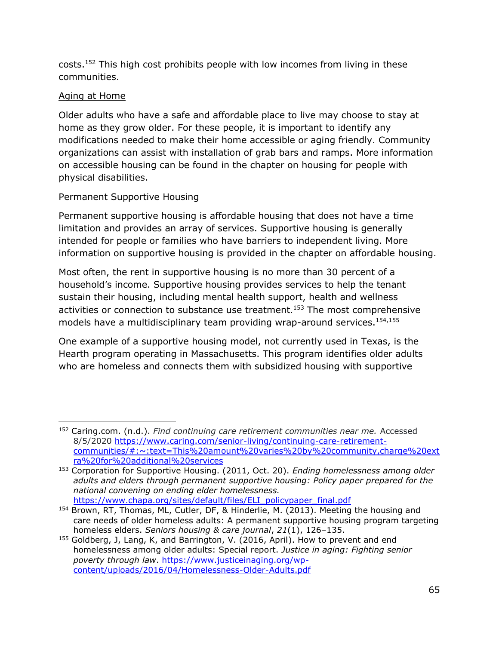costs.<sup>152</sup> This high cost prohibits people with low incomes from living in these communities.

## Aging at Home

Older adults who have a safe and affordable place to live may choose to stay at home as they grow older. For these people, it is important to identify any modifications needed to make their home accessible or aging friendly. Community organizations can assist with installation of grab bars and ramps. More information on accessible housing can be found in the chapter on housing for people with physical disabilities.

## Permanent Supportive Housing

Permanent supportive housing is affordable housing that does not have a time limitation and provides an array of services. Supportive housing is generally intended for people or families who have barriers to independent living. More information on supportive housing is provided in the chapter on affordable housing.

Most often, the rent in supportive housing is no more than 30 percent of a household's income. Supportive housing provides services to help the tenant sustain their housing, including mental health support, health and wellness activities or connection to substance use treatment.<sup>153</sup> The most comprehensive models have a multidisciplinary team providing wrap-around services.<sup>154,155</sup>

One example of a supportive housing model, not currently used in Texas, is the Hearth program operating in Massachusetts. This program identifies older adults who are homeless and connects them with subsidized housing with supportive

<sup>152</sup> Caring.com. (n.d.). *Find continuing care retirement communities near me.* Accessed 8/5/2020 [https://www.caring.com/senior-living/continuing-care-retirement](https://www.caring.com/senior-living/continuing-care-retirement-communities/#:~:text=This%20amount%20varies%20by%20community,charge%20extra%20for%20additional%20services)[communities/#:~:text=This%20amount%20varies%20by%20community,charge%20ext](https://www.caring.com/senior-living/continuing-care-retirement-communities/#:~:text=This%20amount%20varies%20by%20community,charge%20extra%20for%20additional%20services) [ra%20for%20additional%20services](https://www.caring.com/senior-living/continuing-care-retirement-communities/#:~:text=This%20amount%20varies%20by%20community,charge%20extra%20for%20additional%20services)

<sup>153</sup> Corporation for Supportive Housing. (2011, Oct. 20). *Ending homelessness among older adults and elders through permanent supportive housing: Policy paper prepared for the national convening on ending elder homelessness.* [https://www.chapa.org/sites/default/files/ELI\\_policypaper\\_final.pdf](https://www.chapa.org/sites/default/files/ELI_policypaper_final.pdf)

<sup>154</sup> Brown, RT, Thomas, ML, Cutler, DF, & Hinderlie, M. (2013). Meeting the housing and care needs of older homeless adults: A permanent supportive housing program targeting homeless elders. *Seniors housing & care journal*, *21*(1), 126–135.

<sup>155</sup> Goldberg, J, Lang, K, and Barrington, V. (2016, April). How to prevent and end homelessness among older adults: Special report. *Justice in aging: Fighting senior*  poverty through law. [https://www.justiceinaging.org/wp](https://www.justiceinaging.org/wp-content/uploads/2016/04/Homelessness-Older-Adults.pdf)[content/uploads/2016/04/Homelessness-Older-Adults.pdf](https://www.justiceinaging.org/wp-content/uploads/2016/04/Homelessness-Older-Adults.pdf)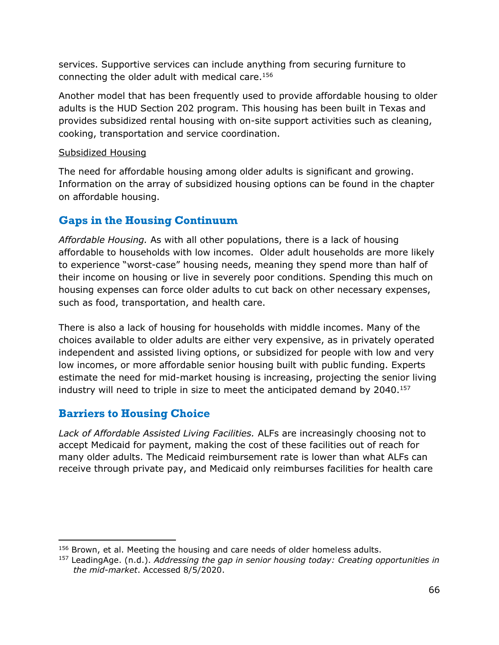services. Supportive services can include anything from securing furniture to connecting the older adult with medical care.<sup>156</sup>

Another model that has been frequently used to provide affordable housing to older adults is the HUD Section 202 program. This housing has been built in Texas and provides subsidized rental housing with on-site support activities such as cleaning, cooking, transportation and service coordination.

#### Subsidized Housing

The need for affordable housing among older adults is significant and growing. Information on the array of subsidized housing options can be found in the chapter on affordable housing.

# **Gaps in the Housing Continuum**

*Affordable Housing.* As with all other populations, there is a lack of housing affordable to households with low incomes.Older adult households are more likely to experience "worst-case" housing needs, meaning they spend more than half of their income on housing or live in severely poor conditions. Spending this much on housing expenses can force older adults to cut back on other necessary expenses, such as food, transportation, and health care.

There is also a lack of housing for households with middle incomes. Many of the choices available to older adults are either very expensive, as in privately operated independent and assisted living options, or subsidized for people with low and very low incomes, or more affordable senior housing built with public funding. Experts estimate the need for mid-market housing is increasing, projecting the senior living industry will need to triple in size to meet the anticipated demand by 2040.<sup>157</sup>

# **Barriers to Housing Choice**

*Lack of Affordable Assisted Living Facilities.* ALFs are increasingly choosing not to accept Medicaid for payment, making the cost of these facilities out of reach for many older adults. The Medicaid reimbursement rate is lower than what ALFs can receive through private pay, and Medicaid only reimburses facilities for health care

<sup>&</sup>lt;sup>156</sup> Brown, et al. Meeting the housing and care needs of older homeless adults.

<sup>157</sup> LeadingAge. (n.d.). *Addressing the gap in senior housing today: Creating opportunities in the mid-market*. Accessed 8/5/2020.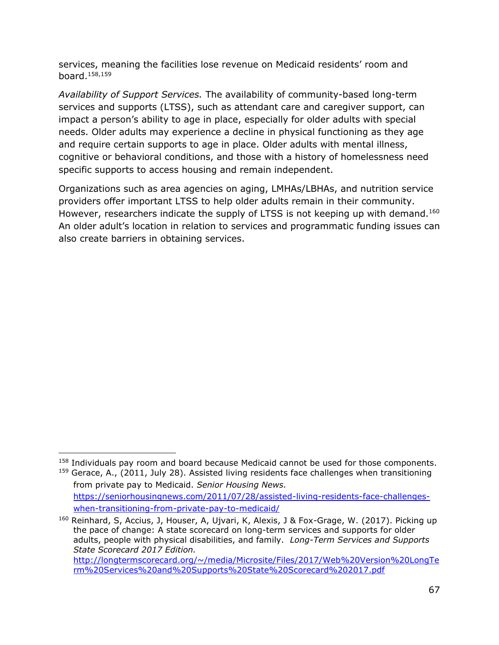services, meaning the facilities lose revenue on Medicaid residents' room and board.158,159

*Availability of Support Services.* The availability of community-based long-term services and supports (LTSS), such as attendant care and caregiver support, can impact a person's ability to age in place, especially for older adults with special needs. Older adults may experience a decline in physical functioning as they age and require certain supports to age in place. Older adults with mental illness, cognitive or behavioral conditions, and those with a history of homelessness need specific supports to access housing and remain independent.

Organizations such as area agencies on aging, LMHAs/LBHAs, and nutrition service providers offer important LTSS to help older adults remain in their community. However, researchers indicate the supply of LTSS is not keeping up with demand.<sup>160</sup> An older adult's location in relation to services and programmatic funding issues can also create barriers in obtaining services.

[when-transitioning-from-private-pay-to-medicaid/](https://seniorhousingnews.com/2011/07/28/assisted-living-residents-face-challenges-when-transitioning-from-private-pay-to-medicaid/) <sup>160</sup> Reinhard, S, Accius, J, Houser, A, Ujvari, K, Alexis, J & Fox-Grage, W. (2017). Picking up the pace of change: A state scorecard on long-term services and supports for older adults, people with physical disabilities, and family. *Long-Term Services and Supports State Scorecard 2017 Edition.* 

<sup>&</sup>lt;sup>158</sup> Individuals pay room and board because Medicaid cannot be used for those components.  $159$  Gerace, A., (2011, July 28). Assisted living residents face challenges when transitioning from private pay to Medicaid. *Senior Housing News.* [https://seniorhousingnews.com/2011/07/28/assisted-living-residents-face-challenges-](https://seniorhousingnews.com/2011/07/28/assisted-living-residents-face-challenges-when-transitioning-from-private-pay-to-medicaid/)

[http://longtermscorecard.org/~/media/Microsite/Files/2017/Web%20Version%20LongTe](http://longtermscorecard.org/~/media/Microsite/Files/2017/Web%20Version%20LongTerm%20Services%20and%20Supports%20State%20Scorecard%202017.pdf) [rm%20Services%20and%20Supports%20State%20Scorecard%202017.pdf](http://longtermscorecard.org/~/media/Microsite/Files/2017/Web%20Version%20LongTerm%20Services%20and%20Supports%20State%20Scorecard%202017.pdf)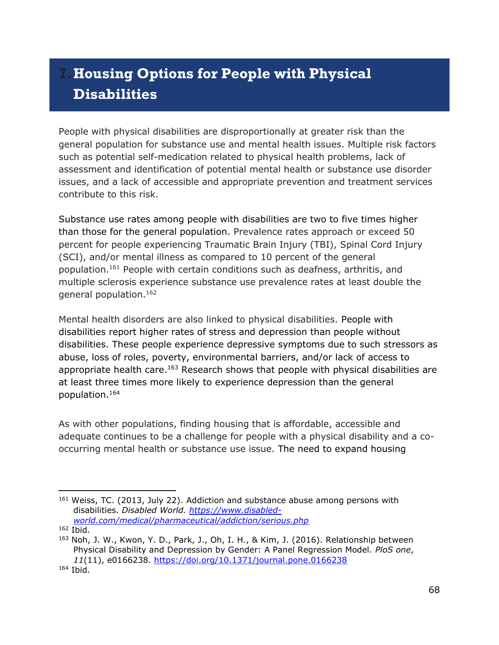# **7.Housing Options for People with Physical Disabilities**

People with physical disabilities are disproportionally at greater risk than the general population for substance use and mental health issues. Multiple risk factors such as potential self-medication related to physical health problems, lack of assessment and identification of potential mental health or substance use disorder issues, and a lack of accessible and appropriate prevention and treatment services contribute to this risk.

Substance use rates among people with disabilities are two to five times higher than those for the general population. Prevalence rates approach or exceed 50 percent for people experiencing Traumatic Brain Injury (TBI), Spinal Cord Injury (SCI), and/or mental illness as compared to 10 percent of the general population.<sup>161</sup> People with certain conditions such as deafness, arthritis, and multiple sclerosis experience substance use prevalence rates at least double the general population.<sup>162</sup>

Mental health disorders are also linked to physical disabilities. People with disabilities report higher rates of stress and depression than people without disabilities. These people experience depressive symptoms due to such stressors as abuse, loss of roles, poverty, environmental barriers, and/or lack of access to appropriate health care.<sup>163</sup> Research shows that people with physical disabilities are at least three times more likely to experience depression than the general population.<sup>164</sup>

As with other populations, finding housing that is affordable, accessible and adequate continues to be a challenge for people with a physical disability and a cooccurring mental health or substance use issue. The need to expand housing

<sup>&</sup>lt;sup>161</sup> Weiss, TC. (2013, July 22). Addiction and substance abuse among persons with disabilities. *Disabled World. [https://www.disabled](https://www.disabled-world.com/medical/pharmaceutical/addiction/serious.php)[world.com/medical/pharmaceutical/addiction/serious.php](https://www.disabled-world.com/medical/pharmaceutical/addiction/serious.php)*

 $162$  Ibid.

<sup>&</sup>lt;sup>163</sup> Noh, J. W., Kwon, Y. D., Park, J., Oh, I. H., & Kim, J. (2016). Relationship between Physical Disability and Depression by Gender: A Panel Regression Model. *PloS one*, *11*(11), e0166238.<https://doi.org/10.1371/journal.pone.0166238>

<sup>164</sup> Ibid.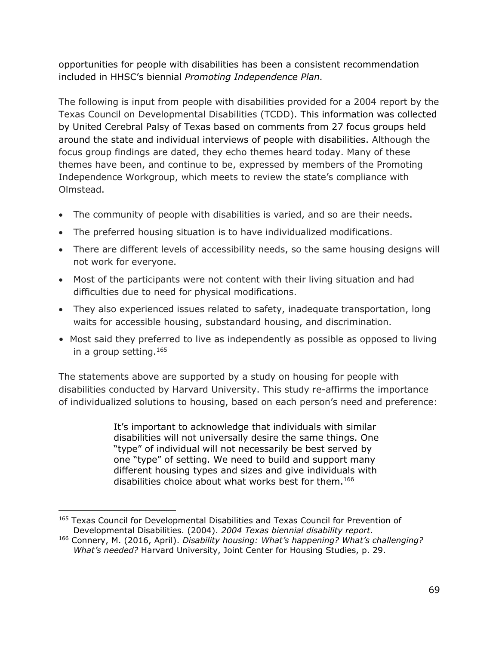opportunities for people with disabilities has been a consistent recommendation included in HHSC's biennial *Promoting Independence Plan.*

The following is input from people with disabilities provided for a 2004 report by the Texas Council on Developmental Disabilities (TCDD). This information was collected by United Cerebral Palsy of Texas based on comments from 27 focus groups held around the state and individual interviews of people with disabilities. Although the focus group findings are dated, they echo themes heard today. Many of these themes have been, and continue to be, expressed by members of the Promoting Independence Workgroup, which meets to review the state's compliance with Olmstead.

- The community of people with disabilities is varied, and so are their needs.
- The preferred housing situation is to have individualized modifications.
- There are different levels of accessibility needs, so the same housing designs will not work for everyone.
- Most of the participants were not content with their living situation and had difficulties due to need for physical modifications.
- They also experienced issues related to safety, inadequate transportation, long waits for accessible housing, substandard housing, and discrimination.
- Most said they preferred to live as independently as possible as opposed to living in a group setting.<sup>165</sup>

The statements above are supported by a study on housing for people with disabilities conducted by Harvard University. This study re-affirms the importance of individualized solutions to housing, based on each person's need and preference:

> It's important to acknowledge that individuals with similar disabilities will not universally desire the same things. One "type" of individual will not necessarily be best served by one "type" of setting. We need to build and support many different housing types and sizes and give individuals with disabilities choice about what works best for them.<sup>166</sup>

<sup>&</sup>lt;sup>165</sup> Texas Council for Developmental Disabilities and Texas Council for Prevention of Developmental Disabilities. (2004). *2004 Texas biennial disability report.*

<sup>166</sup> Connery, M. (2016, April). *Disability housing: What's happening? What's challenging? What's needed?* Harvard University, Joint Center for Housing Studies, p. 29.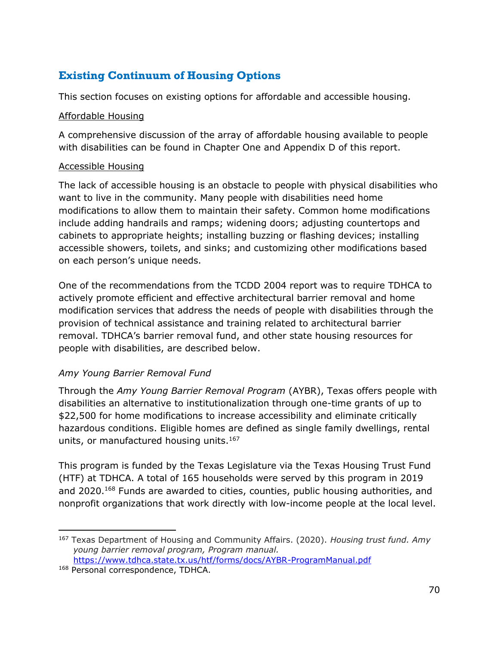# **Existing Continuum of Housing Options**

This section focuses on existing options for affordable and accessible housing.

#### Affordable Housing

A comprehensive discussion of the array of affordable housing available to people with disabilities can be found in Chapter One and Appendix D of this report.

## Accessible Housing

The lack of accessible housing is an obstacle to people with physical disabilities who want to live in the community. Many people with disabilities need home modifications to allow them to maintain their safety. Common home modifications include adding handrails and ramps; widening doors; adjusting countertops and cabinets to appropriate heights; installing buzzing or flashing devices; installing accessible showers, toilets, and sinks; and customizing other modifications based on each person's unique needs.

One of the recommendations from the TCDD 2004 report was to require TDHCA to actively promote efficient and effective architectural barrier removal and home modification services that address the needs of people with disabilities through the provision of technical assistance and training related to architectural barrier removal. TDHCA's barrier removal fund, and other state housing resources for people with disabilities, are described below.

## *Amy Young Barrier Removal Fund*

Through the *Amy Young Barrier Removal Program* (AYBR), Texas offers people with disabilities an alternative to institutionalization through one-time grants of up to \$22,500 for home modifications to increase accessibility and eliminate critically hazardous conditions. Eligible homes are defined as single family dwellings, rental units, or manufactured housing units. $167$ 

This program is funded by the Texas Legislature via the Texas Housing Trust Fund (HTF) at TDHCA. A total of 165 households were served by this program in 2019 and 2020. <sup>168</sup> Funds are awarded to cities, counties, public housing authorities, and nonprofit organizations that work directly with low-income people at the local level.

<sup>167</sup> Texas Department of Housing and Community Affairs. (2020). *Housing trust fund. Amy young barrier removal program, Program manual.* <https://www.tdhca.state.tx.us/htf/forms/docs/AYBR-ProgramManual.pdf>

<sup>&</sup>lt;sup>168</sup> Personal correspondence, TDHCA.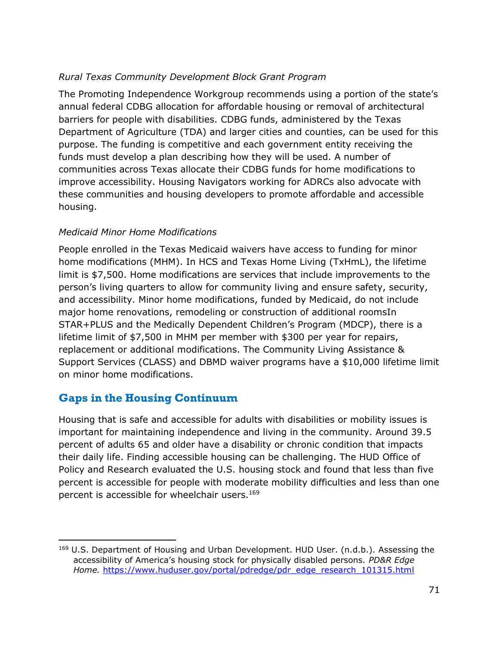## *Rural Texas Community Development Block Grant Program*

The Promoting Independence Workgroup recommends using a portion of the state's annual federal CDBG allocation for affordable housing or removal of architectural barriers for people with disabilities. CDBG funds, administered by the Texas Department of Agriculture (TDA) and larger cities and counties, can be used for this purpose. The funding is competitive and each government entity receiving the funds must develop a plan describing how they will be used. A number of communities across Texas allocate their CDBG funds for home modifications to improve accessibility. Housing Navigators working for ADRCs also advocate with these communities and housing developers to promote affordable and accessible housing.

## *Medicaid Minor Home Modifications*

People enrolled in the Texas Medicaid waivers have access to funding for minor home modifications (MHM). In HCS and Texas Home Living (TxHmL), the lifetime limit is \$7,500. Home modifications are services that include improvements to the person's living quarters to allow for community living and ensure safety, security, and accessibility. Minor home modifications, funded by Medicaid, do not include major home renovations, remodeling or construction of additional roomsIn STAR+PLUS and the Medically Dependent Children's Program (MDCP), there is a lifetime limit of \$7,500 in MHM per member with \$300 per year for repairs, replacement or additional modifications. The Community Living Assistance & Support Services (CLASS) and DBMD waiver programs have a \$10,000 lifetime limit on minor home modifications.

# **Gaps in the Housing Continuum**

Housing that is safe and accessible for adults with disabilities or mobility issues is important for maintaining independence and living in the community. Around 39.5 percent of adults 65 and older have a disability or chronic condition that impacts their daily life. Finding accessible housing can be challenging. The HUD Office of Policy and Research evaluated the U.S. housing stock and found that less than five percent is accessible for people with moderate mobility difficulties and less than one percent is accessible for wheelchair users.<sup>169</sup>

 $169$  U.S. Department of Housing and Urban Development. HUD User. (n.d.b.). Assessing the accessibility of America's housing stock for physically disabled persons. *PD&R Edge Home.* [https://www.huduser.gov/portal/pdredge/pdr\\_edge\\_research\\_101315.html](https://www.huduser.gov/portal/pdredge/pdr_edge_research_101315.html)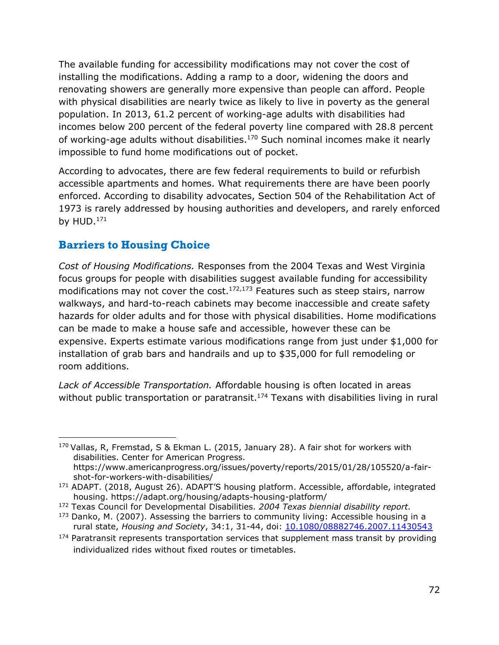The available funding for accessibility modifications may not cover the cost of installing the modifications. Adding a ramp to a door, widening the doors and renovating showers are generally more expensive than people can afford. People with physical disabilities are nearly twice as likely to live in poverty as the general population. In 2013, 61.2 percent of working-age adults with disabilities had incomes below 200 percent of the federal poverty line compared with 28.8 percent of working-age adults without disabilities. $170$  Such nominal incomes make it nearly impossible to fund home modifications out of pocket.

According to advocates, there are few federal requirements to build or refurbish accessible apartments and homes. What requirements there are have been poorly enforced. According to disability advocates, Section 504 of the Rehabilitation Act of 1973 is rarely addressed by housing authorities and developers, and rarely enforced by  $HUD.171$ 

# **Barriers to Housing Choice**

*Cost of Housing Modifications.* Responses from the 2004 Texas and West Virginia focus groups for people with disabilities suggest available funding for accessibility modifications may not cover the cost. $172,173$  Features such as steep stairs, narrow walkways, and hard-to-reach cabinets may become inaccessible and create safety hazards for older adults and for those with physical disabilities. Home modifications can be made to make a house safe and accessible, however these can be expensive. Experts estimate various modifications range from just under \$1,000 for installation of grab bars and handrails and up to \$35,000 for full remodeling or room additions.

*Lack of Accessible Transportation.* Affordable housing is often located in areas without public transportation or paratransit.<sup>174</sup> Texans with disabilities living in rural

 $170$  Vallas, R, Fremstad, S & Ekman L. (2015, January 28). A fair shot for workers with disabilities. Center for American Progress. [https://www.americanprogress.org/issues/poverty/reports/2015/01/28/105520/a-fair](https://www.americanprogress.org/issues/poverty/reports/2015/01/28/105520/a-fair-shot-for-workers-with-disabilities/)[shot-for-workers-with-disabilities/](https://www.americanprogress.org/issues/poverty/reports/2015/01/28/105520/a-fair-shot-for-workers-with-disabilities/)

<sup>&</sup>lt;sup>171</sup> ADAPT. (2018, August 26). ADAPT'S housing platform. Accessible, affordable, integrated housing.<https://adapt.org/housing/adapts-housing-platform/>

<sup>172</sup> Texas Council for Developmental Disabilities. *2004 Texas biennial disability report.*

 $173$  Danko, M. (2007). Assessing the barriers to community living: Accessible housing in a rural state, *Housing and Society*, 34:1, 31-44, doi: [10.1080/08882746.2007.11430543](https://doi.org/10.1080/08882746.2007.11430543)

 $174$  Paratransit represents transportation services that supplement mass transit by providing individualized rides without fixed routes or timetables.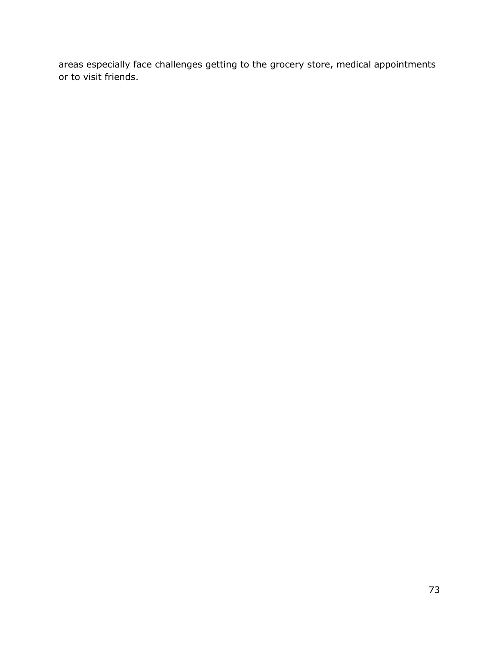areas especially face challenges getting to the grocery store, medical appointments or to visit friends.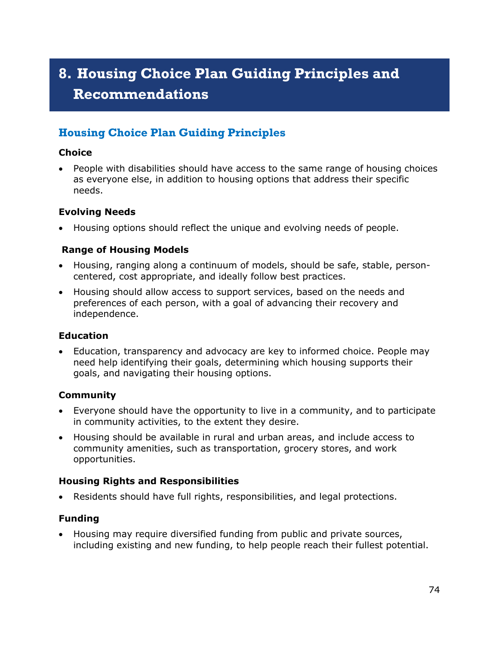# **8. Housing Choice Plan Guiding Principles and Recommendations**

# **Housing Choice Plan Guiding Principles**

#### **Choice**

• People with disabilities should have access to the same range of housing choices as everyone else, in addition to housing options that address their specific needs.

#### **Evolving Needs**

• Housing options should reflect the unique and evolving needs of people.

## **Range of Housing Models**

- Housing, ranging along a continuum of models, should be safe, stable, personcentered, cost appropriate, and ideally follow best practices.
- Housing should allow access to support services, based on the needs and preferences of each person, with a goal of advancing their recovery and independence.

## **Education**

• Education, transparency and advocacy are key to informed choice. People may need help identifying their goals, determining which housing supports their goals, and navigating their housing options.

## **Community**

- Everyone should have the opportunity to live in a community, and to participate in community activities, to the extent they desire.
- Housing should be available in rural and urban areas, and include access to community amenities, such as transportation, grocery stores, and work opportunities.

## **Housing Rights and Responsibilities**

• Residents should have full rights, responsibilities, and legal protections.

## **Funding**

• Housing may require diversified funding from public and private sources, including existing and new funding, to help people reach their fullest potential.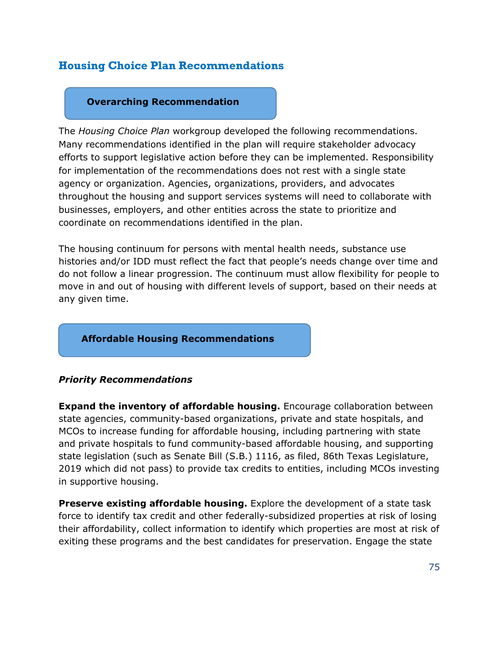# **Housing Choice Plan Recommendations**

#### **Overarching Recommendation**

The *Housing Choice Plan* workgroup developed the following recommendations. Many recommendations identified in the plan will require stakeholder advocacy efforts to support legislative action before they can be implemented. Responsibility for implementation of the recommendations does not rest with a single state agency or organization. Agencies, organizations, providers, and advocates throughout the housing and support services systems will need to collaborate with businesses, employers, and other entities across the state to prioritize and coordinate on recommendations identified in the plan.

The housing continuum for persons with mental health needs, substance use histories and/or IDD must reflect the fact that people's needs change over time and do not follow a linear progression. The continuum must allow flexibility for people to move in and out of housing with different levels of support, based on their needs at any given time.

#### **Affordable Housing Recommendations**

#### *Priority Recommendations*

**Expand the inventory of affordable housing.** Encourage collaboration between state agencies, community-based organizations, private and state hospitals, and MCOs to increase funding for affordable housing, including partnering with state and private hospitals to fund community-based affordable housing, and supporting state legislation (such as Senate Bill (S.B.) 1116, as filed, 86th Texas Legislature, 2019 which did not pass) to provide tax credits to entities, including MCOs investing in supportive housing.

**Preserve existing affordable housing.** Explore the development of a state task force to identify tax credit and other federally-subsidized properties at risk of losing their affordability, collect information to identify which properties are most at risk of exiting these programs and the best candidates for preservation. Engage the state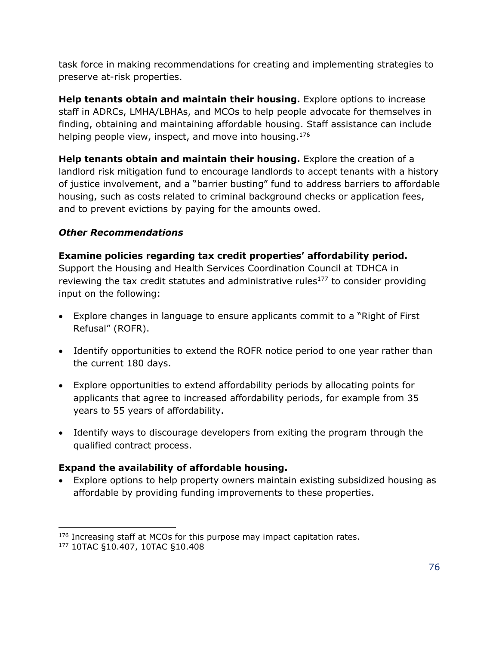task force in making recommendations for creating and implementing strategies to preserve at-risk properties.

**Help tenants obtain and maintain their housing.** Explore options to increase staff in ADRCs, LMHA/LBHAs, and MCOs to help people advocate for themselves in finding, obtaining and maintaining affordable housing. Staff assistance can include helping people view, inspect, and move into housing.<sup>176</sup>

**Help tenants obtain and maintain their housing.** Explore the creation of a landlord risk mitigation fund to encourage landlords to accept tenants with a history of justice involvement, and a "barrier busting" fund to address barriers to affordable housing, such as costs related to criminal background checks or application fees, and to prevent evictions by paying for the amounts owed.

## *Other Recommendations*

**Examine policies regarding tax credit properties' affordability period.**

Support the Housing and Health Services Coordination Council at TDHCA in reviewing the tax credit statutes and administrative rules<sup>177</sup> to consider providing input on the following:

- Explore changes in language to ensure applicants commit to a "Right of First Refusal" (ROFR).
- Identify opportunities to extend the ROFR notice period to one year rather than the current 180 days.
- Explore opportunities to extend affordability periods by allocating points for applicants that agree to increased affordability periods, for example from 35 years to 55 years of affordability.
- Identify ways to discourage developers from exiting the program through the qualified contract process.

## **Expand the availability of affordable housing.**

• Explore options to help property owners maintain existing subsidized housing as affordable by providing funding improvements to these properties.

<sup>&</sup>lt;sup>176</sup> Increasing staff at MCOs for this purpose may impact capitation rates.

<sup>177</sup> 10TAC §10.407, 10TAC §10.408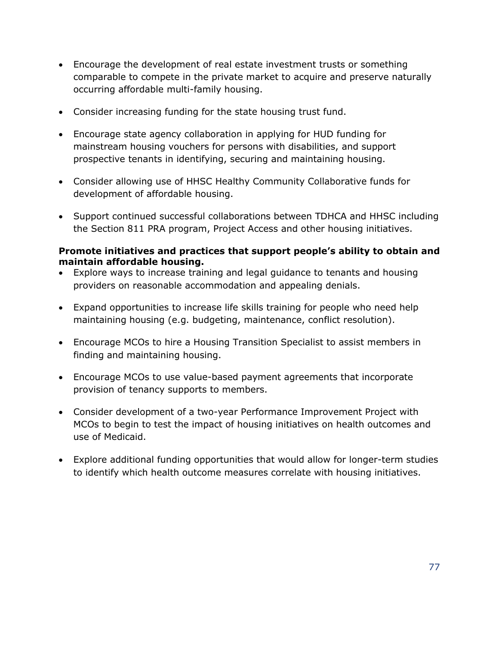- Encourage the development of real estate investment trusts or something comparable to compete in the private market to acquire and preserve naturally occurring affordable multi-family housing.
- Consider increasing funding for the state housing trust fund.
- Encourage state agency collaboration in applying for HUD funding for mainstream housing vouchers for persons with disabilities, and support prospective tenants in identifying, securing and maintaining housing.
- Consider allowing use of HHSC Healthy Community Collaborative funds for development of affordable housing.
- Support continued successful collaborations between TDHCA and HHSC including the Section 811 PRA program, Project Access and other housing initiatives.

#### **Promote initiatives and practices that support people's ability to obtain and maintain affordable housing.**

- Explore ways to increase training and legal guidance to tenants and housing providers on reasonable accommodation and appealing denials.
- Expand opportunities to increase life skills training for people who need help maintaining housing (e.g. budgeting, maintenance, conflict resolution).
- Encourage MCOs to hire a Housing Transition Specialist to assist members in finding and maintaining housing.
- Encourage MCOs to use value-based payment agreements that incorporate provision of tenancy supports to members.
- Consider development of a two-year Performance Improvement Project with MCOs to begin to test the impact of housing initiatives on health outcomes and use of Medicaid.
- Explore additional funding opportunities that would allow for longer-term studies to identify which health outcome measures correlate with housing initiatives.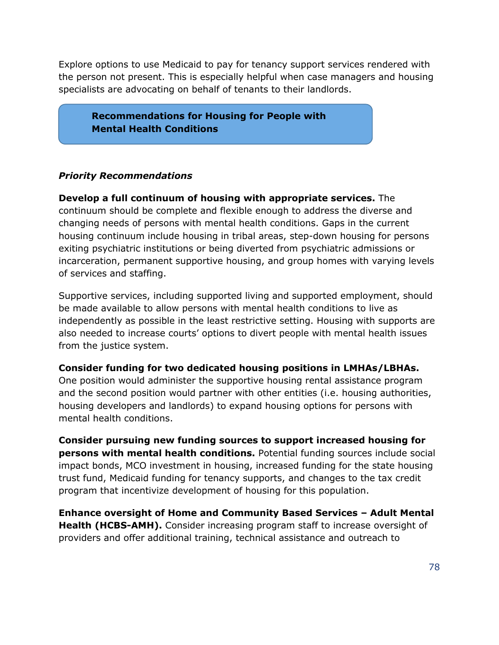Explore options to use Medicaid to pay for tenancy support services rendered with the person not present. This is especially helpful when case managers and housing specialists are advocating on behalf of tenants to their landlords.

**Recommendations for Housing for People with Mental Health Conditions**

## *Priority Recommendations*

**Develop a full continuum of housing with appropriate services.** The continuum should be complete and flexible enough to address the diverse and changing needs of persons with mental health conditions. Gaps in the current housing continuum include housing in tribal areas, step-down housing for persons exiting psychiatric institutions or being diverted from psychiatric admissions or incarceration, permanent supportive housing, and group homes with varying levels of services and staffing.

Supportive services, including supported living and supported employment, should be made available to allow persons with mental health conditions to live as independently as possible in the least restrictive setting. Housing with supports are also needed to increase courts' options to divert people with mental health issues from the justice system.

#### **Consider funding for two dedicated housing positions in LMHAs/LBHAs.**

One position would administer the supportive housing rental assistance program and the second position would partner with other entities (i.e. housing authorities, housing developers and landlords) to expand housing options for persons with mental health conditions.

**Consider pursuing new funding sources to support increased housing for persons with mental health conditions.** Potential funding sources include social impact bonds, MCO investment in housing, increased funding for the state housing trust fund, Medicaid funding for tenancy supports, and changes to the tax credit program that incentivize development of housing for this population.

**Enhance oversight of Home and Community Based Services – Adult Mental Health (HCBS-AMH).** Consider increasing program staff to increase oversight of providers and offer additional training, technical assistance and outreach to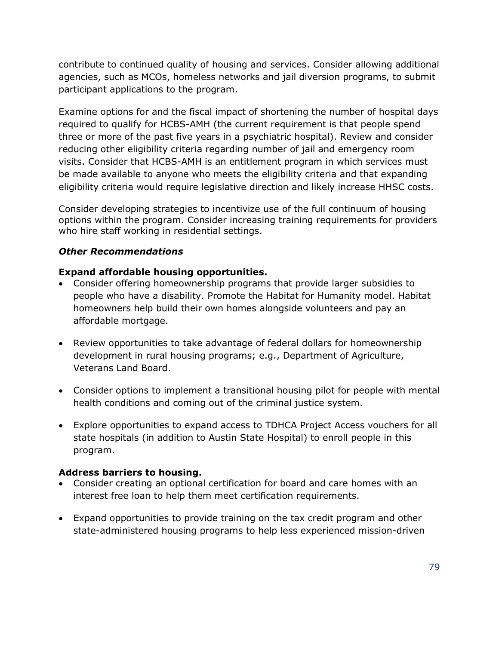contribute to continued quality of housing and services. Consider allowing additional agencies, such as MCOs, homeless networks and jail diversion programs, to submit participant applications to the program.

Examine options for and the fiscal impact of shortening the number of hospital days required to qualify for HCBS-AMH (the current requirement is that people spend three or more of the past five years in a psychiatric hospital). Review and consider reducing other eligibility criteria regarding number of jail and emergency room visits. Consider that HCBS-AMH is an entitlement program in which services must be made available to anyone who meets the eligibility criteria and that expanding eligibility criteria would require legislative direction and likely increase HHSC costs.

Consider developing strategies to incentivize use of the full continuum of housing options within the program. Consider increasing training requirements for providers who hire staff working in residential settings.

## *Other Recommendations*

## **Expand affordable housing opportunities.**

- Consider offering homeownership programs that provide larger subsidies to people who have a disability. Promote the Habitat for Humanity model. Habitat homeowners help build their own homes alongside volunteers and pay an affordable mortgage.
- Review opportunities to take advantage of federal dollars for homeownership development in rural housing programs; e.g., Department of Agriculture, Veterans Land Board.
- Consider options to implement a transitional housing pilot for people with mental health conditions and coming out of the criminal justice system.
- Explore opportunities to expand access to TDHCA Project Access vouchers for all state hospitals (in addition to Austin State Hospital) to enroll people in this program.

#### **Address barriers to housing.**

- Consider creating an optional certification for board and care homes with an interest free loan to help them meet certification requirements.
- Expand opportunities to provide training on the tax credit program and other state-administered housing programs to help less experienced mission-driven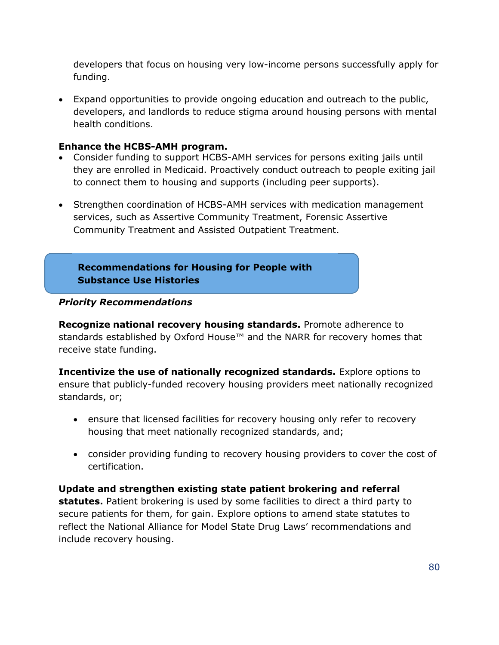developers that focus on housing very low-income persons successfully apply for funding.

• Expand opportunities to provide ongoing education and outreach to the public, developers, and landlords to reduce stigma around housing persons with mental health conditions.

#### **Enhance the HCBS-AMH program.**

- Consider funding to support HCBS-AMH services for persons exiting jails until they are enrolled in Medicaid. Proactively conduct outreach to people exiting jail to connect them to housing and supports (including peer supports).
- Strengthen coordination of HCBS-AMH services with medication management services, such as Assertive Community Treatment, Forensic Assertive Community Treatment and Assisted Outpatient Treatment.

**Recommendations for Housing for People with Substance Use Histories**

## *Priority Recommendations*

**Recognize national recovery housing standards.** Promote adherence to standards established by Oxford House<sup>™</sup> and the NARR for recovery homes that receive state funding.

**Incentivize the use of nationally recognized standards.** Explore options to ensure that publicly-funded recovery housing providers meet nationally recognized standards, or;

- ensure that licensed facilities for recovery housing only refer to recovery housing that meet nationally recognized standards, and;
- consider providing funding to recovery housing providers to cover the cost of certification.

**Update and strengthen existing state patient brokering and referral statutes.** Patient brokering is used by some facilities to direct a third party to secure patients for them, for gain. Explore options to amend state statutes to reflect the National Alliance for Model State Drug Laws' recommendations and include recovery housing.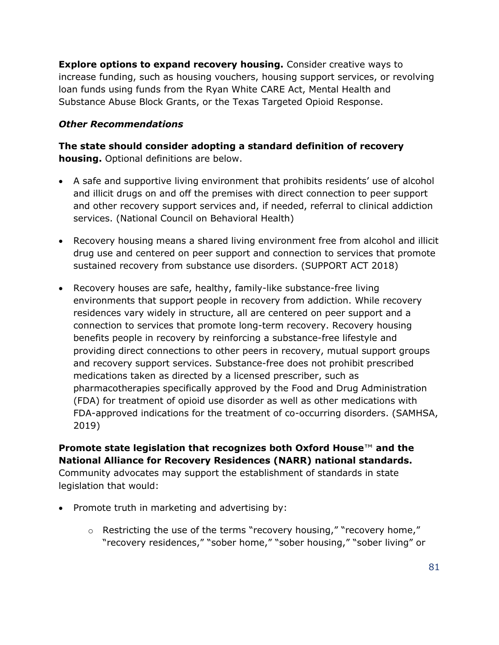**Explore options to expand recovery housing.** Consider creative ways to increase funding, such as housing vouchers, housing support services, or revolving loan funds using funds from the Ryan White CARE Act, Mental Health and Substance Abuse Block Grants, or the Texas Targeted Opioid Response.

## *Other Recommendations*

**The state should consider adopting a standard definition of recovery housing.** Optional definitions are below.

- A safe and supportive living environment that prohibits residents' use of alcohol and illicit drugs on and off the premises with direct connection to peer support and other recovery support services and, if needed, referral to clinical addiction services. (National Council on Behavioral Health)
- Recovery housing means a shared living environment free from alcohol and illicit drug use and centered on peer support and connection to services that promote sustained recovery from substance use disorders. (SUPPORT ACT 2018)
- Recovery houses are safe, healthy, family-like substance-free living environments that support people in recovery from addiction. While recovery residences vary widely in structure, all are centered on peer support and a connection to services that promote long-term recovery. Recovery housing benefits people in recovery by reinforcing a substance-free lifestyle and providing direct connections to other peers in recovery, mutual support groups and recovery support services. Substance-free does not prohibit prescribed medications taken as directed by a licensed prescriber, such as pharmacotherapies specifically approved by the Food and Drug Administration (FDA) for treatment of opioid use disorder as well as other medications with FDA-approved indications for the treatment of co-occurring disorders. (SAMHSA, 2019)

## **Promote state legislation that recognizes both Oxford House**™ **and the National Alliance for Recovery Residences (NARR) national standards.**

Community advocates may support the establishment of standards in state legislation that would:

- Promote truth in marketing and advertising by:
	- $\circ$  Restricting the use of the terms "recovery housing," "recovery home," "recovery residences," "sober home," "sober housing," "sober living" or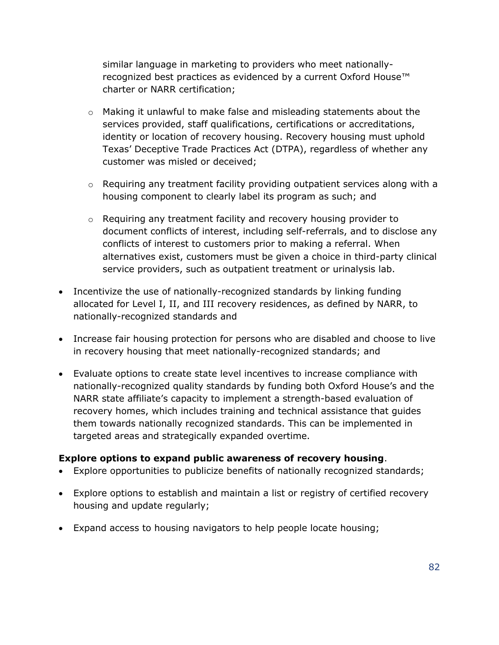similar language in marketing to providers who meet nationallyrecognized best practices as evidenced by a current Oxford House™ charter or NARR certification;

- o Making it unlawful to make false and misleading statements about the services provided, staff qualifications, certifications or accreditations, identity or location of recovery housing. Recovery housing must uphold Texas' Deceptive Trade Practices Act (DTPA), regardless of whether any customer was misled or deceived;
- o Requiring any treatment facility providing outpatient services along with a housing component to clearly label its program as such; and
- o Requiring any treatment facility and recovery housing provider to document conflicts of interest, including self-referrals, and to disclose any conflicts of interest to customers prior to making a referral. When alternatives exist, customers must be given a choice in third-party clinical service providers, such as outpatient treatment or urinalysis lab.
- Incentivize the use of nationally-recognized standards by linking funding allocated for Level I, II, and III recovery residences, as defined by NARR, to nationally-recognized standards and
- Increase fair housing protection for persons who are disabled and choose to live in recovery housing that meet nationally-recognized standards; and
- Evaluate options to create state level incentives to increase compliance with nationally-recognized quality standards by funding both Oxford House's and the NARR state affiliate's capacity to implement a strength-based evaluation of recovery homes, which includes training and technical assistance that guides them towards nationally recognized standards. This can be implemented in targeted areas and strategically expanded overtime.

#### **Explore options to expand public awareness of recovery housing**.

- Explore opportunities to publicize benefits of nationally recognized standards;
- Explore options to establish and maintain a list or registry of certified recovery housing and update regularly;
- Expand access to housing navigators to help people locate housing;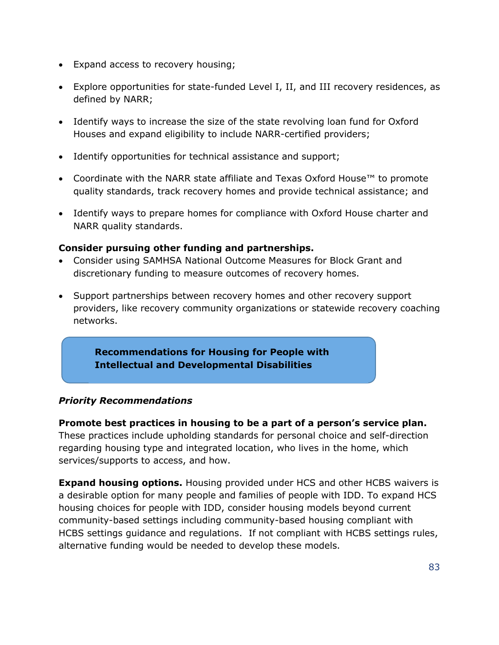- Expand access to recovery housing;
- Explore opportunities for state-funded Level I, II, and III recovery residences, as defined by NARR;
- Identify ways to increase the size of the state revolving loan fund for Oxford Houses and expand eligibility to include NARR-certified providers;
- Identify opportunities for technical assistance and support;
- Coordinate with the NARR state affiliate and Texas Oxford House™ to promote quality standards, track recovery homes and provide technical assistance; and
- Identify ways to prepare homes for compliance with Oxford House charter and NARR quality standards.

## **Consider pursuing other funding and partnerships.**

- Consider using SAMHSA National Outcome Measures for Block Grant and discretionary funding to measure outcomes of recovery homes.
- Support partnerships between recovery homes and other recovery support providers, like recovery community organizations or statewide recovery coaching networks.

**Recommendations for Housing for People with Intellectual and Developmental Disabilities**

## *Priority Recommendations*

**Promote best practices in housing to be a part of a person's service plan.** These practices include upholding standards for personal choice and self-direction regarding housing type and integrated location, who lives in the home, which services/supports to access, and how.

**Expand housing options.** Housing provided under HCS and other HCBS waivers is a desirable option for many people and families of people with IDD. To expand HCS housing choices for people with IDD, consider housing models beyond current community-based settings including community-based housing compliant with HCBS settings guidance and regulations. If not compliant with HCBS settings rules, alternative funding would be needed to develop these models.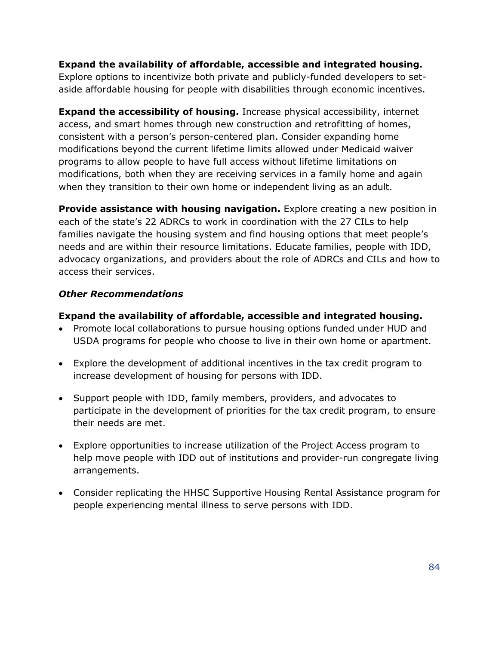**Expand the availability of affordable, accessible and integrated housing.** Explore options to incentivize both private and publicly-funded developers to setaside affordable housing for people with disabilities through economic incentives.

**Expand the accessibility of housing.** Increase physical accessibility, internet access, and smart homes through new construction and retrofitting of homes, consistent with a person's person-centered plan. Consider expanding home modifications beyond the current lifetime limits allowed under Medicaid waiver programs to allow people to have full access without lifetime limitations on modifications, both when they are receiving services in a family home and again when they transition to their own home or independent living as an adult.

**Provide assistance with housing navigation.** Explore creating a new position in each of the state's 22 ADRCs to work in coordination with the 27 CILs to help families navigate the housing system and find housing options that meet people's needs and are within their resource limitations. Educate families, people with IDD, advocacy organizations, and providers about the role of ADRCs and CILs and how to access their services.

#### *Other Recommendations*

## **Expand the availability of affordable, accessible and integrated housing.**

- Promote local collaborations to pursue housing options funded under HUD and USDA programs for people who choose to live in their own home or apartment.
- Explore the development of additional incentives in the tax credit program to increase development of housing for persons with IDD.
- Support people with IDD, family members, providers, and advocates to participate in the development of priorities for the tax credit program, to ensure their needs are met.
- Explore opportunities to increase utilization of the Project Access program to help move people with IDD out of institutions and provider-run congregate living arrangements.
- Consider replicating the HHSC Supportive Housing Rental Assistance program for people experiencing mental illness to serve persons with IDD.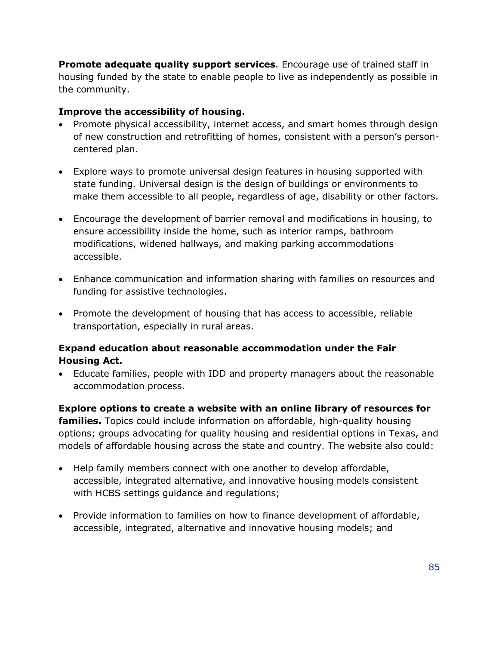**Promote adequate quality support services**. Encourage use of trained staff in housing funded by the state to enable people to live as independently as possible in the community.

#### **Improve the accessibility of housing.**

- Promote physical accessibility, internet access, and smart homes through design of new construction and retrofitting of homes, consistent with a person's personcentered plan.
- Explore ways to promote universal design features in housing supported with state funding. Universal design is the design of buildings or environments to make them accessible to all people, regardless of age, disability or other factors.
- Encourage the development of barrier removal and modifications in housing, to ensure accessibility inside the home, such as interior ramps, bathroom modifications, widened hallways, and making parking accommodations accessible.
- Enhance communication and information sharing with families on resources and funding for assistive technologies.
- Promote the development of housing that has access to accessible, reliable transportation, especially in rural areas.

## **Expand education about reasonable accommodation under the Fair Housing Act.**

• Educate families, people with IDD and property managers about the reasonable accommodation process.

**Explore options to create a website with an online library of resources for families.** Topics could include information on affordable, high-quality housing options; groups advocating for quality housing and residential options in Texas, and models of affordable housing across the state and country. The website also could:

- Help family members connect with one another to develop affordable, accessible, integrated alternative, and innovative housing models consistent with HCBS settings guidance and regulations;
- Provide information to families on how to finance development of affordable, accessible, integrated, alternative and innovative housing models; and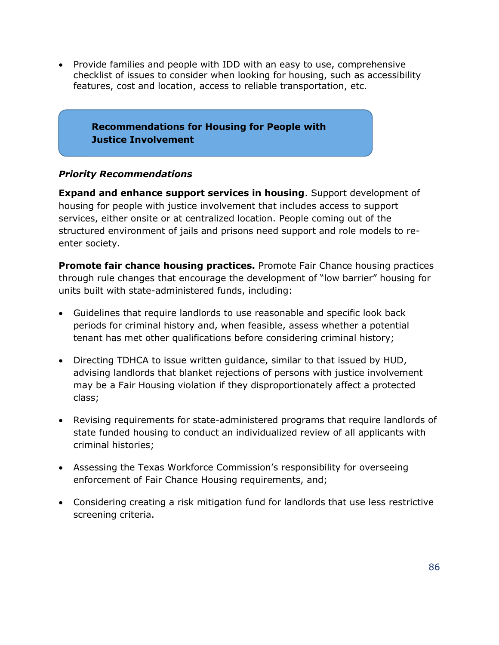• Provide families and people with IDD with an easy to use, comprehensive checklist of issues to consider when looking for housing, such as accessibility features, cost and location, access to reliable transportation, etc.

## **Recommendations for Housing for People with Justice Involvement**

## *Priority Recommendations*

**Expand and enhance support services in housing**. Support development of housing for people with justice involvement that includes access to support services, either onsite or at centralized location. People coming out of the structured environment of jails and prisons need support and role models to reenter society.

**Promote fair chance housing practices.** Promote Fair Chance housing practices through rule changes that encourage the development of "low barrier" housing for units built with state-administered funds, including:

- Guidelines that require landlords to use reasonable and specific look back periods for criminal history and, when feasible, assess whether a potential tenant has met other qualifications before considering criminal history;
- Directing TDHCA to issue written guidance, similar to that issued by HUD, advising landlords that blanket rejections of persons with justice involvement may be a Fair Housing violation if they disproportionately affect a protected class;
- Revising requirements for state-administered programs that require landlords of state funded housing to conduct an individualized review of all applicants with criminal histories;
- Assessing the Texas Workforce Commission's responsibility for overseeing enforcement of Fair Chance Housing requirements, and;
- Considering creating a risk mitigation fund for landlords that use less restrictive screening criteria.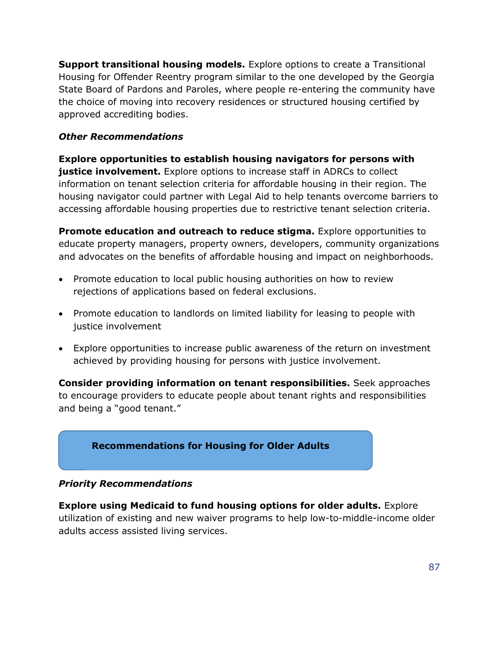**Support transitional housing models.** Explore options to create a Transitional Housing for Offender Reentry program similar to the one developed by the Georgia State Board of Pardons and Paroles, where people re-entering the community have the choice of moving into recovery residences or structured housing certified by approved accrediting bodies.

## *Other Recommendations*

**Explore opportunities to establish housing navigators for persons with justice involvement.** Explore options to increase staff in ADRCs to collect information on tenant selection criteria for affordable housing in their region. The housing navigator could partner with Legal Aid to help tenants overcome barriers to accessing affordable housing properties due to restrictive tenant selection criteria.

**Promote education and outreach to reduce stigma.** Explore opportunities to educate property managers, property owners, developers, community organizations and advocates on the benefits of affordable housing and impact on neighborhoods.

- Promote education to local public housing authorities on how to review rejections of applications based on federal exclusions.
- Promote education to landlords on limited liability for leasing to people with justice involvement
- Explore opportunities to increase public awareness of the return on investment achieved by providing housing for persons with justice involvement.

**Consider providing information on tenant responsibilities.** Seek approaches to encourage providers to educate people about tenant rights and responsibilities and being a "good tenant."



#### *Priority Recommendations*

**Explore using Medicaid to fund housing options for older adults.** Explore utilization of existing and new waiver programs to help low-to-middle-income older adults access assisted living services.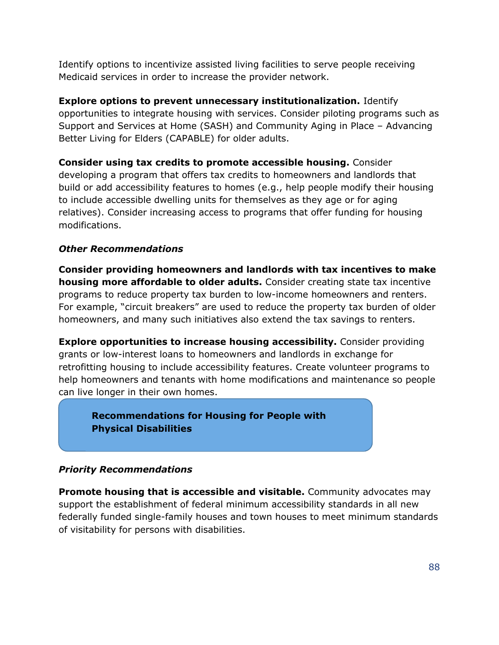Identify options to incentivize assisted living facilities to serve people receiving Medicaid services in order to increase the provider network.

**Explore options to prevent unnecessary institutionalization.** Identify opportunities to integrate housing with services. Consider piloting programs such as Support and Services at Home (SASH) and Community Aging in Place – Advancing Better Living for Elders (CAPABLE) for older adults.

**Consider using tax credits to promote accessible housing.** Consider developing a program that offers tax credits to homeowners and landlords that build or add accessibility features to homes (e.g., help people modify their housing to include accessible dwelling units for themselves as they age or for aging relatives). Consider increasing access to programs that offer funding for housing modifications.

## *Other Recommendations*

**Consider providing homeowners and landlords with tax incentives to make housing more affordable to older adults.** Consider creating state tax incentive programs to reduce property tax burden to low-income homeowners and renters. For example, "circuit breakers" are used to reduce the property tax burden of older homeowners, and many such initiatives also extend the tax savings to renters.

**Explore opportunities to increase housing accessibility.** Consider providing grants or low-interest loans to homeowners and landlords in exchange for retrofitting housing to include accessibility features. Create volunteer programs to help homeowners and tenants with home modifications and maintenance so people can live longer in their own homes.

**Recommendations for Housing for People with Physical Disabilities**

## *Priority Recommendations*

**Promote housing that is accessible and visitable.** Community advocates may support the establishment of federal minimum accessibility standards in all new federally funded single-family houses and town houses to meet minimum standards of visitability for persons with disabilities.